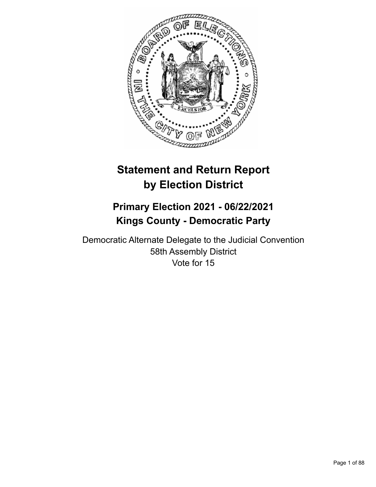

# **Statement and Return Report by Election District**

## **Primary Election 2021 - 06/22/2021 Kings County - Democratic Party**

Democratic Alternate Delegate to the Judicial Convention 58th Assembly District Vote for 15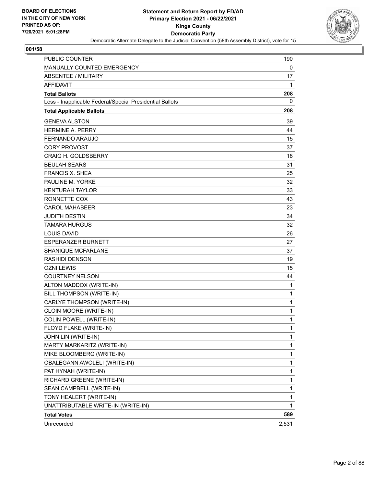

| PUBLIC COUNTER                                           | 190         |
|----------------------------------------------------------|-------------|
| <b>MANUALLY COUNTED EMERGENCY</b>                        | 0           |
| ABSENTEE / MILITARY                                      | 17          |
| <b>AFFIDAVIT</b>                                         | 1           |
| <b>Total Ballots</b>                                     | 208         |
| Less - Inapplicable Federal/Special Presidential Ballots | 0           |
| <b>Total Applicable Ballots</b>                          | 208         |
| <b>GENEVA ALSTON</b>                                     | 39          |
| <b>HERMINE A. PERRY</b>                                  | 44          |
| FERNANDO ARAUJO                                          | 15          |
| <b>CORY PROVOST</b>                                      | 37          |
| <b>CRAIG H. GOLDSBERRY</b>                               | 18          |
| <b>BEULAH SEARS</b>                                      | 31          |
| <b>FRANCIS X. SHEA</b>                                   | 25          |
| PAULINE M. YORKE                                         | 32          |
| <b>KENTURAH TAYLOR</b>                                   | 33          |
| RONNETTE COX                                             | 43          |
| <b>CAROL MAHABEER</b>                                    | 23          |
| <b>JUDITH DESTIN</b>                                     | 34          |
| <b>TAMARA HURGUS</b>                                     | 32          |
| <b>LOUIS DAVID</b>                                       | 26          |
| <b>ESPERANZER BURNETT</b>                                | 27          |
| SHANIQUE MCFARLANE                                       | 37          |
| <b>RASHIDI DENSON</b>                                    | 19          |
| <b>OZNI LEWIS</b>                                        | 15          |
| <b>COURTNEY NELSON</b>                                   | 44          |
| ALTON MADDOX (WRITE-IN)                                  | 1           |
| <b>BILL THOMPSON (WRITE-IN)</b>                          | 1           |
| CARLYE THOMPSON (WRITE-IN)                               | $\mathbf 1$ |
| CLOIN MOORE (WRITE-IN)                                   | 1           |
| COLIN POWELL (WRITE-IN)                                  | 1           |
| FLOYD FLAKE (WRITE-IN)                                   | 1           |
| JOHN LIN (WRITE-IN)                                      | 1           |
| MARTY MARKARITZ (WRITE-IN)                               | 1           |
| MIKE BLOOMBERG (WRITE-IN)                                | 1           |
| OBALEGANN AWOLELI (WRITE-IN)                             | 1           |
| PAT HYNAH (WRITE-IN)                                     | 1           |
| RICHARD GREENE (WRITE-IN)                                | 1           |
| SEAN CAMPBELL (WRITE-IN)                                 | 1           |
| TONY HEALERT (WRITE-IN)                                  | 1           |
| UNATTRIBUTABLE WRITE-IN (WRITE-IN)                       | 1           |
| <b>Total Votes</b>                                       | 589         |
| Unrecorded                                               | 2,531       |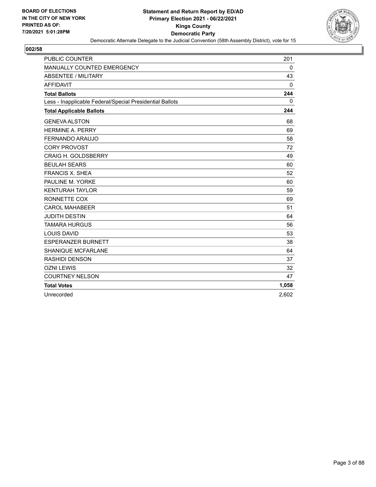

| <b>PUBLIC COUNTER</b>                                    | 201         |
|----------------------------------------------------------|-------------|
| MANUALLY COUNTED EMERGENCY                               | 0           |
| <b>ABSENTEE / MILITARY</b>                               | 43          |
| <b>AFFIDAVIT</b>                                         | $\Omega$    |
| <b>Total Ballots</b>                                     | 244         |
| Less - Inapplicable Federal/Special Presidential Ballots | $\mathbf 0$ |
| <b>Total Applicable Ballots</b>                          | 244         |
| <b>GENEVA ALSTON</b>                                     | 68          |
| <b>HERMINE A. PERRY</b>                                  | 69          |
| FERNANDO ARAUJO                                          | 58          |
| <b>CORY PROVOST</b>                                      | 72          |
| <b>CRAIG H. GOLDSBERRY</b>                               | 49          |
| <b>BEULAH SEARS</b>                                      | 60          |
| <b>FRANCIS X. SHEA</b>                                   | 52          |
| PAULINE M. YORKE                                         | 60          |
| <b>KENTURAH TAYLOR</b>                                   | 59          |
| RONNETTE COX                                             | 69          |
| <b>CAROL MAHABEER</b>                                    | 51          |
| <b>JUDITH DESTIN</b>                                     | 64          |
| <b>TAMARA HURGUS</b>                                     | 56          |
| <b>LOUIS DAVID</b>                                       | 53          |
| <b>ESPERANZER BURNETT</b>                                | 38          |
| <b>SHANIQUE MCFARLANE</b>                                | 64          |
| <b>RASHIDI DENSON</b>                                    | 37          |
| <b>OZNI LEWIS</b>                                        | 32          |
| <b>COURTNEY NELSON</b>                                   | 47          |
| <b>Total Votes</b>                                       | 1,058       |
| Unrecorded                                               | 2,602       |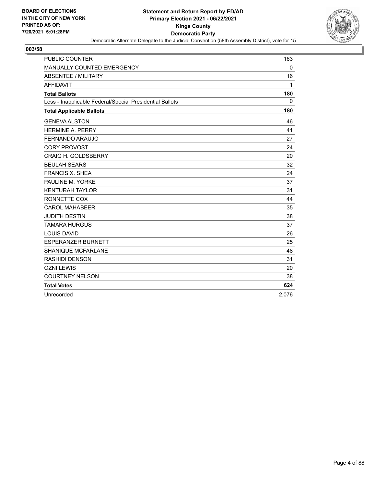

| <b>PUBLIC COUNTER</b>                                    | 163          |
|----------------------------------------------------------|--------------|
| MANUALLY COUNTED EMERGENCY                               | 0            |
| <b>ABSENTEE / MILITARY</b>                               | 16           |
| <b>AFFIDAVIT</b>                                         | $\mathbf{1}$ |
| <b>Total Ballots</b>                                     | 180          |
| Less - Inapplicable Federal/Special Presidential Ballots | $\mathbf{0}$ |
| <b>Total Applicable Ballots</b>                          | 180          |
| <b>GENEVA ALSTON</b>                                     | 46           |
| <b>HERMINE A. PERRY</b>                                  | 41           |
| FERNANDO ARAUJO                                          | 27           |
| <b>CORY PROVOST</b>                                      | 24           |
| CRAIG H. GOLDSBERRY                                      | 20           |
| <b>BEULAH SEARS</b>                                      | 32           |
| <b>FRANCIS X. SHEA</b>                                   | 24           |
| PAULINE M. YORKE                                         | 37           |
| <b>KENTURAH TAYLOR</b>                                   | 31           |
| RONNETTE COX                                             | 44           |
| <b>CAROL MAHABEER</b>                                    | 35           |
| <b>JUDITH DESTIN</b>                                     | 38           |
| <b>TAMARA HURGUS</b>                                     | 37           |
| <b>LOUIS DAVID</b>                                       | 26           |
| <b>ESPERANZER BURNETT</b>                                | 25           |
| <b>SHANIQUE MCFARLANE</b>                                | 48           |
| <b>RASHIDI DENSON</b>                                    | 31           |
| <b>OZNI LEWIS</b>                                        | 20           |
| <b>COURTNEY NELSON</b>                                   | 38           |
| <b>Total Votes</b>                                       | 624          |
| Unrecorded                                               | 2,076        |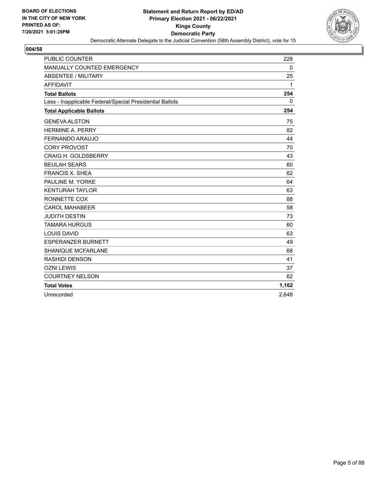

| <b>PUBLIC COUNTER</b>                                    | 228          |
|----------------------------------------------------------|--------------|
| MANUALLY COUNTED EMERGENCY                               | 0            |
| <b>ABSENTEE / MILITARY</b>                               | 25           |
| <b>AFFIDAVIT</b>                                         | $\mathbf{1}$ |
| <b>Total Ballots</b>                                     | 254          |
| Less - Inapplicable Federal/Special Presidential Ballots | $\mathbf{0}$ |
| <b>Total Applicable Ballots</b>                          | 254          |
| <b>GENEVA ALSTON</b>                                     | 75           |
| <b>HERMINE A. PERRY</b>                                  | 82           |
| FERNANDO ARAUJO                                          | 44           |
| <b>CORY PROVOST</b>                                      | 70           |
| <b>CRAIG H. GOLDSBERRY</b>                               | 43           |
| <b>BEULAH SEARS</b>                                      | 60           |
| <b>FRANCIS X. SHEA</b>                                   | 62           |
| PAULINE M. YORKE                                         | 64           |
| <b>KENTURAH TAYLOR</b>                                   | 63           |
| RONNETTE COX                                             | 88           |
| <b>CAROL MAHABEER</b>                                    | 58           |
| <b>JUDITH DESTIN</b>                                     | 73           |
| <b>TAMARA HURGUS</b>                                     | 60           |
| <b>LOUIS DAVID</b>                                       | 63           |
| <b>ESPERANZER BURNETT</b>                                | 49           |
| <b>SHANIQUE MCFARLANE</b>                                | 68           |
| <b>RASHIDI DENSON</b>                                    | 41           |
| <b>OZNI LEWIS</b>                                        | 37           |
| <b>COURTNEY NELSON</b>                                   | 62           |
| <b>Total Votes</b>                                       | 1,162        |
| Unrecorded                                               | 2,648        |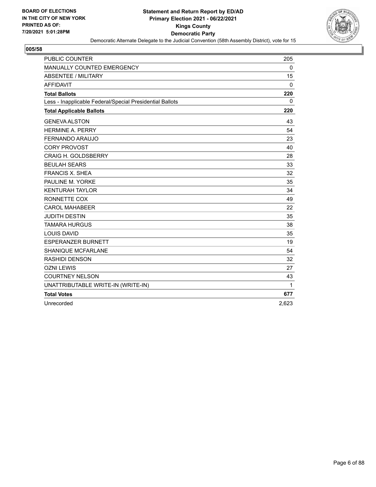

| PUBLIC COUNTER                                           | 205         |
|----------------------------------------------------------|-------------|
| MANUALLY COUNTED EMERGENCY                               | $\mathbf 0$ |
| <b>ABSENTEE / MILITARY</b>                               | 15          |
| <b>AFFIDAVIT</b>                                         | 0           |
| <b>Total Ballots</b>                                     | 220         |
| Less - Inapplicable Federal/Special Presidential Ballots | 0           |
| <b>Total Applicable Ballots</b>                          | 220         |
| <b>GENEVA ALSTON</b>                                     | 43          |
| <b>HERMINE A. PERRY</b>                                  | 54          |
| <b>FERNANDO ARAUJO</b>                                   | 23          |
| <b>CORY PROVOST</b>                                      | 40          |
| <b>CRAIG H. GOLDSBERRY</b>                               | 28          |
| <b>BEULAH SEARS</b>                                      | 33          |
| <b>FRANCIS X. SHEA</b>                                   | 32          |
| PAULINE M. YORKE                                         | 35          |
| <b>KENTURAH TAYLOR</b>                                   | 34          |
| RONNETTE COX                                             | 49          |
| <b>CAROL MAHABEER</b>                                    | 22          |
| <b>JUDITH DESTIN</b>                                     | 35          |
| <b>TAMARA HURGUS</b>                                     | 38          |
| <b>LOUIS DAVID</b>                                       | 35          |
| <b>ESPERANZER BURNETT</b>                                | 19          |
| <b>SHANIQUE MCFARLANE</b>                                | 54          |
| <b>RASHIDI DENSON</b>                                    | 32          |
| <b>OZNI LEWIS</b>                                        | 27          |
| <b>COURTNEY NELSON</b>                                   | 43          |
| UNATTRIBUTABLE WRITE-IN (WRITE-IN)                       | 1           |
| <b>Total Votes</b>                                       | 677         |
| Unrecorded                                               | 2,623       |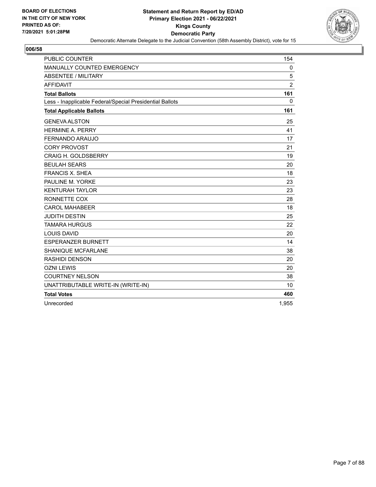

| PUBLIC COUNTER                                           | 154            |
|----------------------------------------------------------|----------------|
| <b>MANUALLY COUNTED EMERGENCY</b>                        | 0              |
| <b>ABSENTEE / MILITARY</b>                               | 5              |
| <b>AFFIDAVIT</b>                                         | $\overline{c}$ |
| <b>Total Ballots</b>                                     | 161            |
| Less - Inapplicable Federal/Special Presidential Ballots | $\mathbf{0}$   |
| <b>Total Applicable Ballots</b>                          | 161            |
| <b>GENEVA ALSTON</b>                                     | 25             |
| <b>HERMINE A. PERRY</b>                                  | 41             |
| FERNANDO ARAUJO                                          | 17             |
| <b>CORY PROVOST</b>                                      | 21             |
| <b>CRAIG H. GOLDSBERRY</b>                               | 19             |
| <b>BEULAH SEARS</b>                                      | 20             |
| <b>FRANCIS X. SHEA</b>                                   | 18             |
| PAULINE M. YORKE                                         | 23             |
| <b>KENTURAH TAYLOR</b>                                   | 23             |
| RONNETTE COX                                             | 28             |
| <b>CAROL MAHABEER</b>                                    | 18             |
| <b>JUDITH DESTIN</b>                                     | 25             |
| <b>TAMARA HURGUS</b>                                     | 22             |
| <b>LOUIS DAVID</b>                                       | 20             |
| <b>ESPERANZER BURNETT</b>                                | 14             |
| SHANIQUE MCFARLANE                                       | 38             |
| <b>RASHIDI DENSON</b>                                    | 20             |
| <b>OZNI LEWIS</b>                                        | 20             |
| <b>COURTNEY NELSON</b>                                   | 38             |
| UNATTRIBUTABLE WRITE-IN (WRITE-IN)                       | 10             |
| <b>Total Votes</b>                                       | 460            |
| Unrecorded                                               | 1,955          |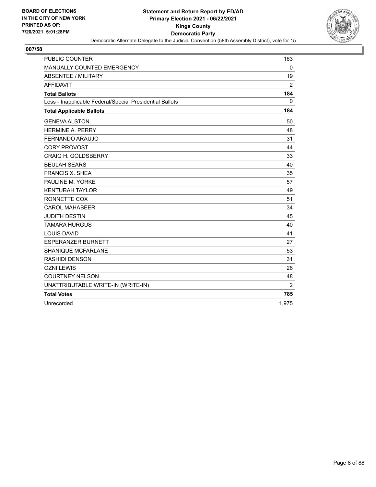

| <b>PUBLIC COUNTER</b>                                    | 163   |
|----------------------------------------------------------|-------|
| MANUALLY COUNTED EMERGENCY                               | 0     |
| <b>ABSENTEE / MILITARY</b>                               | 19    |
| <b>AFFIDAVIT</b>                                         | 2     |
| <b>Total Ballots</b>                                     | 184   |
| Less - Inapplicable Federal/Special Presidential Ballots | 0     |
| <b>Total Applicable Ballots</b>                          | 184   |
| <b>GENEVA ALSTON</b>                                     | 50    |
| <b>HERMINE A. PERRY</b>                                  | 48    |
| FERNANDO ARAUJO                                          | 31    |
| <b>CORY PROVOST</b>                                      | 44    |
| <b>CRAIG H. GOLDSBERRY</b>                               | 33    |
| <b>BEULAH SEARS</b>                                      | 40    |
| <b>FRANCIS X. SHEA</b>                                   | 35    |
| PAULINE M. YORKE                                         | 57    |
| <b>KENTURAH TAYLOR</b>                                   | 49    |
| RONNETTE COX                                             | 51    |
| <b>CAROL MAHABEER</b>                                    | 34    |
| <b>JUDITH DESTIN</b>                                     | 45    |
| <b>TAMARA HURGUS</b>                                     | 40    |
| <b>LOUIS DAVID</b>                                       | 41    |
| <b>ESPERANZER BURNETT</b>                                | 27    |
| <b>SHANIQUE MCFARLANE</b>                                | 53    |
| <b>RASHIDI DENSON</b>                                    | 31    |
| <b>OZNI LEWIS</b>                                        | 26    |
| <b>COURTNEY NELSON</b>                                   | 48    |
| UNATTRIBUTABLE WRITE-IN (WRITE-IN)                       | 2     |
| <b>Total Votes</b>                                       | 785   |
| Unrecorded                                               | 1,975 |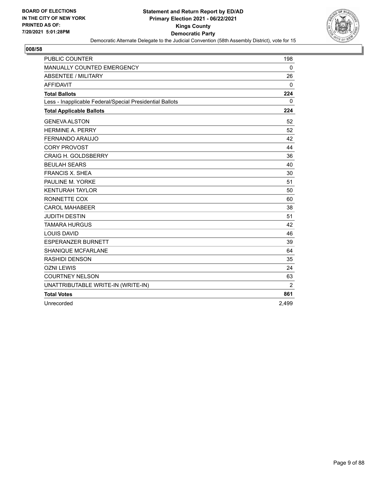

| <b>PUBLIC COUNTER</b>                                    | 198         |
|----------------------------------------------------------|-------------|
| MANUALLY COUNTED EMERGENCY                               | $\mathbf 0$ |
| <b>ABSENTEE / MILITARY</b>                               | 26          |
| <b>AFFIDAVIT</b>                                         | 0           |
| <b>Total Ballots</b>                                     | 224         |
| Less - Inapplicable Federal/Special Presidential Ballots | 0           |
| <b>Total Applicable Ballots</b>                          | 224         |
| <b>GENEVA ALSTON</b>                                     | 52          |
| <b>HERMINE A. PERRY</b>                                  | 52          |
| FERNANDO ARAUJO                                          | 42          |
| <b>CORY PROVOST</b>                                      | 44          |
| <b>CRAIG H. GOLDSBERRY</b>                               | 36          |
| <b>BEULAH SEARS</b>                                      | 40          |
| <b>FRANCIS X. SHEA</b>                                   | 30          |
| PAULINE M. YORKE                                         | 51          |
| <b>KENTURAH TAYLOR</b>                                   | 50          |
| RONNETTE COX                                             | 60          |
| <b>CAROL MAHABEER</b>                                    | 38          |
| <b>JUDITH DESTIN</b>                                     | 51          |
| <b>TAMARA HURGUS</b>                                     | 42          |
| <b>LOUIS DAVID</b>                                       | 46          |
| <b>ESPERANZER BURNETT</b>                                | 39          |
| <b>SHANIQUE MCFARLANE</b>                                | 64          |
| <b>RASHIDI DENSON</b>                                    | 35          |
| <b>OZNI LEWIS</b>                                        | 24          |
| <b>COURTNEY NELSON</b>                                   | 63          |
| UNATTRIBUTABLE WRITE-IN (WRITE-IN)                       | 2           |
| <b>Total Votes</b>                                       | 861         |
| Unrecorded                                               | 2,499       |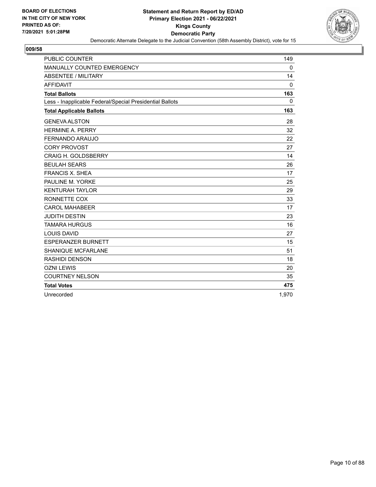

| <b>PUBLIC COUNTER</b>                                    | 149          |
|----------------------------------------------------------|--------------|
| MANUALLY COUNTED EMERGENCY                               | 0            |
| <b>ABSENTEE / MILITARY</b>                               | 14           |
| <b>AFFIDAVIT</b>                                         | $\Omega$     |
| <b>Total Ballots</b>                                     | 163          |
| Less - Inapplicable Federal/Special Presidential Ballots | $\mathbf{0}$ |
| <b>Total Applicable Ballots</b>                          | 163          |
| <b>GENEVA ALSTON</b>                                     | 28           |
| <b>HERMINE A. PERRY</b>                                  | 32           |
| <b>FERNANDO ARAUJO</b>                                   | 22           |
| <b>CORY PROVOST</b>                                      | 27           |
| <b>CRAIG H. GOLDSBERRY</b>                               | 14           |
| <b>BEULAH SEARS</b>                                      | 26           |
| <b>FRANCIS X. SHEA</b>                                   | 17           |
| PAULINE M. YORKE                                         | 25           |
| <b>KENTURAH TAYLOR</b>                                   | 29           |
| RONNETTE COX                                             | 33           |
| <b>CAROL MAHABEER</b>                                    | 17           |
| <b>JUDITH DESTIN</b>                                     | 23           |
| <b>TAMARA HURGUS</b>                                     | 16           |
| <b>LOUIS DAVID</b>                                       | 27           |
| <b>ESPERANZER BURNETT</b>                                | 15           |
| <b>SHANIQUE MCFARLANE</b>                                | 51           |
| <b>RASHIDI DENSON</b>                                    | 18           |
| <b>OZNI LEWIS</b>                                        | 20           |
| <b>COURTNEY NELSON</b>                                   | 35           |
| <b>Total Votes</b>                                       | 475          |
| Unrecorded                                               | 1,970        |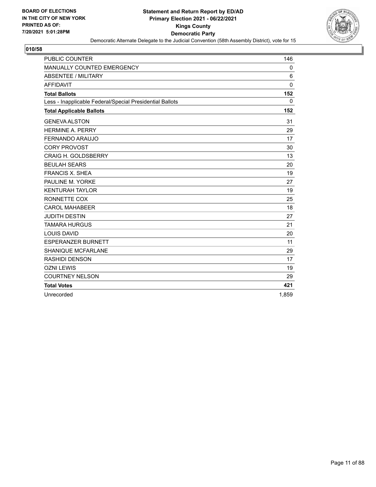

| <b>PUBLIC COUNTER</b>                                    | 146          |
|----------------------------------------------------------|--------------|
| MANUALLY COUNTED EMERGENCY                               | 0            |
| <b>ABSENTEE / MILITARY</b>                               | 6            |
| <b>AFFIDAVIT</b>                                         | $\Omega$     |
| <b>Total Ballots</b>                                     | 152          |
| Less - Inapplicable Federal/Special Presidential Ballots | $\mathbf{0}$ |
| <b>Total Applicable Ballots</b>                          | 152          |
| <b>GENEVA ALSTON</b>                                     | 31           |
| <b>HERMINE A. PERRY</b>                                  | 29           |
| FERNANDO ARAUJO                                          | 17           |
| <b>CORY PROVOST</b>                                      | 30           |
| <b>CRAIG H. GOLDSBERRY</b>                               | 13           |
| <b>BEULAH SEARS</b>                                      | 20           |
| <b>FRANCIS X. SHEA</b>                                   | 19           |
| PAULINE M. YORKE                                         | 27           |
| <b>KENTURAH TAYLOR</b>                                   | 19           |
| RONNETTE COX                                             | 25           |
| <b>CAROL MAHABEER</b>                                    | 18           |
| <b>JUDITH DESTIN</b>                                     | 27           |
| <b>TAMARA HURGUS</b>                                     | 21           |
| <b>LOUIS DAVID</b>                                       | 20           |
| <b>ESPERANZER BURNETT</b>                                | 11           |
| SHANIQUE MCFARLANE                                       | 29           |
| <b>RASHIDI DENSON</b>                                    | 17           |
| <b>OZNI LEWIS</b>                                        | 19           |
| <b>COURTNEY NELSON</b>                                   | 29           |
| <b>Total Votes</b>                                       | 421          |
| Unrecorded                                               | 1,859        |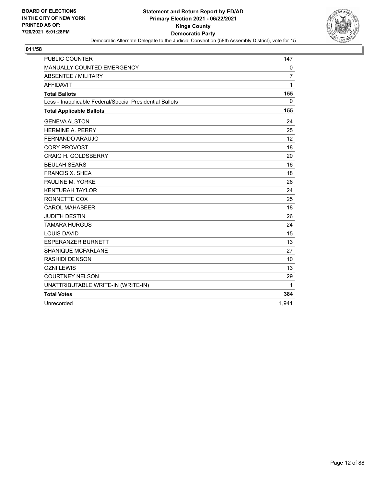

| <b>PUBLIC COUNTER</b>                                    | 147            |
|----------------------------------------------------------|----------------|
| MANUALLY COUNTED EMERGENCY                               | 0              |
| <b>ABSENTEE / MILITARY</b>                               | $\overline{7}$ |
| <b>AFFIDAVIT</b>                                         | 1              |
| <b>Total Ballots</b>                                     | 155            |
| Less - Inapplicable Federal/Special Presidential Ballots | $\mathbf{0}$   |
| <b>Total Applicable Ballots</b>                          | 155            |
| <b>GENEVA ALSTON</b>                                     | 24             |
| <b>HERMINE A. PERRY</b>                                  | 25             |
| FERNANDO ARAUJO                                          | 12             |
| <b>CORY PROVOST</b>                                      | 18             |
| <b>CRAIG H. GOLDSBERRY</b>                               | 20             |
| <b>BEULAH SEARS</b>                                      | 16             |
| <b>FRANCIS X. SHEA</b>                                   | 18             |
| PAULINE M. YORKE                                         | 26             |
| <b>KENTURAH TAYLOR</b>                                   | 24             |
| RONNETTE COX                                             | 25             |
| <b>CAROL MAHABEER</b>                                    | 18             |
| <b>JUDITH DESTIN</b>                                     | 26             |
| <b>TAMARA HURGUS</b>                                     | 24             |
| <b>LOUIS DAVID</b>                                       | 15             |
| <b>ESPERANZER BURNETT</b>                                | 13             |
| <b>SHANIQUE MCFARLANE</b>                                | 27             |
| <b>RASHIDI DENSON</b>                                    | 10             |
| <b>OZNI LEWIS</b>                                        | 13             |
| <b>COURTNEY NELSON</b>                                   | 29             |
| UNATTRIBUTABLE WRITE-IN (WRITE-IN)                       | 1              |
| <b>Total Votes</b>                                       | 384            |
| Unrecorded                                               | 1,941          |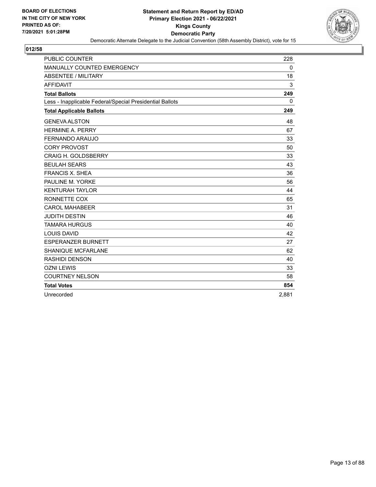

| <b>PUBLIC COUNTER</b>                                    | 228      |
|----------------------------------------------------------|----------|
| MANUALLY COUNTED EMERGENCY                               | 0        |
| ABSENTEE / MILITARY                                      | 18       |
| <b>AFFIDAVIT</b>                                         | 3        |
| <b>Total Ballots</b>                                     | 249      |
| Less - Inapplicable Federal/Special Presidential Ballots | $\Omega$ |
| <b>Total Applicable Ballots</b>                          | 249      |
| <b>GENEVA ALSTON</b>                                     | 48       |
| <b>HERMINE A. PERRY</b>                                  | 67       |
| FERNANDO ARAUJO                                          | 33       |
| <b>CORY PROVOST</b>                                      | 50       |
| <b>CRAIG H. GOLDSBERRY</b>                               | 33       |
| <b>BEULAH SEARS</b>                                      | 43       |
| <b>FRANCIS X. SHEA</b>                                   | 36       |
| PAULINE M. YORKE                                         | 56       |
| <b>KENTURAH TAYLOR</b>                                   | 44       |
| RONNETTE COX                                             | 65       |
| <b>CAROL MAHABEER</b>                                    | 31       |
| <b>JUDITH DESTIN</b>                                     | 46       |
| <b>TAMARA HURGUS</b>                                     | 40       |
| <b>LOUIS DAVID</b>                                       | 42       |
| <b>ESPERANZER BURNETT</b>                                | 27       |
| <b>SHANIQUE MCFARLANE</b>                                | 62       |
| <b>RASHIDI DENSON</b>                                    | 40       |
| <b>OZNI LEWIS</b>                                        | 33       |
| <b>COURTNEY NELSON</b>                                   | 58       |
| <b>Total Votes</b>                                       | 854      |
| Unrecorded                                               | 2.881    |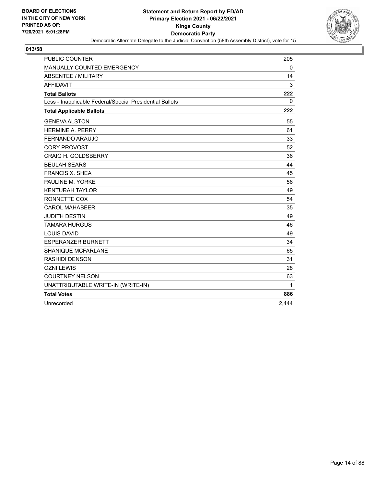

| <b>PUBLIC COUNTER</b>                                    | 205          |
|----------------------------------------------------------|--------------|
| MANUALLY COUNTED EMERGENCY                               | 0            |
| <b>ABSENTEE / MILITARY</b>                               | 14           |
| <b>AFFIDAVIT</b>                                         | 3            |
| <b>Total Ballots</b>                                     | 222          |
| Less - Inapplicable Federal/Special Presidential Ballots | $\mathbf{0}$ |
| <b>Total Applicable Ballots</b>                          | 222          |
| <b>GENEVA ALSTON</b>                                     | 55           |
| <b>HERMINE A. PERRY</b>                                  | 61           |
| FERNANDO ARAUJO                                          | 33           |
| <b>CORY PROVOST</b>                                      | 52           |
| <b>CRAIG H. GOLDSBERRY</b>                               | 36           |
| <b>BEULAH SEARS</b>                                      | 44           |
| <b>FRANCIS X. SHEA</b>                                   | 45           |
| PAULINE M. YORKE                                         | 56           |
| <b>KENTURAH TAYLOR</b>                                   | 49           |
| RONNETTE COX                                             | 54           |
| <b>CAROL MAHABEER</b>                                    | 35           |
| <b>JUDITH DESTIN</b>                                     | 49           |
| <b>TAMARA HURGUS</b>                                     | 46           |
| <b>LOUIS DAVID</b>                                       | 49           |
| <b>ESPERANZER BURNETT</b>                                | 34           |
| <b>SHANIQUE MCFARLANE</b>                                | 65           |
| <b>RASHIDI DENSON</b>                                    | 31           |
| <b>OZNI LEWIS</b>                                        | 28           |
| <b>COURTNEY NELSON</b>                                   | 63           |
| UNATTRIBUTABLE WRITE-IN (WRITE-IN)                       | $\mathbf{1}$ |
| <b>Total Votes</b>                                       | 886          |
| Unrecorded                                               | 2,444        |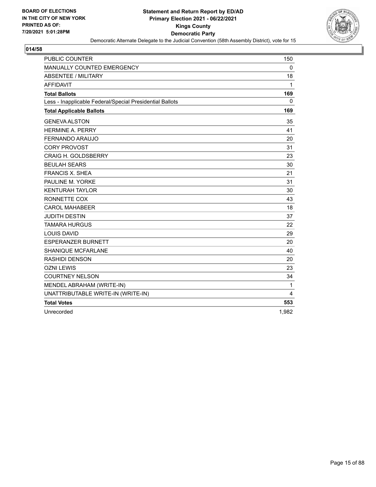

| <b>PUBLIC COUNTER</b>                                    | 150   |
|----------------------------------------------------------|-------|
| MANUALLY COUNTED EMERGENCY                               | 0     |
| <b>ABSENTEE / MILITARY</b>                               | 18    |
| <b>AFFIDAVIT</b>                                         | 1     |
| <b>Total Ballots</b>                                     | 169   |
| Less - Inapplicable Federal/Special Presidential Ballots | 0     |
| <b>Total Applicable Ballots</b>                          | 169   |
| <b>GENEVA ALSTON</b>                                     | 35    |
| <b>HERMINE A. PERRY</b>                                  | 41    |
| <b>FERNANDO ARAUJO</b>                                   | 20    |
| <b>CORY PROVOST</b>                                      | 31    |
| <b>CRAIG H. GOLDSBERRY</b>                               | 23    |
| <b>BEULAH SEARS</b>                                      | 30    |
| <b>FRANCIS X. SHEA</b>                                   | 21    |
| PAULINE M. YORKE                                         | 31    |
| <b>KENTURAH TAYLOR</b>                                   | 30    |
| RONNETTE COX                                             | 43    |
| <b>CAROL MAHABEER</b>                                    | 18    |
| <b>JUDITH DESTIN</b>                                     | 37    |
| <b>TAMARA HURGUS</b>                                     | 22    |
| <b>LOUIS DAVID</b>                                       | 29    |
| <b>ESPERANZER BURNETT</b>                                | 20    |
| <b>SHANIQUE MCFARLANE</b>                                | 40    |
| <b>RASHIDI DENSON</b>                                    | 20    |
| <b>OZNI LEWIS</b>                                        | 23    |
| <b>COURTNEY NELSON</b>                                   | 34    |
| MENDEL ABRAHAM (WRITE-IN)                                | 1     |
| UNATTRIBUTABLE WRITE-IN (WRITE-IN)                       | 4     |
| <b>Total Votes</b>                                       | 553   |
| Unrecorded                                               | 1,982 |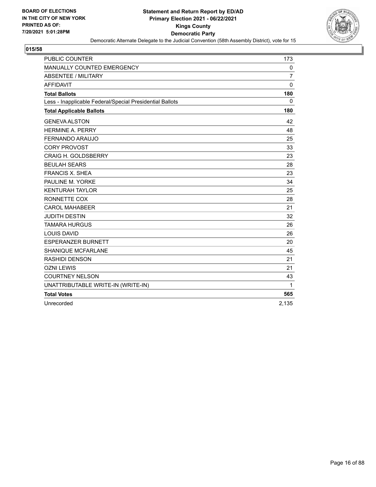

| PUBLIC COUNTER                                           | 173            |
|----------------------------------------------------------|----------------|
| MANUALLY COUNTED EMERGENCY                               | 0              |
| <b>ABSENTEE / MILITARY</b>                               | $\overline{7}$ |
| <b>AFFIDAVIT</b>                                         | $\mathbf 0$    |
| <b>Total Ballots</b>                                     | 180            |
| Less - Inapplicable Federal/Special Presidential Ballots | $\mathbf 0$    |
| <b>Total Applicable Ballots</b>                          | 180            |
| <b>GENEVA ALSTON</b>                                     | 42             |
| <b>HERMINE A. PERRY</b>                                  | 48             |
| <b>FERNANDO ARAUJO</b>                                   | 25             |
| <b>CORY PROVOST</b>                                      | 33             |
| <b>CRAIG H. GOLDSBERRY</b>                               | 23             |
| <b>BEULAH SEARS</b>                                      | 28             |
| <b>FRANCIS X. SHEA</b>                                   | 23             |
| PAULINE M. YORKE                                         | 34             |
| <b>KENTURAH TAYLOR</b>                                   | 25             |
| RONNETTE COX                                             | 28             |
| <b>CAROL MAHABEER</b>                                    | 21             |
| <b>JUDITH DESTIN</b>                                     | 32             |
| <b>TAMARA HURGUS</b>                                     | 26             |
| <b>LOUIS DAVID</b>                                       | 26             |
| <b>ESPERANZER BURNETT</b>                                | 20             |
| <b>SHANIQUE MCFARLANE</b>                                | 45             |
| <b>RASHIDI DENSON</b>                                    | 21             |
| <b>OZNI LEWIS</b>                                        | 21             |
| <b>COURTNEY NELSON</b>                                   | 43             |
| UNATTRIBUTABLE WRITE-IN (WRITE-IN)                       | 1              |
| <b>Total Votes</b>                                       | 565            |
| Unrecorded                                               | 2,135          |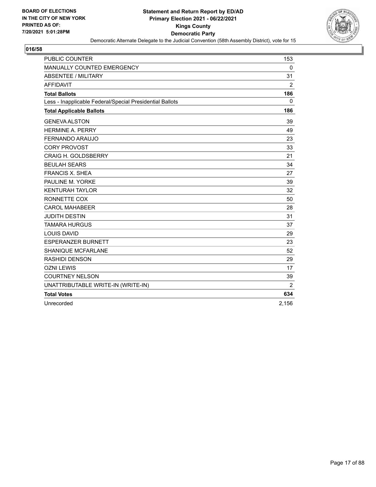

| PUBLIC COUNTER                                           | 153         |
|----------------------------------------------------------|-------------|
| MANUALLY COUNTED EMERGENCY                               | $\mathbf 0$ |
| <b>ABSENTEE / MILITARY</b>                               | 31          |
| <b>AFFIDAVIT</b>                                         | 2           |
| <b>Total Ballots</b>                                     | 186         |
| Less - Inapplicable Federal/Special Presidential Ballots | $\mathbf 0$ |
| <b>Total Applicable Ballots</b>                          | 186         |
| <b>GENEVA ALSTON</b>                                     | 39          |
| <b>HERMINE A. PERRY</b>                                  | 49          |
| <b>FERNANDO ARAUJO</b>                                   | 23          |
| <b>CORY PROVOST</b>                                      | 33          |
| <b>CRAIG H. GOLDSBERRY</b>                               | 21          |
| <b>BEULAH SEARS</b>                                      | 34          |
| <b>FRANCIS X. SHEA</b>                                   | 27          |
| PAULINE M. YORKE                                         | 39          |
| <b>KENTURAH TAYLOR</b>                                   | 32          |
| RONNETTE COX                                             | 50          |
| <b>CAROL MAHABEER</b>                                    | 28          |
| <b>JUDITH DESTIN</b>                                     | 31          |
| <b>TAMARA HURGUS</b>                                     | 37          |
| <b>LOUIS DAVID</b>                                       | 29          |
| <b>ESPERANZER BURNETT</b>                                | 23          |
| <b>SHANIQUE MCFARLANE</b>                                | 52          |
| <b>RASHIDI DENSON</b>                                    | 29          |
| <b>OZNI LEWIS</b>                                        | 17          |
| <b>COURTNEY NELSON</b>                                   | 39          |
| UNATTRIBUTABLE WRITE-IN (WRITE-IN)                       | 2           |
| <b>Total Votes</b>                                       | 634         |
| Unrecorded                                               | 2,156       |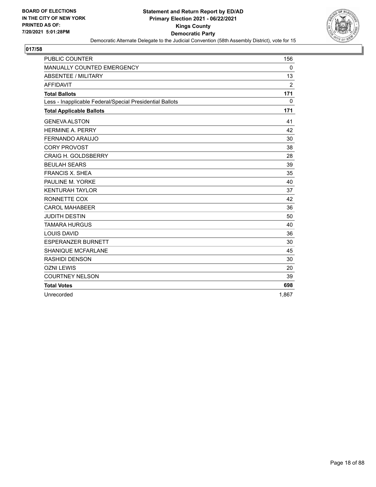

| <b>PUBLIC COUNTER</b>                                    | 156      |
|----------------------------------------------------------|----------|
| MANUALLY COUNTED EMERGENCY                               | 0        |
| <b>ABSENTEE / MILITARY</b>                               | 13       |
| <b>AFFIDAVIT</b>                                         | 2        |
| <b>Total Ballots</b>                                     | 171      |
| Less - Inapplicable Federal/Special Presidential Ballots | $\Omega$ |
| <b>Total Applicable Ballots</b>                          | 171      |
| <b>GENEVA ALSTON</b>                                     | 41       |
| <b>HERMINE A. PERRY</b>                                  | 42       |
| FERNANDO ARAUJO                                          | 30       |
| <b>CORY PROVOST</b>                                      | 38       |
| <b>CRAIG H. GOLDSBERRY</b>                               | 28       |
| <b>BEULAH SEARS</b>                                      | 39       |
| <b>FRANCIS X. SHEA</b>                                   | 35       |
| PAULINE M. YORKE                                         | 40       |
| <b>KENTURAH TAYLOR</b>                                   | 37       |
| RONNETTE COX                                             | 42       |
| <b>CAROL MAHABEER</b>                                    | 36       |
| <b>JUDITH DESTIN</b>                                     | 50       |
| <b>TAMARA HURGUS</b>                                     | 40       |
| <b>LOUIS DAVID</b>                                       | 36       |
| <b>ESPERANZER BURNETT</b>                                | 30       |
| <b>SHANIQUE MCFARLANE</b>                                | 45       |
| RASHIDI DENSON                                           | 30       |
| <b>OZNI LEWIS</b>                                        | 20       |
| <b>COURTNEY NELSON</b>                                   | 39       |
| <b>Total Votes</b>                                       | 698      |
| Unrecorded                                               | 1,867    |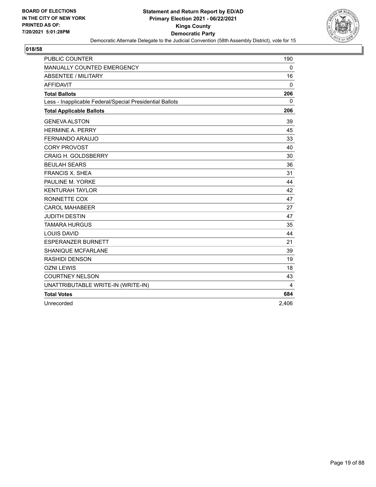

| <b>PUBLIC COUNTER</b>                                    | 190   |
|----------------------------------------------------------|-------|
| MANUALLY COUNTED EMERGENCY                               | 0     |
| <b>ABSENTEE / MILITARY</b>                               | 16    |
| <b>AFFIDAVIT</b>                                         | 0     |
| <b>Total Ballots</b>                                     | 206   |
| Less - Inapplicable Federal/Special Presidential Ballots | 0     |
| <b>Total Applicable Ballots</b>                          | 206   |
| <b>GENEVA ALSTON</b>                                     | 39    |
| <b>HERMINE A. PERRY</b>                                  | 45    |
| FERNANDO ARAUJO                                          | 33    |
| <b>CORY PROVOST</b>                                      | 40    |
| <b>CRAIG H. GOLDSBERRY</b>                               | 30    |
| <b>BEULAH SEARS</b>                                      | 36    |
| <b>FRANCIS X. SHEA</b>                                   | 31    |
| PAULINE M. YORKE                                         | 44    |
| <b>KENTURAH TAYLOR</b>                                   | 42    |
| RONNETTE COX                                             | 47    |
| <b>CAROL MAHABEER</b>                                    | 27    |
| <b>JUDITH DESTIN</b>                                     | 47    |
| <b>TAMARA HURGUS</b>                                     | 35    |
| <b>LOUIS DAVID</b>                                       | 44    |
| <b>ESPERANZER BURNETT</b>                                | 21    |
| <b>SHANIQUE MCFARLANE</b>                                | 39    |
| <b>RASHIDI DENSON</b>                                    | 19    |
| <b>OZNI LEWIS</b>                                        | 18    |
| <b>COURTNEY NELSON</b>                                   | 43    |
| UNATTRIBUTABLE WRITE-IN (WRITE-IN)                       | 4     |
| <b>Total Votes</b>                                       | 684   |
| Unrecorded                                               | 2,406 |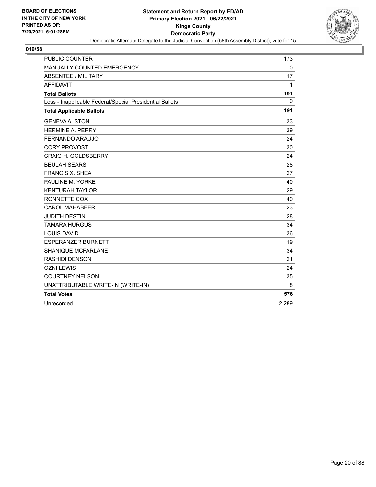

| PUBLIC COUNTER                                           | 173          |
|----------------------------------------------------------|--------------|
| MANUALLY COUNTED EMERGENCY                               | 0            |
| ABSENTEE / MILITARY                                      | 17           |
| <b>AFFIDAVIT</b>                                         | 1            |
| <b>Total Ballots</b>                                     | 191          |
| Less - Inapplicable Federal/Special Presidential Ballots | $\mathbf{0}$ |
| <b>Total Applicable Ballots</b>                          | 191          |
| <b>GENEVA ALSTON</b>                                     | 33           |
| <b>HERMINE A. PERRY</b>                                  | 39           |
| FERNANDO ARAUJO                                          | 24           |
| <b>CORY PROVOST</b>                                      | 30           |
| CRAIG H. GOLDSBERRY                                      | 24           |
| <b>BEULAH SEARS</b>                                      | 28           |
| <b>FRANCIS X. SHEA</b>                                   | 27           |
| PAULINE M. YORKE                                         | 40           |
| <b>KENTURAH TAYLOR</b>                                   | 29           |
| RONNETTE COX                                             | 40           |
| <b>CAROL MAHABEER</b>                                    | 23           |
| <b>JUDITH DESTIN</b>                                     | 28           |
| <b>TAMARA HURGUS</b>                                     | 34           |
| <b>LOUIS DAVID</b>                                       | 36           |
| <b>ESPERANZER BURNETT</b>                                | 19           |
| <b>SHANIQUE MCFARLANE</b>                                | 34           |
| RASHIDI DENSON                                           | 21           |
| <b>OZNI LEWIS</b>                                        | 24           |
| <b>COURTNEY NELSON</b>                                   | 35           |
| UNATTRIBUTABLE WRITE-IN (WRITE-IN)                       | 8            |
| <b>Total Votes</b>                                       | 576          |
| Unrecorded                                               | 2,289        |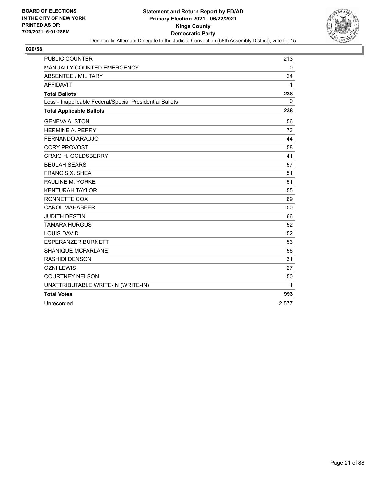

| <b>PUBLIC COUNTER</b>                                    | 213          |
|----------------------------------------------------------|--------------|
| MANUALLY COUNTED EMERGENCY                               | $\mathbf 0$  |
| <b>ABSENTEE / MILITARY</b>                               | 24           |
| <b>AFFIDAVIT</b>                                         | 1            |
| <b>Total Ballots</b>                                     | 238          |
| Less - Inapplicable Federal/Special Presidential Ballots | $\mathbf{0}$ |
| <b>Total Applicable Ballots</b>                          | 238          |
| <b>GENEVA ALSTON</b>                                     | 56           |
| <b>HERMINE A. PERRY</b>                                  | 73           |
| FERNANDO ARAUJO                                          | 44           |
| <b>CORY PROVOST</b>                                      | 58           |
| <b>CRAIG H. GOLDSBERRY</b>                               | 41           |
| <b>BEULAH SEARS</b>                                      | 57           |
| <b>FRANCIS X. SHEA</b>                                   | 51           |
| PAULINE M. YORKE                                         | 51           |
| <b>KENTURAH TAYLOR</b>                                   | 55           |
| RONNETTE COX                                             | 69           |
| <b>CAROL MAHABEER</b>                                    | 50           |
| <b>JUDITH DESTIN</b>                                     | 66           |
| <b>TAMARA HURGUS</b>                                     | 52           |
| <b>LOUIS DAVID</b>                                       | 52           |
| <b>ESPERANZER BURNETT</b>                                | 53           |
| <b>SHANIQUE MCFARLANE</b>                                | 56           |
| <b>RASHIDI DENSON</b>                                    | 31           |
| <b>OZNI LEWIS</b>                                        | 27           |
| <b>COURTNEY NELSON</b>                                   | 50           |
| UNATTRIBUTABLE WRITE-IN (WRITE-IN)                       | 1            |
| <b>Total Votes</b>                                       | 993          |
| Unrecorded                                               | 2,577        |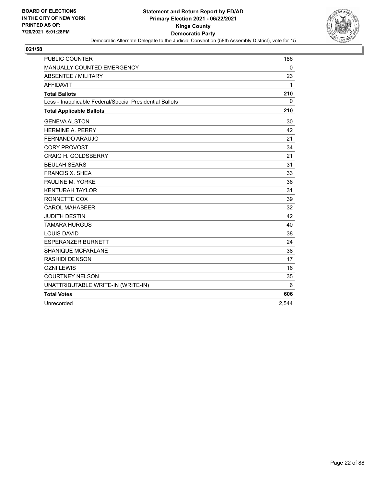

| <b>PUBLIC COUNTER</b>                                    | 186          |
|----------------------------------------------------------|--------------|
| <b>MANUALLY COUNTED EMERGENCY</b>                        | $\mathbf 0$  |
| <b>ABSENTEE / MILITARY</b>                               | 23           |
| <b>AFFIDAVIT</b>                                         | 1            |
| <b>Total Ballots</b>                                     | 210          |
| Less - Inapplicable Federal/Special Presidential Ballots | $\mathbf{0}$ |
| <b>Total Applicable Ballots</b>                          | 210          |
| <b>GENEVA ALSTON</b>                                     | 30           |
| <b>HERMINE A. PERRY</b>                                  | 42           |
| FERNANDO ARAUJO                                          | 21           |
| <b>CORY PROVOST</b>                                      | 34           |
| <b>CRAIG H. GOLDSBERRY</b>                               | 21           |
| <b>BEULAH SEARS</b>                                      | 31           |
| <b>FRANCIS X. SHEA</b>                                   | 33           |
| PAULINE M. YORKE                                         | 36           |
| <b>KENTURAH TAYLOR</b>                                   | 31           |
| RONNETTE COX                                             | 39           |
| <b>CAROL MAHABEER</b>                                    | 32           |
| <b>JUDITH DESTIN</b>                                     | 42           |
| <b>TAMARA HURGUS</b>                                     | 40           |
| <b>LOUIS DAVID</b>                                       | 38           |
| <b>ESPERANZER BURNETT</b>                                | 24           |
| <b>SHANIQUE MCFARLANE</b>                                | 38           |
| RASHIDI DENSON                                           | 17           |
| <b>OZNI LEWIS</b>                                        | 16           |
| <b>COURTNEY NELSON</b>                                   | 35           |
| UNATTRIBUTABLE WRITE-IN (WRITE-IN)                       | 6            |
| <b>Total Votes</b>                                       | 606          |
| Unrecorded                                               | 2,544        |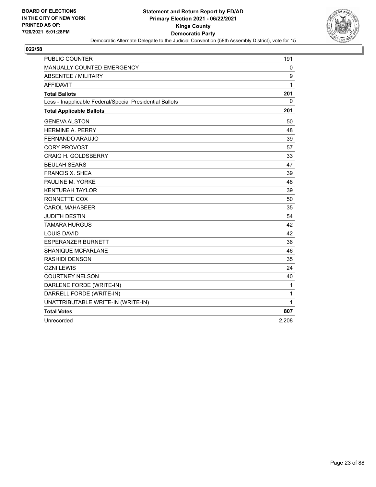

| <b>PUBLIC COUNTER</b>                                    | 191   |
|----------------------------------------------------------|-------|
| <b>MANUALLY COUNTED EMERGENCY</b>                        | 0     |
| <b>ABSENTEE / MILITARY</b>                               | 9     |
| <b>AFFIDAVIT</b>                                         | 1     |
| <b>Total Ballots</b>                                     | 201   |
| Less - Inapplicable Federal/Special Presidential Ballots | 0     |
| <b>Total Applicable Ballots</b>                          | 201   |
| <b>GENEVA ALSTON</b>                                     | 50    |
| <b>HERMINE A. PERRY</b>                                  | 48    |
| <b>FERNANDO ARAUJO</b>                                   | 39    |
| <b>CORY PROVOST</b>                                      | 57    |
| <b>CRAIG H. GOLDSBERRY</b>                               | 33    |
| <b>BEULAH SEARS</b>                                      | 47    |
| <b>FRANCIS X. SHEA</b>                                   | 39    |
| PAULINE M. YORKE                                         | 48    |
| <b>KENTURAH TAYLOR</b>                                   | 39    |
| RONNETTE COX                                             | 50    |
| <b>CAROL MAHABEER</b>                                    | 35    |
| <b>JUDITH DESTIN</b>                                     | 54    |
| <b>TAMARA HURGUS</b>                                     | 42    |
| <b>LOUIS DAVID</b>                                       | 42    |
| <b>ESPERANZER BURNETT</b>                                | 36    |
| <b>SHANIQUE MCFARLANE</b>                                | 46    |
| RASHIDI DENSON                                           | 35    |
| <b>OZNI LEWIS</b>                                        | 24    |
| <b>COURTNEY NELSON</b>                                   | 40    |
| DARLENE FORDE (WRITE-IN)                                 | 1     |
| DARRELL FORDE (WRITE-IN)                                 | 1     |
| UNATTRIBUTABLE WRITE-IN (WRITE-IN)                       | 1     |
| <b>Total Votes</b>                                       | 807   |
| Unrecorded                                               | 2,208 |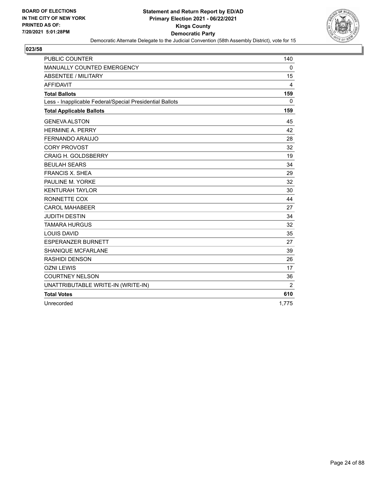

| <b>PUBLIC COUNTER</b>                                    | 140            |
|----------------------------------------------------------|----------------|
| MANUALLY COUNTED EMERGENCY                               | $\mathbf 0$    |
| <b>ABSENTEE / MILITARY</b>                               | 15             |
| <b>AFFIDAVIT</b>                                         | 4              |
| <b>Total Ballots</b>                                     | 159            |
| Less - Inapplicable Federal/Special Presidential Ballots | 0              |
| <b>Total Applicable Ballots</b>                          | 159            |
| <b>GENEVA ALSTON</b>                                     | 45             |
| <b>HERMINE A. PERRY</b>                                  | 42             |
| FERNANDO ARAUJO                                          | 28             |
| <b>CORY PROVOST</b>                                      | 32             |
| <b>CRAIG H. GOLDSBERRY</b>                               | 19             |
| <b>BEULAH SEARS</b>                                      | 34             |
| <b>FRANCIS X. SHEA</b>                                   | 29             |
| PAULINE M. YORKE                                         | 32             |
| <b>KENTURAH TAYLOR</b>                                   | 30             |
| RONNETTE COX                                             | 44             |
| <b>CAROL MAHABEER</b>                                    | 27             |
| <b>JUDITH DESTIN</b>                                     | 34             |
| <b>TAMARA HURGUS</b>                                     | 32             |
| <b>LOUIS DAVID</b>                                       | 35             |
| <b>ESPERANZER BURNETT</b>                                | 27             |
| <b>SHANIQUE MCFARLANE</b>                                | 39             |
| <b>RASHIDI DENSON</b>                                    | 26             |
| <b>OZNI LEWIS</b>                                        | 17             |
| <b>COURTNEY NELSON</b>                                   | 36             |
| UNATTRIBUTABLE WRITE-IN (WRITE-IN)                       | $\overline{2}$ |
| <b>Total Votes</b>                                       | 610            |
| Unrecorded                                               | 1,775          |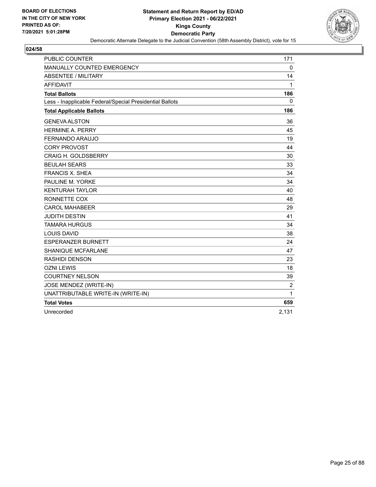

| <b>PUBLIC COUNTER</b>                                    | 171         |
|----------------------------------------------------------|-------------|
| MANUALLY COUNTED EMERGENCY                               | $\mathbf 0$ |
| <b>ABSENTEE / MILITARY</b>                               | 14          |
| <b>AFFIDAVIT</b>                                         | 1           |
| <b>Total Ballots</b>                                     | 186         |
| Less - Inapplicable Federal/Special Presidential Ballots | $\Omega$    |
| <b>Total Applicable Ballots</b>                          | 186         |
| <b>GENEVA ALSTON</b>                                     | 36          |
| <b>HERMINE A. PERRY</b>                                  | 45          |
| <b>FERNANDO ARAUJO</b>                                   | 19          |
| <b>CORY PROVOST</b>                                      | 44          |
| <b>CRAIG H. GOLDSBERRY</b>                               | 30          |
| <b>BEULAH SEARS</b>                                      | 33          |
| <b>FRANCIS X. SHEA</b>                                   | 34          |
| PAULINE M. YORKE                                         | 34          |
| <b>KENTURAH TAYLOR</b>                                   | 40          |
| RONNETTE COX                                             | 48          |
| <b>CAROL MAHABEER</b>                                    | 29          |
| <b>JUDITH DESTIN</b>                                     | 41          |
| <b>TAMARA HURGUS</b>                                     | 34          |
| <b>LOUIS DAVID</b>                                       | 38          |
| <b>ESPERANZER BURNETT</b>                                | 24          |
| <b>SHANIQUE MCFARLANE</b>                                | 47          |
| <b>RASHIDI DENSON</b>                                    | 23          |
| <b>OZNI LEWIS</b>                                        | 18          |
| <b>COURTNEY NELSON</b>                                   | 39          |
| JOSE MENDEZ (WRITE-IN)                                   | 2           |
| UNATTRIBUTABLE WRITE-IN (WRITE-IN)                       | 1           |
| <b>Total Votes</b>                                       | 659         |
| Unrecorded                                               | 2,131       |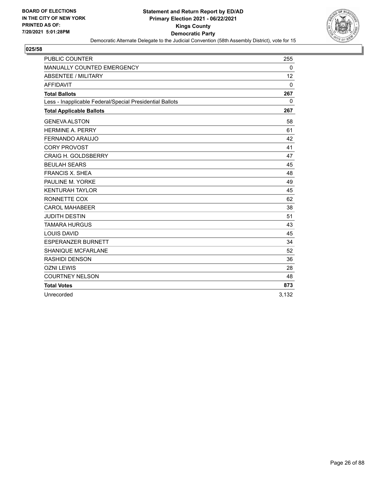

| <b>PUBLIC COUNTER</b>                                    | 255         |
|----------------------------------------------------------|-------------|
| MANUALLY COUNTED EMERGENCY                               | 0           |
| <b>ABSENTEE / MILITARY</b>                               | 12          |
| <b>AFFIDAVIT</b>                                         | $\Omega$    |
| <b>Total Ballots</b>                                     | 267         |
| Less - Inapplicable Federal/Special Presidential Ballots | $\mathbf 0$ |
| <b>Total Applicable Ballots</b>                          | 267         |
| <b>GENEVA ALSTON</b>                                     | 58          |
| <b>HERMINE A. PERRY</b>                                  | 61          |
| FERNANDO ARAUJO                                          | 42          |
| <b>CORY PROVOST</b>                                      | 41          |
| <b>CRAIG H. GOLDSBERRY</b>                               | 47          |
| <b>BEULAH SEARS</b>                                      | 45          |
| <b>FRANCIS X. SHEA</b>                                   | 48          |
| PAULINE M. YORKE                                         | 49          |
| <b>KENTURAH TAYLOR</b>                                   | 45          |
| RONNETTE COX                                             | 62          |
| <b>CAROL MAHABEER</b>                                    | 38          |
| <b>JUDITH DESTIN</b>                                     | 51          |
| <b>TAMARA HURGUS</b>                                     | 43          |
| <b>LOUIS DAVID</b>                                       | 45          |
| <b>ESPERANZER BURNETT</b>                                | 34          |
| <b>SHANIQUE MCFARLANE</b>                                | 52          |
| <b>RASHIDI DENSON</b>                                    | 36          |
| <b>OZNI LEWIS</b>                                        | 28          |
| <b>COURTNEY NELSON</b>                                   | 48          |
| <b>Total Votes</b>                                       | 873         |
| Unrecorded                                               | 3,132       |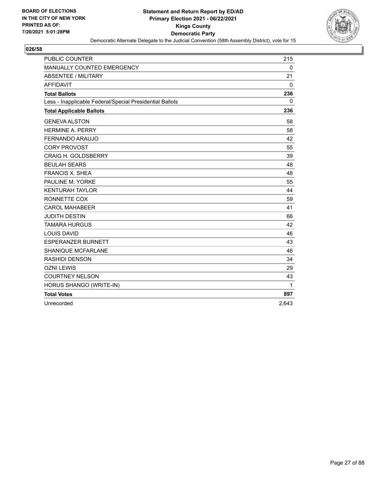

| <b>PUBLIC COUNTER</b>                                    | 215         |
|----------------------------------------------------------|-------------|
| MANUALLY COUNTED EMERGENCY                               | $\mathbf 0$ |
| <b>ABSENTEE / MILITARY</b>                               | 21          |
| <b>AFFIDAVIT</b>                                         | 0           |
| <b>Total Ballots</b>                                     | 236         |
| Less - Inapplicable Federal/Special Presidential Ballots | 0           |
| <b>Total Applicable Ballots</b>                          | 236         |
| <b>GENEVA ALSTON</b>                                     | 58          |
| <b>HERMINE A. PERRY</b>                                  | 58          |
| <b>FERNANDO ARAUJO</b>                                   | 42          |
| <b>CORY PROVOST</b>                                      | 55          |
| <b>CRAIG H. GOLDSBERRY</b>                               | 39          |
| <b>BEULAH SEARS</b>                                      | 48          |
| <b>FRANCIS X. SHEA</b>                                   | 48          |
| PAULINE M. YORKE                                         | 55          |
| <b>KENTURAH TAYLOR</b>                                   | 44          |
| RONNETTE COX                                             | 59          |
| <b>CAROL MAHABEER</b>                                    | 41          |
| <b>JUDITH DESTIN</b>                                     | 66          |
| <b>TAMARA HURGUS</b>                                     | 42          |
| <b>LOUIS DAVID</b>                                       | 46          |
| <b>ESPERANZER BURNETT</b>                                | 43          |
| <b>SHANIQUE MCFARLANE</b>                                | 46          |
| <b>RASHIDI DENSON</b>                                    | 34          |
| <b>OZNI LEWIS</b>                                        | 29          |
| <b>COURTNEY NELSON</b>                                   | 43          |
| HORUS SHANGO (WRITE-IN)                                  | 1           |
| <b>Total Votes</b>                                       | 897         |
| Unrecorded                                               | 2,643       |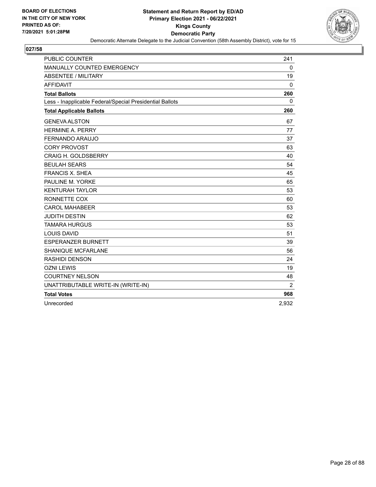

| PUBLIC COUNTER                                           | 241         |
|----------------------------------------------------------|-------------|
| MANUALLY COUNTED EMERGENCY                               | $\mathbf 0$ |
| <b>ABSENTEE / MILITARY</b>                               | 19          |
| <b>AFFIDAVIT</b>                                         | 0           |
| <b>Total Ballots</b>                                     | 260         |
| Less - Inapplicable Federal/Special Presidential Ballots | 0           |
| <b>Total Applicable Ballots</b>                          | 260         |
| <b>GENEVA ALSTON</b>                                     | 67          |
| <b>HERMINE A. PERRY</b>                                  | 77          |
| <b>FERNANDO ARAUJO</b>                                   | 37          |
| <b>CORY PROVOST</b>                                      | 63          |
| <b>CRAIG H. GOLDSBERRY</b>                               | 40          |
| <b>BEULAH SEARS</b>                                      | 54          |
| <b>FRANCIS X. SHEA</b>                                   | 45          |
| PAULINE M. YORKE                                         | 65          |
| <b>KENTURAH TAYLOR</b>                                   | 53          |
| RONNETTE COX                                             | 60          |
| <b>CAROL MAHABEER</b>                                    | 53          |
| <b>JUDITH DESTIN</b>                                     | 62          |
| <b>TAMARA HURGUS</b>                                     | 53          |
| <b>LOUIS DAVID</b>                                       | 51          |
| <b>ESPERANZER BURNETT</b>                                | 39          |
| <b>SHANIQUE MCFARLANE</b>                                | 56          |
| <b>RASHIDI DENSON</b>                                    | 24          |
| <b>OZNI LEWIS</b>                                        | 19          |
| <b>COURTNEY NELSON</b>                                   | 48          |
| UNATTRIBUTABLE WRITE-IN (WRITE-IN)                       | 2           |
| <b>Total Votes</b>                                       | 968         |
| Unrecorded                                               | 2,932       |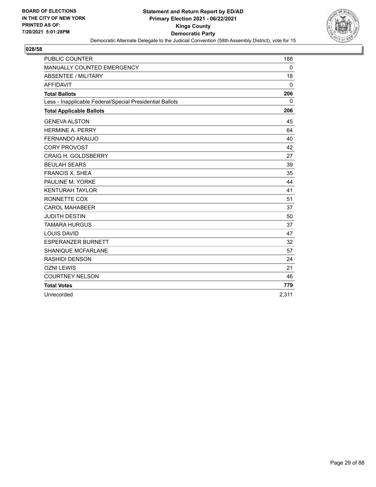

| <b>PUBLIC COUNTER</b>                                    | 188          |
|----------------------------------------------------------|--------------|
| MANUALLY COUNTED EMERGENCY                               | 0            |
| <b>ABSENTEE / MILITARY</b>                               | 18           |
| <b>AFFIDAVIT</b>                                         | $\mathbf{0}$ |
| <b>Total Ballots</b>                                     | 206          |
| Less - Inapplicable Federal/Special Presidential Ballots | $\mathbf{0}$ |
| <b>Total Applicable Ballots</b>                          | 206          |
| <b>GENEVA ALSTON</b>                                     | 45           |
| <b>HERMINE A. PERRY</b>                                  | 64           |
| FERNANDO ARAUJO                                          | 40           |
| <b>CORY PROVOST</b>                                      | 42           |
| <b>CRAIG H. GOLDSBERRY</b>                               | 27           |
| <b>BEULAH SEARS</b>                                      | 39           |
| <b>FRANCIS X. SHEA</b>                                   | 35           |
| PAULINE M. YORKE                                         | 44           |
| <b>KENTURAH TAYLOR</b>                                   | 41           |
| RONNETTE COX                                             | 51           |
| <b>CAROL MAHABEER</b>                                    | 37           |
| <b>JUDITH DESTIN</b>                                     | 50           |
| <b>TAMARA HURGUS</b>                                     | 37           |
| <b>LOUIS DAVID</b>                                       | 47           |
| <b>ESPERANZER BURNETT</b>                                | 32           |
| <b>SHANIQUE MCFARLANE</b>                                | 57           |
| <b>RASHIDI DENSON</b>                                    | 24           |
| <b>OZNI LEWIS</b>                                        | 21           |
| <b>COURTNEY NELSON</b>                                   | 46           |
| <b>Total Votes</b>                                       | 779          |
| Unrecorded                                               | 2,311        |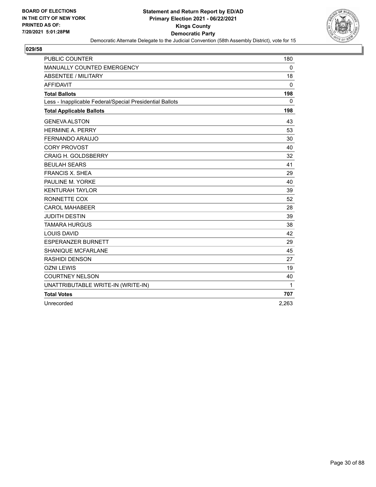

| PUBLIC COUNTER                                           | 180      |
|----------------------------------------------------------|----------|
| MANUALLY COUNTED EMERGENCY                               | 0        |
| <b>ABSENTEE / MILITARY</b>                               | 18       |
| <b>AFFIDAVIT</b>                                         | 0        |
| <b>Total Ballots</b>                                     | 198      |
| Less - Inapplicable Federal/Special Presidential Ballots | $\Omega$ |
| <b>Total Applicable Ballots</b>                          | 198      |
| <b>GENEVA ALSTON</b>                                     | 43       |
| <b>HERMINE A. PERRY</b>                                  | 53       |
| <b>FERNANDO ARAUJO</b>                                   | 30       |
| <b>CORY PROVOST</b>                                      | 40       |
| <b>CRAIG H. GOLDSBERRY</b>                               | 32       |
| <b>BEULAH SEARS</b>                                      | 41       |
| <b>FRANCIS X. SHEA</b>                                   | 29       |
| PAULINE M. YORKE                                         | 40       |
| <b>KENTURAH TAYLOR</b>                                   | 39       |
| RONNETTE COX                                             | 52       |
| <b>CAROL MAHABEER</b>                                    | 28       |
| <b>JUDITH DESTIN</b>                                     | 39       |
| <b>TAMARA HURGUS</b>                                     | 38       |
| <b>LOUIS DAVID</b>                                       | 42       |
| <b>ESPERANZER BURNETT</b>                                | 29       |
| <b>SHANIQUE MCFARLANE</b>                                | 45       |
| <b>RASHIDI DENSON</b>                                    | 27       |
| <b>OZNI LEWIS</b>                                        | 19       |
| <b>COURTNEY NELSON</b>                                   | 40       |
| UNATTRIBUTABLE WRITE-IN (WRITE-IN)                       | 1        |
| <b>Total Votes</b>                                       | 707      |
| Unrecorded                                               | 2,263    |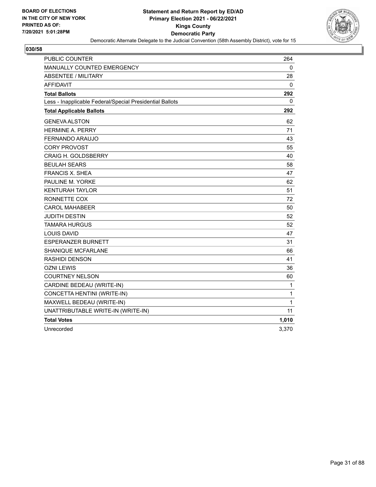

| <b>PUBLIC COUNTER</b>                                    | 264   |
|----------------------------------------------------------|-------|
| MANUALLY COUNTED EMERGENCY                               | 0     |
| <b>ABSENTEE / MILITARY</b>                               | 28    |
| <b>AFFIDAVIT</b>                                         | 0     |
| <b>Total Ballots</b>                                     | 292   |
| Less - Inapplicable Federal/Special Presidential Ballots | 0     |
| <b>Total Applicable Ballots</b>                          | 292   |
| <b>GENEVA ALSTON</b>                                     | 62    |
| <b>HERMINE A. PERRY</b>                                  | 71    |
| FERNANDO ARAUJO                                          | 43    |
| <b>CORY PROVOST</b>                                      | 55    |
| <b>CRAIG H. GOLDSBERRY</b>                               | 40    |
| <b>BEULAH SEARS</b>                                      | 58    |
| <b>FRANCIS X. SHEA</b>                                   | 47    |
| PAULINE M. YORKE                                         | 62    |
| <b>KENTURAH TAYLOR</b>                                   | 51    |
| RONNETTE COX                                             | 72    |
| <b>CAROL MAHABEER</b>                                    | 50    |
| <b>JUDITH DESTIN</b>                                     | 52    |
| <b>TAMARA HURGUS</b>                                     | 52    |
| <b>LOUIS DAVID</b>                                       | 47    |
| <b>ESPERANZER BURNETT</b>                                | 31    |
| <b>SHANIQUE MCFARLANE</b>                                | 66    |
| RASHIDI DENSON                                           | 41    |
| <b>OZNI LEWIS</b>                                        | 36    |
| <b>COURTNEY NELSON</b>                                   | 60    |
| CARDINE BEDEAU (WRITE-IN)                                | 1     |
| CONCETTA HENTINI (WRITE-IN)                              | 1     |
| MAXWELL BEDEAU (WRITE-IN)                                | 1     |
| UNATTRIBUTABLE WRITE-IN (WRITE-IN)                       | 11    |
| <b>Total Votes</b>                                       | 1,010 |
| Unrecorded                                               | 3,370 |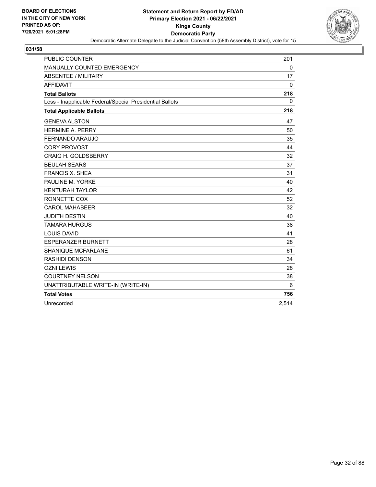

| <b>PUBLIC COUNTER</b>                                    | 201          |
|----------------------------------------------------------|--------------|
| <b>MANUALLY COUNTED EMERGENCY</b>                        | $\mathbf{0}$ |
| <b>ABSENTEE / MILITARY</b>                               | 17           |
| <b>AFFIDAVIT</b>                                         | 0            |
| <b>Total Ballots</b>                                     | 218          |
| Less - Inapplicable Federal/Special Presidential Ballots | $\mathbf{0}$ |
| <b>Total Applicable Ballots</b>                          | 218          |
| <b>GENEVA ALSTON</b>                                     | 47           |
| <b>HERMINE A. PERRY</b>                                  | 50           |
| FERNANDO ARAUJO                                          | 35           |
| <b>CORY PROVOST</b>                                      | 44           |
| <b>CRAIG H. GOLDSBERRY</b>                               | 32           |
| <b>BEULAH SEARS</b>                                      | 37           |
| <b>FRANCIS X. SHEA</b>                                   | 31           |
| PAULINE M. YORKE                                         | 40           |
| <b>KENTURAH TAYLOR</b>                                   | 42           |
| RONNETTE COX                                             | 52           |
| <b>CAROL MAHABEER</b>                                    | 32           |
| <b>JUDITH DESTIN</b>                                     | 40           |
| <b>TAMARA HURGUS</b>                                     | 38           |
| <b>LOUIS DAVID</b>                                       | 41           |
| <b>ESPERANZER BURNETT</b>                                | 28           |
| SHANIQUE MCFARLANE                                       | 61           |
| <b>RASHIDI DENSON</b>                                    | 34           |
| <b>OZNI LEWIS</b>                                        | 28           |
| <b>COURTNEY NELSON</b>                                   | 38           |
| UNATTRIBUTABLE WRITE-IN (WRITE-IN)                       | 6            |
| <b>Total Votes</b>                                       | 756          |
| Unrecorded                                               | 2,514        |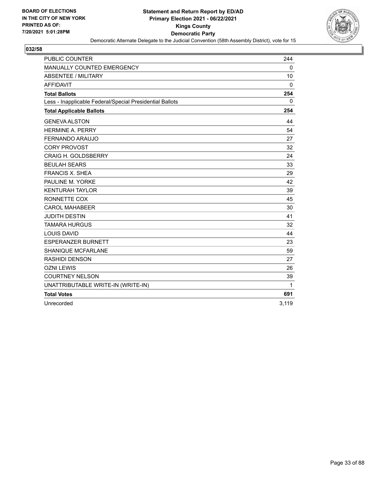

| <b>PUBLIC COUNTER</b>                                    | 244          |
|----------------------------------------------------------|--------------|
| <b>MANUALLY COUNTED EMERGENCY</b>                        | $\mathbf{0}$ |
| <b>ABSENTEE / MILITARY</b>                               | 10           |
| <b>AFFIDAVIT</b>                                         | 0            |
| <b>Total Ballots</b>                                     | 254          |
| Less - Inapplicable Federal/Special Presidential Ballots | $\mathbf{0}$ |
| <b>Total Applicable Ballots</b>                          | 254          |
| <b>GENEVA ALSTON</b>                                     | 44           |
| <b>HERMINE A. PERRY</b>                                  | 54           |
| FERNANDO ARAUJO                                          | 27           |
| <b>CORY PROVOST</b>                                      | 32           |
| <b>CRAIG H. GOLDSBERRY</b>                               | 24           |
| <b>BEULAH SEARS</b>                                      | 33           |
| <b>FRANCIS X. SHEA</b>                                   | 29           |
| PAULINE M. YORKE                                         | 42           |
| <b>KENTURAH TAYLOR</b>                                   | 39           |
| RONNETTE COX                                             | 45           |
| <b>CAROL MAHABEER</b>                                    | 30           |
| <b>JUDITH DESTIN</b>                                     | 41           |
| <b>TAMARA HURGUS</b>                                     | 32           |
| <b>LOUIS DAVID</b>                                       | 44           |
| <b>ESPERANZER BURNETT</b>                                | 23           |
| SHANIQUE MCFARLANE                                       | 59           |
| <b>RASHIDI DENSON</b>                                    | 27           |
| <b>OZNI LEWIS</b>                                        | 26           |
| <b>COURTNEY NELSON</b>                                   | 39           |
| UNATTRIBUTABLE WRITE-IN (WRITE-IN)                       | 1            |
| <b>Total Votes</b>                                       | 691          |
| Unrecorded                                               | 3,119        |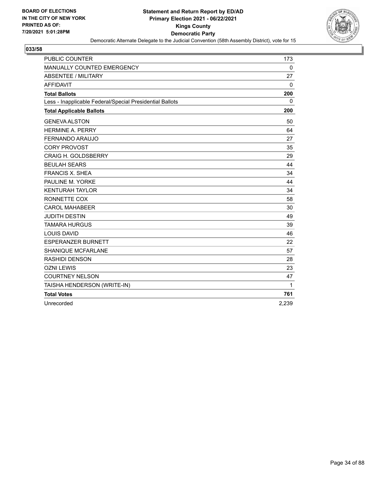

| PUBLIC COUNTER                                           | 173          |
|----------------------------------------------------------|--------------|
| MANUALLY COUNTED EMERGENCY                               | $\mathbf 0$  |
| <b>ABSENTEE / MILITARY</b>                               | 27           |
| <b>AFFIDAVIT</b>                                         | 0            |
| <b>Total Ballots</b>                                     | 200          |
| Less - Inapplicable Federal/Special Presidential Ballots | $\mathbf{0}$ |
| <b>Total Applicable Ballots</b>                          | 200          |
| <b>GENEVA ALSTON</b>                                     | 50           |
| <b>HERMINE A. PERRY</b>                                  | 64           |
| <b>FERNANDO ARAUJO</b>                                   | 27           |
| <b>CORY PROVOST</b>                                      | 35           |
| <b>CRAIG H. GOLDSBERRY</b>                               | 29           |
| <b>BEULAH SEARS</b>                                      | 44           |
| <b>FRANCIS X. SHEA</b>                                   | 34           |
| PAULINE M. YORKE                                         | 44           |
| <b>KENTURAH TAYLOR</b>                                   | 34           |
| RONNETTE COX                                             | 58           |
| <b>CAROL MAHABEER</b>                                    | 30           |
| <b>JUDITH DESTIN</b>                                     | 49           |
| <b>TAMARA HURGUS</b>                                     | 39           |
| <b>LOUIS DAVID</b>                                       | 46           |
| <b>ESPERANZER BURNETT</b>                                | 22           |
| SHANIQUE MCFARLANE                                       | 57           |
| <b>RASHIDI DENSON</b>                                    | 28           |
| <b>OZNI LEWIS</b>                                        | 23           |
| <b>COURTNEY NELSON</b>                                   | 47           |
| TAISHA HENDERSON (WRITE-IN)                              | 1            |
| <b>Total Votes</b>                                       | 761          |
| Unrecorded                                               | 2,239        |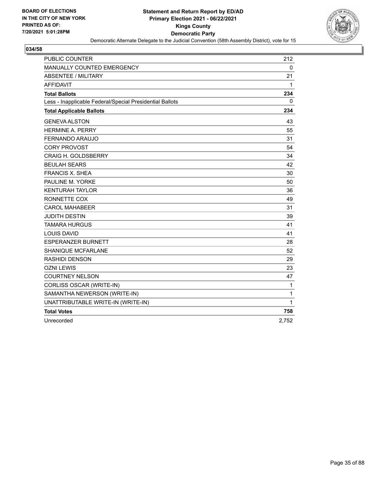

| <b>PUBLIC COUNTER</b>                                    | 212   |
|----------------------------------------------------------|-------|
| <b>MANUALLY COUNTED EMERGENCY</b>                        | 0     |
| <b>ABSENTEE / MILITARY</b>                               | 21    |
| <b>AFFIDAVIT</b>                                         | 1     |
| <b>Total Ballots</b>                                     | 234   |
| Less - Inapplicable Federal/Special Presidential Ballots | 0     |
| <b>Total Applicable Ballots</b>                          | 234   |
| <b>GENEVA ALSTON</b>                                     | 43    |
| <b>HERMINE A. PERRY</b>                                  | 55    |
| FERNANDO ARAUJO                                          | 31    |
| <b>CORY PROVOST</b>                                      | 54    |
| <b>CRAIG H. GOLDSBERRY</b>                               | 34    |
| <b>BEULAH SEARS</b>                                      | 42    |
| <b>FRANCIS X. SHEA</b>                                   | 30    |
| PAULINE M. YORKE                                         | 50    |
| <b>KENTURAH TAYLOR</b>                                   | 36    |
| RONNETTE COX                                             | 49    |
| <b>CAROL MAHABEER</b>                                    | 31    |
| <b>JUDITH DESTIN</b>                                     | 39    |
| <b>TAMARA HURGUS</b>                                     | 41    |
| <b>LOUIS DAVID</b>                                       | 41    |
| <b>ESPERANZER BURNETT</b>                                | 28    |
| SHANIQUE MCFARLANE                                       | 52    |
| <b>RASHIDI DENSON</b>                                    | 29    |
| <b>OZNI LEWIS</b>                                        | 23    |
| <b>COURTNEY NELSON</b>                                   | 47    |
| CORLISS OSCAR (WRITE-IN)                                 | 1     |
| SAMANTHA NEWERSON (WRITE-IN)                             | 1     |
| UNATTRIBUTABLE WRITE-IN (WRITE-IN)                       | 1     |
| <b>Total Votes</b>                                       | 758   |
| Unrecorded                                               | 2,752 |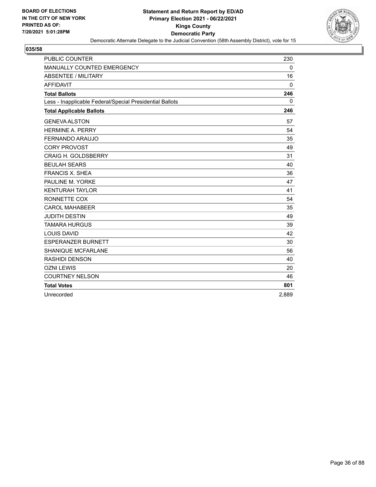

| <b>PUBLIC COUNTER</b>                                    | 230          |
|----------------------------------------------------------|--------------|
| MANUALLY COUNTED EMERGENCY                               | 0            |
| <b>ABSENTEE / MILITARY</b>                               | 16           |
| <b>AFFIDAVIT</b>                                         | $\mathbf{0}$ |
| <b>Total Ballots</b>                                     | 246          |
| Less - Inapplicable Federal/Special Presidential Ballots | $\mathbf{0}$ |
| <b>Total Applicable Ballots</b>                          | 246          |
| <b>GENEVA ALSTON</b>                                     | 57           |
| <b>HERMINE A. PERRY</b>                                  | 54           |
| FERNANDO ARAUJO                                          | 35           |
| <b>CORY PROVOST</b>                                      | 49           |
| <b>CRAIG H. GOLDSBERRY</b>                               | 31           |
| <b>BEULAH SEARS</b>                                      | 40           |
| <b>FRANCIS X. SHEA</b>                                   | 36           |
| PAULINE M. YORKE                                         | 47           |
| <b>KENTURAH TAYLOR</b>                                   | 41           |
| RONNETTE COX                                             | 54           |
| <b>CAROL MAHABEER</b>                                    | 35           |
| <b>JUDITH DESTIN</b>                                     | 49           |
| <b>TAMARA HURGUS</b>                                     | 39           |
| <b>LOUIS DAVID</b>                                       | 42           |
| <b>ESPERANZER BURNETT</b>                                | 30           |
| <b>SHANIQUE MCFARLANE</b>                                | 56           |
| <b>RASHIDI DENSON</b>                                    | 40           |
| <b>OZNI LEWIS</b>                                        | 20           |
| <b>COURTNEY NELSON</b>                                   | 46           |
| <b>Total Votes</b>                                       | 801          |
| Unrecorded                                               | 2,889        |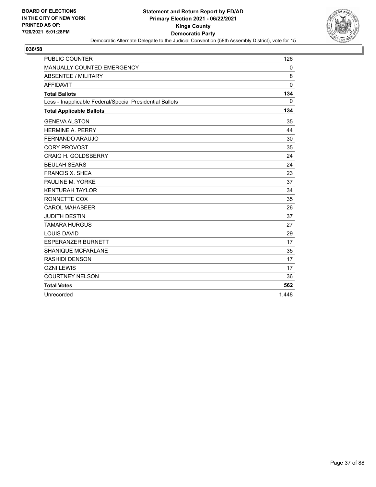

| <b>PUBLIC COUNTER</b>                                    | 126          |
|----------------------------------------------------------|--------------|
| MANUALLY COUNTED EMERGENCY                               | 0            |
| <b>ABSENTEE / MILITARY</b>                               | 8            |
| <b>AFFIDAVIT</b>                                         | $\Omega$     |
| <b>Total Ballots</b>                                     | 134          |
| Less - Inapplicable Federal/Special Presidential Ballots | $\mathbf{0}$ |
| <b>Total Applicable Ballots</b>                          | 134          |
| <b>GENEVA ALSTON</b>                                     | 35           |
| <b>HERMINE A. PERRY</b>                                  | 44           |
| FERNANDO ARAUJO                                          | 30           |
| <b>CORY PROVOST</b>                                      | 35           |
| <b>CRAIG H. GOLDSBERRY</b>                               | 24           |
| <b>BEULAH SEARS</b>                                      | 24           |
| <b>FRANCIS X. SHEA</b>                                   | 23           |
| PAULINE M. YORKE                                         | 37           |
| <b>KENTURAH TAYLOR</b>                                   | 34           |
| RONNETTE COX                                             | 35           |
| <b>CAROL MAHABEER</b>                                    | 26           |
| <b>JUDITH DESTIN</b>                                     | 37           |
| <b>TAMARA HURGUS</b>                                     | 27           |
| <b>LOUIS DAVID</b>                                       | 29           |
| <b>ESPERANZER BURNETT</b>                                | 17           |
| <b>SHANIQUE MCFARLANE</b>                                | 35           |
| RASHIDI DENSON                                           | 17           |
| <b>OZNI LEWIS</b>                                        | 17           |
| <b>COURTNEY NELSON</b>                                   | 36           |
| <b>Total Votes</b>                                       | 562          |
| Unrecorded                                               | 1,448        |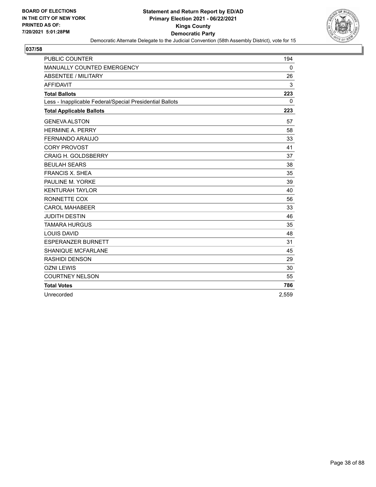

| <b>PUBLIC COUNTER</b>                                    | 194      |
|----------------------------------------------------------|----------|
| MANUALLY COUNTED EMERGENCY                               | 0        |
| <b>ABSENTEE / MILITARY</b>                               | 26       |
| <b>AFFIDAVIT</b>                                         | 3        |
| <b>Total Ballots</b>                                     | 223      |
| Less - Inapplicable Federal/Special Presidential Ballots | $\Omega$ |
| <b>Total Applicable Ballots</b>                          | 223      |
| <b>GENEVA ALSTON</b>                                     | 57       |
| <b>HERMINE A. PERRY</b>                                  | 58       |
| FERNANDO ARAUJO                                          | 33       |
| <b>CORY PROVOST</b>                                      | 41       |
| <b>CRAIG H. GOLDSBERRY</b>                               | 37       |
| <b>BEULAH SEARS</b>                                      | 38       |
| <b>FRANCIS X. SHEA</b>                                   | 35       |
| PAULINE M. YORKE                                         | 39       |
| <b>KENTURAH TAYLOR</b>                                   | 40       |
| RONNETTE COX                                             | 56       |
| <b>CAROL MAHABEER</b>                                    | 33       |
| <b>JUDITH DESTIN</b>                                     | 46       |
| <b>TAMARA HURGUS</b>                                     | 35       |
| <b>LOUIS DAVID</b>                                       | 48       |
| <b>ESPERANZER BURNETT</b>                                | 31       |
| <b>SHANIQUE MCFARLANE</b>                                | 45       |
| RASHIDI DENSON                                           | 29       |
| <b>OZNI LEWIS</b>                                        | 30       |
| <b>COURTNEY NELSON</b>                                   | 55       |
| <b>Total Votes</b>                                       | 786      |
| Unrecorded                                               | 2,559    |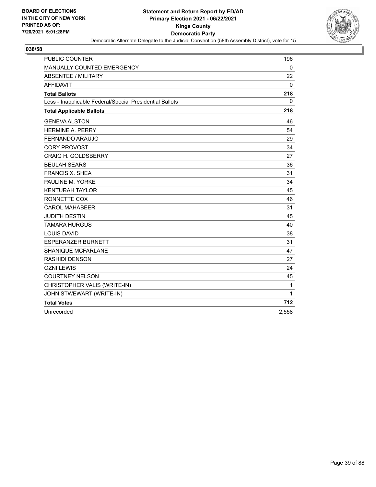

| <b>PUBLIC COUNTER</b>                                    | 196          |
|----------------------------------------------------------|--------------|
| MANUALLY COUNTED EMERGENCY                               | $\mathbf 0$  |
| <b>ABSENTEE / MILITARY</b>                               | 22           |
| <b>AFFIDAVIT</b>                                         | $\mathbf{0}$ |
| <b>Total Ballots</b>                                     | 218          |
| Less - Inapplicable Federal/Special Presidential Ballots | 0            |
| <b>Total Applicable Ballots</b>                          | 218          |
| <b>GENEVA ALSTON</b>                                     | 46           |
| <b>HERMINE A. PERRY</b>                                  | 54           |
| <b>FERNANDO ARAUJO</b>                                   | 29           |
| <b>CORY PROVOST</b>                                      | 34           |
| <b>CRAIG H. GOLDSBERRY</b>                               | 27           |
| <b>BEULAH SEARS</b>                                      | 36           |
| <b>FRANCIS X. SHEA</b>                                   | 31           |
| PAULINE M. YORKE                                         | 34           |
| <b>KENTURAH TAYLOR</b>                                   | 45           |
| RONNETTE COX                                             | 46           |
| <b>CAROL MAHABEER</b>                                    | 31           |
| <b>JUDITH DESTIN</b>                                     | 45           |
| <b>TAMARA HURGUS</b>                                     | 40           |
| <b>LOUIS DAVID</b>                                       | 38           |
| <b>ESPERANZER BURNETT</b>                                | 31           |
| <b>SHANIQUE MCFARLANE</b>                                | 47           |
| <b>RASHIDI DENSON</b>                                    | 27           |
| <b>OZNI LEWIS</b>                                        | 24           |
| <b>COURTNEY NELSON</b>                                   | 45           |
| CHRISTOPHER VALIS (WRITE-IN)                             | 1            |
| JOHN STWEWART (WRITE-IN)                                 | 1            |
| <b>Total Votes</b>                                       | 712          |
| Unrecorded                                               | 2,558        |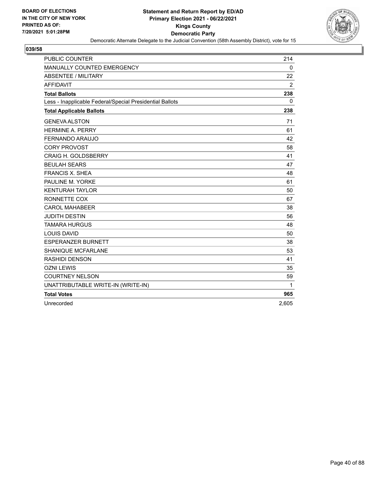

| <b>PUBLIC COUNTER</b>                                    | 214            |
|----------------------------------------------------------|----------------|
| MANUALLY COUNTED EMERGENCY                               | 0              |
| <b>ABSENTEE / MILITARY</b>                               | 22             |
| <b>AFFIDAVIT</b>                                         | $\overline{2}$ |
| <b>Total Ballots</b>                                     | 238            |
| Less - Inapplicable Federal/Special Presidential Ballots | 0              |
| <b>Total Applicable Ballots</b>                          | 238            |
| <b>GENEVA ALSTON</b>                                     | 71             |
| <b>HERMINE A. PERRY</b>                                  | 61             |
| FERNANDO ARAUJO                                          | 42             |
| <b>CORY PROVOST</b>                                      | 58             |
| <b>CRAIG H. GOLDSBERRY</b>                               | 41             |
| <b>BEULAH SEARS</b>                                      | 47             |
| <b>FRANCIS X. SHEA</b>                                   | 48             |
| PAULINE M. YORKE                                         | 61             |
| <b>KENTURAH TAYLOR</b>                                   | 50             |
| RONNETTE COX                                             | 67             |
| <b>CAROL MAHABEER</b>                                    | 38             |
| <b>JUDITH DESTIN</b>                                     | 56             |
| <b>TAMARA HURGUS</b>                                     | 48             |
| <b>LOUIS DAVID</b>                                       | 50             |
| <b>ESPERANZER BURNETT</b>                                | 38             |
| <b>SHANIQUE MCFARLANE</b>                                | 53             |
| <b>RASHIDI DENSON</b>                                    | 41             |
| <b>OZNI LEWIS</b>                                        | 35             |
| <b>COURTNEY NELSON</b>                                   | 59             |
| UNATTRIBUTABLE WRITE-IN (WRITE-IN)                       | 1              |
| <b>Total Votes</b>                                       | 965            |
| Unrecorded                                               | 2,605          |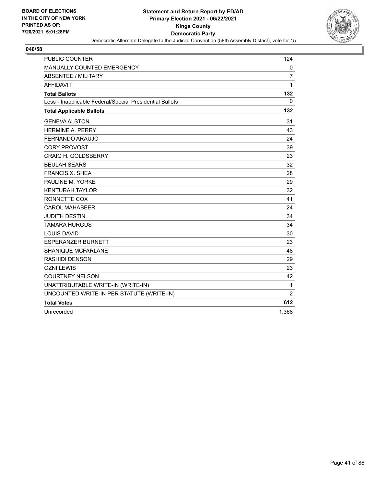

| PUBLIC COUNTER                                           | 124            |
|----------------------------------------------------------|----------------|
| <b>MANUALLY COUNTED EMERGENCY</b>                        | $\mathbf 0$    |
| <b>ABSENTEE / MILITARY</b>                               | $\overline{7}$ |
| <b>AFFIDAVIT</b>                                         | 1              |
| <b>Total Ballots</b>                                     | 132            |
| Less - Inapplicable Federal/Special Presidential Ballots | $\mathbf{0}$   |
| <b>Total Applicable Ballots</b>                          | 132            |
| <b>GENEVA ALSTON</b>                                     | 31             |
| <b>HERMINE A. PERRY</b>                                  | 43             |
| <b>FERNANDO ARAUJO</b>                                   | 24             |
| <b>CORY PROVOST</b>                                      | 39             |
| <b>CRAIG H. GOLDSBERRY</b>                               | 23             |
| <b>BEULAH SEARS</b>                                      | 32             |
| <b>FRANCIS X. SHEA</b>                                   | 28             |
| PAULINE M. YORKE                                         | 29             |
| <b>KENTURAH TAYLOR</b>                                   | 32             |
| RONNETTE COX                                             | 41             |
| <b>CAROL MAHABEER</b>                                    | 24             |
| <b>JUDITH DESTIN</b>                                     | 34             |
| <b>TAMARA HURGUS</b>                                     | 34             |
| <b>LOUIS DAVID</b>                                       | 30             |
| <b>ESPERANZER BURNETT</b>                                | 23             |
| <b>SHANIQUE MCFARLANE</b>                                | 48             |
| <b>RASHIDI DENSON</b>                                    | 29             |
| <b>OZNI LEWIS</b>                                        | 23             |
| <b>COURTNEY NELSON</b>                                   | 42             |
| UNATTRIBUTABLE WRITE-IN (WRITE-IN)                       | $\mathbf{1}$   |
| UNCOUNTED WRITE-IN PER STATUTE (WRITE-IN)                | $\overline{2}$ |
| <b>Total Votes</b>                                       | 612            |
| Unrecorded                                               | 1.368          |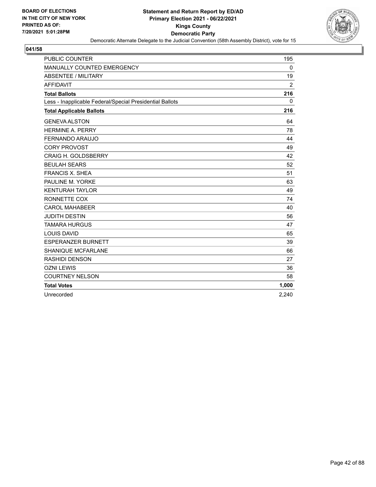

| <b>PUBLIC COUNTER</b>                                    | 195          |
|----------------------------------------------------------|--------------|
| MANUALLY COUNTED EMERGENCY                               | $\mathbf 0$  |
| <b>ABSENTEE / MILITARY</b>                               | 19           |
| <b>AFFIDAVIT</b>                                         | 2            |
| <b>Total Ballots</b>                                     | 216          |
| Less - Inapplicable Federal/Special Presidential Ballots | $\mathbf{0}$ |
| <b>Total Applicable Ballots</b>                          | 216          |
| <b>GENEVA ALSTON</b>                                     | 64           |
| <b>HERMINE A. PERRY</b>                                  | 78           |
| FERNANDO ARAUJO                                          | 44           |
| <b>CORY PROVOST</b>                                      | 49           |
| <b>CRAIG H. GOLDSBERRY</b>                               | 42           |
| <b>BEULAH SEARS</b>                                      | 52           |
| <b>FRANCIS X. SHEA</b>                                   | 51           |
| PAULINE M. YORKE                                         | 63           |
| <b>KENTURAH TAYLOR</b>                                   | 49           |
| RONNETTE COX                                             | 74           |
| <b>CAROL MAHABEER</b>                                    | 40           |
| <b>JUDITH DESTIN</b>                                     | 56           |
| <b>TAMARA HURGUS</b>                                     | 47           |
| <b>LOUIS DAVID</b>                                       | 65           |
| <b>ESPERANZER BURNETT</b>                                | 39           |
| SHANIQUE MCFARLANE                                       | 66           |
| <b>RASHIDI DENSON</b>                                    | 27           |
| <b>OZNI LEWIS</b>                                        | 36           |
| <b>COURTNEY NELSON</b>                                   | 58           |
| <b>Total Votes</b>                                       | 1,000        |
| Unrecorded                                               | 2,240        |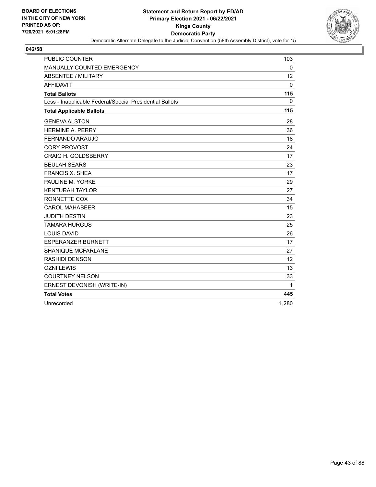

| PUBLIC COUNTER                                           | 103          |
|----------------------------------------------------------|--------------|
| <b>MANUALLY COUNTED EMERGENCY</b>                        | $\mathbf{0}$ |
| <b>ABSENTEE / MILITARY</b>                               | 12           |
| <b>AFFIDAVIT</b>                                         | 0            |
| <b>Total Ballots</b>                                     | 115          |
| Less - Inapplicable Federal/Special Presidential Ballots | $\Omega$     |
| <b>Total Applicable Ballots</b>                          | 115          |
| <b>GENEVA ALSTON</b>                                     | 28           |
| <b>HERMINE A. PERRY</b>                                  | 36           |
| FERNANDO ARAUJO                                          | 18           |
| <b>CORY PROVOST</b>                                      | 24           |
| <b>CRAIG H. GOLDSBERRY</b>                               | 17           |
| <b>BEULAH SEARS</b>                                      | 23           |
| <b>FRANCIS X. SHEA</b>                                   | 17           |
| PAULINE M. YORKE                                         | 29           |
| <b>KENTURAH TAYLOR</b>                                   | 27           |
| RONNETTE COX                                             | 34           |
| <b>CAROL MAHABEER</b>                                    | 15           |
| <b>JUDITH DESTIN</b>                                     | 23           |
| <b>TAMARA HURGUS</b>                                     | 25           |
| <b>LOUIS DAVID</b>                                       | 26           |
| <b>ESPERANZER BURNETT</b>                                | 17           |
| SHANIQUE MCFARLANE                                       | 27           |
| <b>RASHIDI DENSON</b>                                    | 12           |
| <b>OZNI LEWIS</b>                                        | 13           |
| <b>COURTNEY NELSON</b>                                   | 33           |
| ERNEST DEVONISH (WRITE-IN)                               | 1            |
| <b>Total Votes</b>                                       | 445          |
| Unrecorded                                               | 1.280        |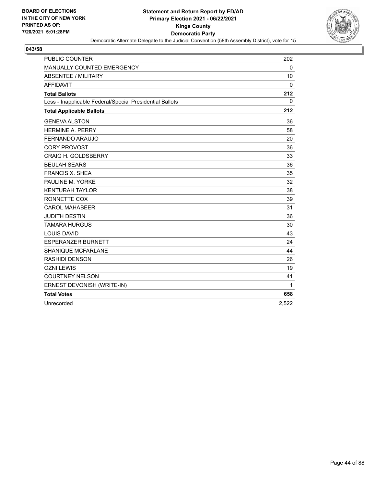

| <b>PUBLIC COUNTER</b>                                    | 202   |
|----------------------------------------------------------|-------|
| MANUALLY COUNTED EMERGENCY                               | 0     |
| <b>ABSENTEE / MILITARY</b>                               | 10    |
| <b>AFFIDAVIT</b>                                         | 0     |
| <b>Total Ballots</b>                                     | 212   |
| Less - Inapplicable Federal/Special Presidential Ballots | 0     |
| <b>Total Applicable Ballots</b>                          | 212   |
| <b>GENEVA ALSTON</b>                                     | 36    |
| <b>HFRMINF A. PFRRY</b>                                  | 58    |
| <b>FERNANDO ARAUJO</b>                                   | 20    |
| <b>CORY PROVOST</b>                                      | 36    |
| <b>CRAIG H. GOLDSBERRY</b>                               | 33    |
| <b>BEULAH SEARS</b>                                      | 36    |
| <b>FRANCIS X. SHEA</b>                                   | 35    |
| PAULINE M. YORKE                                         | 32    |
| <b>KENTURAH TAYLOR</b>                                   | 38    |
| RONNETTE COX                                             | 39    |
| <b>CAROL MAHABEER</b>                                    | 31    |
| <b>JUDITH DESTIN</b>                                     | 36    |
| <b>TAMARA HURGUS</b>                                     | 30    |
| <b>LOUIS DAVID</b>                                       | 43    |
| <b>ESPERANZER BURNETT</b>                                | 24    |
| <b>SHANIQUE MCFARLANE</b>                                | 44    |
| <b>RASHIDI DENSON</b>                                    | 26    |
| <b>OZNI LEWIS</b>                                        | 19    |
| <b>COURTNEY NELSON</b>                                   | 41    |
| ERNEST DEVONISH (WRITE-IN)                               | 1     |
| <b>Total Votes</b>                                       | 658   |
| Unrecorded                                               | 2,522 |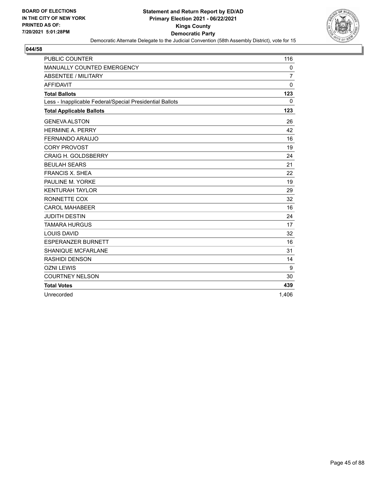

| <b>PUBLIC COUNTER</b>                                    | 116            |
|----------------------------------------------------------|----------------|
| MANUALLY COUNTED EMERGENCY                               | 0              |
| <b>ABSENTEE / MILITARY</b>                               | $\overline{7}$ |
| <b>AFFIDAVIT</b>                                         | $\Omega$       |
| <b>Total Ballots</b>                                     | 123            |
| Less - Inapplicable Federal/Special Presidential Ballots | $\mathbf{0}$   |
| <b>Total Applicable Ballots</b>                          | 123            |
| <b>GENEVA ALSTON</b>                                     | 26             |
| <b>HERMINE A. PERRY</b>                                  | 42             |
| FERNANDO ARAUJO                                          | 16             |
| <b>CORY PROVOST</b>                                      | 19             |
| <b>CRAIG H. GOLDSBERRY</b>                               | 24             |
| <b>BEULAH SEARS</b>                                      | 21             |
| <b>FRANCIS X. SHEA</b>                                   | 22             |
| PAULINE M. YORKE                                         | 19             |
| <b>KENTURAH TAYLOR</b>                                   | 29             |
| RONNETTE COX                                             | 32             |
| <b>CAROL MAHABEER</b>                                    | 16             |
| <b>JUDITH DESTIN</b>                                     | 24             |
| <b>TAMARA HURGUS</b>                                     | 17             |
| <b>LOUIS DAVID</b>                                       | 32             |
| <b>ESPERANZER BURNETT</b>                                | 16             |
| <b>SHANIQUE MCFARLANE</b>                                | 31             |
| <b>RASHIDI DENSON</b>                                    | 14             |
| <b>OZNI LEWIS</b>                                        | 9              |
| <b>COURTNEY NELSON</b>                                   | 30             |
| <b>Total Votes</b>                                       | 439            |
| Unrecorded                                               | 1,406          |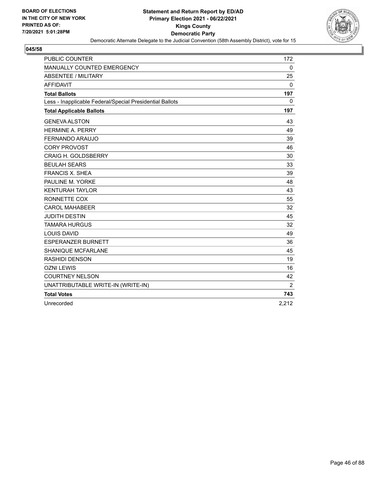

| <b>PUBLIC COUNTER</b>                                    | 172            |
|----------------------------------------------------------|----------------|
| MANUALLY COUNTED EMERGENCY                               | 0              |
| <b>ABSENTEE / MILITARY</b>                               | 25             |
| <b>AFFIDAVIT</b>                                         | 0              |
| <b>Total Ballots</b>                                     | 197            |
| Less - Inapplicable Federal/Special Presidential Ballots | 0              |
| <b>Total Applicable Ballots</b>                          | 197            |
| <b>GENEVA ALSTON</b>                                     | 43             |
| <b>HFRMINF A. PFRRY</b>                                  | 49             |
| <b>FERNANDO ARAUJO</b>                                   | 39             |
| <b>CORY PROVOST</b>                                      | 46             |
| <b>CRAIG H. GOLDSBERRY</b>                               | 30             |
| <b>BEULAH SEARS</b>                                      | 33             |
| <b>FRANCIS X. SHEA</b>                                   | 39             |
| PAULINE M. YORKE                                         | 48             |
| <b>KENTURAH TAYLOR</b>                                   | 43             |
| RONNETTE COX                                             | 55             |
| <b>CAROL MAHABEER</b>                                    | 32             |
| <b>JUDITH DESTIN</b>                                     | 45             |
| <b>TAMARA HURGUS</b>                                     | 32             |
| <b>LOUIS DAVID</b>                                       | 49             |
| <b>ESPERANZER BURNETT</b>                                | 36             |
| <b>SHANIQUE MCFARLANE</b>                                | 45             |
| <b>RASHIDI DENSON</b>                                    | 19             |
| <b>OZNI LEWIS</b>                                        | 16             |
| <b>COURTNEY NELSON</b>                                   | 42             |
| UNATTRIBUTABLE WRITE-IN (WRITE-IN)                       | $\overline{2}$ |
| <b>Total Votes</b>                                       | 743            |
| Unrecorded                                               | 2,212          |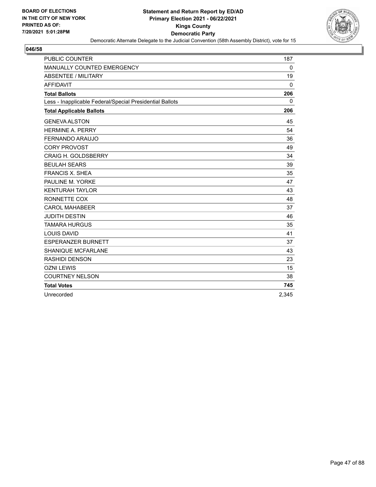

| <b>PUBLIC COUNTER</b>                                    | 187      |
|----------------------------------------------------------|----------|
| MANUALLY COUNTED EMERGENCY                               | 0        |
| <b>ABSENTEE / MILITARY</b>                               | 19       |
| <b>AFFIDAVIT</b>                                         | $\Omega$ |
| <b>Total Ballots</b>                                     | 206      |
| Less - Inapplicable Federal/Special Presidential Ballots | $\Omega$ |
| <b>Total Applicable Ballots</b>                          | 206      |
| <b>GENEVA ALSTON</b>                                     | 45       |
| <b>HERMINE A. PERRY</b>                                  | 54       |
| FERNANDO ARAUJO                                          | 36       |
| <b>CORY PROVOST</b>                                      | 49       |
| <b>CRAIG H. GOLDSBERRY</b>                               | 34       |
| <b>BEULAH SEARS</b>                                      | 39       |
| <b>FRANCIS X. SHEA</b>                                   | 35       |
| PAULINE M. YORKE                                         | 47       |
| <b>KENTURAH TAYLOR</b>                                   | 43       |
| RONNETTE COX                                             | 48       |
| <b>CAROL MAHABEER</b>                                    | 37       |
| <b>JUDITH DESTIN</b>                                     | 46       |
| <b>TAMARA HURGUS</b>                                     | 35       |
| <b>LOUIS DAVID</b>                                       | 41       |
| <b>ESPERANZER BURNETT</b>                                | 37       |
| <b>SHANIQUE MCFARLANE</b>                                | 43       |
| <b>RASHIDI DENSON</b>                                    | 23       |
| <b>OZNI LEWIS</b>                                        | 15       |
| <b>COURTNEY NELSON</b>                                   | 38       |
| <b>Total Votes</b>                                       | 745      |
| Unrecorded                                               | 2,345    |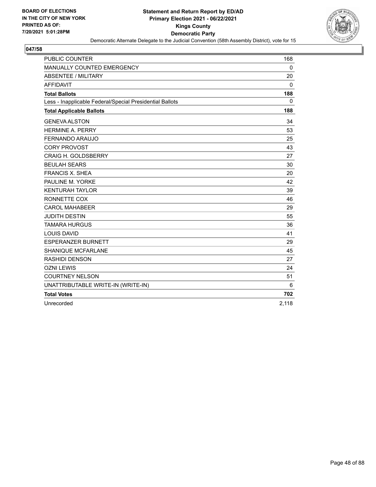

| <b>PUBLIC COUNTER</b>                                    | 168          |
|----------------------------------------------------------|--------------|
| <b>MANUALLY COUNTED EMERGENCY</b>                        | $\mathbf{0}$ |
| <b>ABSENTEE / MILITARY</b>                               | 20           |
| <b>AFFIDAVIT</b>                                         | 0            |
| <b>Total Ballots</b>                                     | 188          |
| Less - Inapplicable Federal/Special Presidential Ballots | 0            |
| <b>Total Applicable Ballots</b>                          | 188          |
| <b>GENEVA ALSTON</b>                                     | 34           |
| <b>HERMINE A. PERRY</b>                                  | 53           |
| FERNANDO ARAUJO                                          | 25           |
| <b>CORY PROVOST</b>                                      | 43           |
| <b>CRAIG H. GOLDSBERRY</b>                               | 27           |
| <b>BEULAH SEARS</b>                                      | 30           |
| <b>FRANCIS X. SHEA</b>                                   | 20           |
| PAULINE M. YORKE                                         | 42           |
| <b>KENTURAH TAYLOR</b>                                   | 39           |
| RONNETTE COX                                             | 46           |
| <b>CAROL MAHABEER</b>                                    | 29           |
| <b>JUDITH DESTIN</b>                                     | 55           |
| <b>TAMARA HURGUS</b>                                     | 36           |
| <b>LOUIS DAVID</b>                                       | 41           |
| <b>ESPERANZER BURNETT</b>                                | 29           |
| SHANIQUE MCFARLANE                                       | 45           |
| <b>RASHIDI DENSON</b>                                    | 27           |
| <b>OZNI LEWIS</b>                                        | 24           |
| <b>COURTNEY NELSON</b>                                   | 51           |
| UNATTRIBUTABLE WRITE-IN (WRITE-IN)                       | 6            |
| <b>Total Votes</b>                                       | 702          |
| Unrecorded                                               | 2,118        |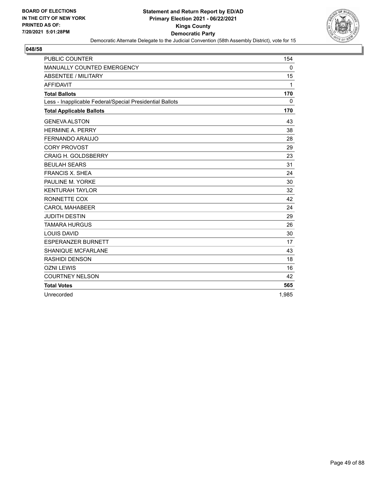

| <b>PUBLIC COUNTER</b>                                    | 154          |
|----------------------------------------------------------|--------------|
| MANUALLY COUNTED EMERGENCY                               | 0            |
| <b>ABSENTEE / MILITARY</b>                               | 15           |
| <b>AFFIDAVIT</b>                                         | $\mathbf{1}$ |
| <b>Total Ballots</b>                                     | 170          |
| Less - Inapplicable Federal/Special Presidential Ballots | $\Omega$     |
| <b>Total Applicable Ballots</b>                          | 170          |
| <b>GENEVA ALSTON</b>                                     | 43           |
| <b>HERMINE A. PERRY</b>                                  | 38           |
| FERNANDO ARAUJO                                          | 28           |
| <b>CORY PROVOST</b>                                      | 29           |
| <b>CRAIG H. GOLDSBERRY</b>                               | 23           |
| <b>BEULAH SEARS</b>                                      | 31           |
| <b>FRANCIS X. SHEA</b>                                   | 24           |
| PAULINE M. YORKE                                         | 30           |
| <b>KENTURAH TAYLOR</b>                                   | 32           |
| RONNETTE COX                                             | 42           |
| <b>CAROL MAHABEER</b>                                    | 24           |
| <b>JUDITH DESTIN</b>                                     | 29           |
| <b>TAMARA HURGUS</b>                                     | 26           |
| <b>LOUIS DAVID</b>                                       | 30           |
| <b>ESPERANZER BURNETT</b>                                | 17           |
| SHANIQUE MCFARLANE                                       | 43           |
| <b>RASHIDI DENSON</b>                                    | 18           |
| <b>OZNI LEWIS</b>                                        | 16           |
| <b>COURTNEY NELSON</b>                                   | 42           |
| <b>Total Votes</b>                                       | 565          |
| Unrecorded                                               | 1,985        |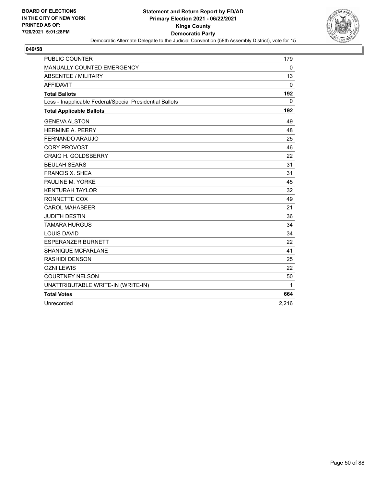

| PUBLIC COUNTER                                           | 179         |
|----------------------------------------------------------|-------------|
| MANUALLY COUNTED EMERGENCY                               | $\mathbf 0$ |
| <b>ABSENTEE / MILITARY</b>                               | 13          |
| <b>AFFIDAVIT</b>                                         | 0           |
| <b>Total Ballots</b>                                     | 192         |
| Less - Inapplicable Federal/Special Presidential Ballots | $\mathbf 0$ |
| <b>Total Applicable Ballots</b>                          | 192         |
| <b>GENEVA ALSTON</b>                                     | 49          |
| <b>HERMINE A. PERRY</b>                                  | 48          |
| <b>FERNANDO ARAUJO</b>                                   | 25          |
| <b>CORY PROVOST</b>                                      | 46          |
| <b>CRAIG H. GOLDSBERRY</b>                               | 22          |
| <b>BEULAH SEARS</b>                                      | 31          |
| <b>FRANCIS X. SHEA</b>                                   | 31          |
| PAULINE M. YORKE                                         | 45          |
| <b>KENTURAH TAYLOR</b>                                   | 32          |
| RONNETTE COX                                             | 49          |
| <b>CAROL MAHABEER</b>                                    | 21          |
| <b>JUDITH DESTIN</b>                                     | 36          |
| <b>TAMARA HURGUS</b>                                     | 34          |
| <b>LOUIS DAVID</b>                                       | 34          |
| <b>ESPERANZER BURNETT</b>                                | 22          |
| <b>SHANIQUE MCFARLANE</b>                                | 41          |
| <b>RASHIDI DENSON</b>                                    | 25          |
| <b>OZNI LEWIS</b>                                        | 22          |
| <b>COURTNEY NELSON</b>                                   | 50          |
| UNATTRIBUTABLE WRITE-IN (WRITE-IN)                       | 1           |
| <b>Total Votes</b>                                       | 664         |
| Unrecorded                                               | 2,216       |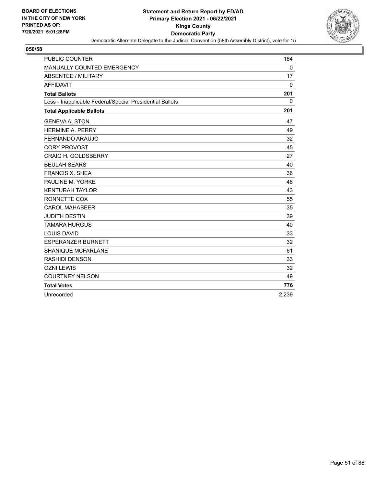

| <b>PUBLIC COUNTER</b>                                    | 184          |
|----------------------------------------------------------|--------------|
| MANUALLY COUNTED EMERGENCY                               | 0            |
| <b>ABSENTEE / MILITARY</b>                               | 17           |
| <b>AFFIDAVIT</b>                                         | $\mathbf{0}$ |
| <b>Total Ballots</b>                                     | 201          |
| Less - Inapplicable Federal/Special Presidential Ballots | $\mathbf{0}$ |
| <b>Total Applicable Ballots</b>                          | 201          |
| <b>GENEVA ALSTON</b>                                     | 47           |
| <b>HERMINE A. PERRY</b>                                  | 49           |
| FERNANDO ARAUJO                                          | 32           |
| <b>CORY PROVOST</b>                                      | 45           |
| CRAIG H. GOLDSBERRY                                      | 27           |
| <b>BEULAH SEARS</b>                                      | 40           |
| <b>FRANCIS X. SHEA</b>                                   | 36           |
| PAULINE M. YORKE                                         | 48           |
| <b>KENTURAH TAYLOR</b>                                   | 43           |
| RONNETTE COX                                             | 55           |
| <b>CAROL MAHABEER</b>                                    | 35           |
| <b>JUDITH DESTIN</b>                                     | 39           |
| <b>TAMARA HURGUS</b>                                     | 40           |
| <b>LOUIS DAVID</b>                                       | 33           |
| <b>ESPERANZER BURNETT</b>                                | 32           |
| <b>SHANIQUE MCFARLANE</b>                                | 61           |
| <b>RASHIDI DENSON</b>                                    | 33           |
| <b>OZNI LEWIS</b>                                        | 32           |
| <b>COURTNEY NELSON</b>                                   | 49           |
| <b>Total Votes</b>                                       | 776          |
| Unrecorded                                               | 2,239        |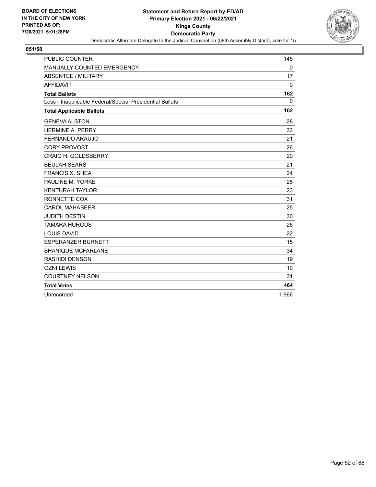

| <b>PUBLIC COUNTER</b>                                    | 145      |
|----------------------------------------------------------|----------|
| MANUALLY COUNTED EMERGENCY                               | 0        |
| <b>ABSENTEE / MILITARY</b>                               | 17       |
| <b>AFFIDAVIT</b>                                         | $\Omega$ |
| <b>Total Ballots</b>                                     | 162      |
| Less - Inapplicable Federal/Special Presidential Ballots | $\Omega$ |
| <b>Total Applicable Ballots</b>                          | 162      |
| <b>GENEVA ALSTON</b>                                     | 28       |
| <b>HERMINE A. PERRY</b>                                  | 33       |
| <b>FERNANDO ARAUJO</b>                                   | 21       |
| <b>CORY PROVOST</b>                                      | 26       |
| <b>CRAIG H. GOLDSBERRY</b>                               | 20       |
| <b>BEULAH SEARS</b>                                      | 21       |
| <b>FRANCIS X. SHEA</b>                                   | 24       |
| PAULINE M. YORKE                                         | 25       |
| <b>KENTURAH TAYLOR</b>                                   | 23       |
| RONNETTE COX                                             | 31       |
| <b>CAROL MAHABEER</b>                                    | 25       |
| <b>JUDITH DESTIN</b>                                     | 30       |
| <b>TAMARA HURGUS</b>                                     | 26       |
| <b>LOUIS DAVID</b>                                       | 22       |
| <b>ESPERANZER BURNETT</b>                                | 15       |
| <b>SHANIQUE MCFARLANE</b>                                | 34       |
| <b>RASHIDI DENSON</b>                                    | 19       |
| <b>OZNI LEWIS</b>                                        | 10       |
| <b>COURTNEY NELSON</b>                                   | 31       |
| <b>Total Votes</b>                                       | 464      |
| Unrecorded                                               | 1,966    |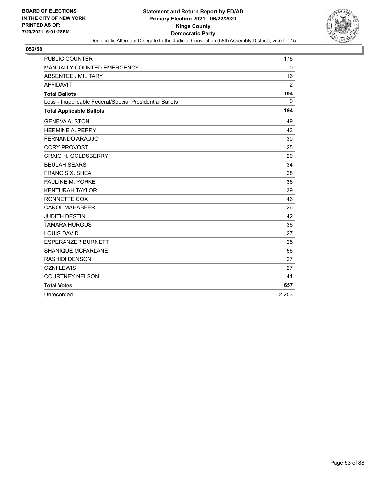

| <b>PUBLIC COUNTER</b>                                    | 176      |
|----------------------------------------------------------|----------|
| MANUALLY COUNTED EMERGENCY                               | 0        |
| <b>ABSENTEE / MILITARY</b>                               | 16       |
| <b>AFFIDAVIT</b>                                         | 2        |
| <b>Total Ballots</b>                                     | 194      |
| Less - Inapplicable Federal/Special Presidential Ballots | $\Omega$ |
| <b>Total Applicable Ballots</b>                          | 194      |
| <b>GENEVA ALSTON</b>                                     | 49       |
| <b>HERMINE A. PERRY</b>                                  | 43       |
| <b>FERNANDO ARAUJO</b>                                   | 30       |
| <b>CORY PROVOST</b>                                      | 25       |
| <b>CRAIG H. GOLDSBERRY</b>                               | 20       |
| <b>BEULAH SEARS</b>                                      | 34       |
| <b>FRANCIS X. SHEA</b>                                   | 28       |
| PAULINE M. YORKE                                         | 36       |
| <b>KENTURAH TAYLOR</b>                                   | 39       |
| RONNETTE COX                                             | 46       |
| <b>CAROL MAHABEER</b>                                    | 26       |
| <b>JUDITH DESTIN</b>                                     | 42       |
| <b>TAMARA HURGUS</b>                                     | 36       |
| <b>LOUIS DAVID</b>                                       | 27       |
| <b>ESPERANZER BURNETT</b>                                | 25       |
| <b>SHANIQUE MCFARLANE</b>                                | 56       |
| <b>RASHIDI DENSON</b>                                    | 27       |
| <b>OZNI LEWIS</b>                                        | 27       |
| <b>COURTNEY NELSON</b>                                   | 41       |
| <b>Total Votes</b>                                       | 657      |
| Unrecorded                                               | 2,253    |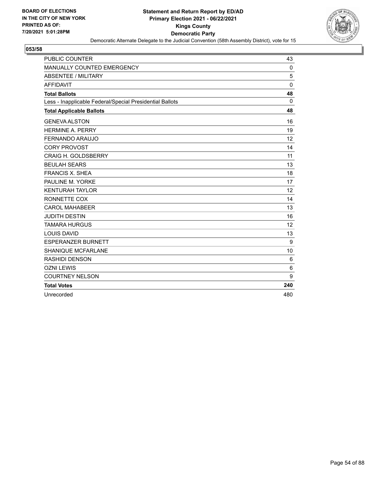

| <b>PUBLIC COUNTER</b>                                    | 43          |
|----------------------------------------------------------|-------------|
| MANUALLY COUNTED EMERGENCY                               | 0           |
| <b>ABSENTEE / MILITARY</b>                               | 5           |
| <b>AFFIDAVIT</b>                                         | $\mathbf 0$ |
| <b>Total Ballots</b>                                     | 48          |
| Less - Inapplicable Federal/Special Presidential Ballots | $\Omega$    |
| <b>Total Applicable Ballots</b>                          | 48          |
| <b>GENEVA ALSTON</b>                                     | 16          |
| <b>HERMINE A. PERRY</b>                                  | 19          |
| FERNANDO ARAUJO                                          | 12          |
| <b>CORY PROVOST</b>                                      | 14          |
| <b>CRAIG H. GOLDSBERRY</b>                               | 11          |
| <b>BEULAH SEARS</b>                                      | 13          |
| <b>FRANCIS X. SHEA</b>                                   | 18          |
| PAULINE M. YORKE                                         | 17          |
| <b>KENTURAH TAYLOR</b>                                   | 12          |
| RONNETTE COX                                             | 14          |
| <b>CAROL MAHABEER</b>                                    | 13          |
| <b>JUDITH DESTIN</b>                                     | 16          |
| <b>TAMARA HURGUS</b>                                     | 12          |
| <b>LOUIS DAVID</b>                                       | 13          |
| <b>ESPERANZER BURNETT</b>                                | 9           |
| <b>SHANIQUE MCFARLANE</b>                                | 10          |
| <b>RASHIDI DENSON</b>                                    | 6           |
| <b>OZNI LEWIS</b>                                        | 6           |
| <b>COURTNEY NELSON</b>                                   | 9           |
| <b>Total Votes</b>                                       | 240         |
| Unrecorded                                               | 480         |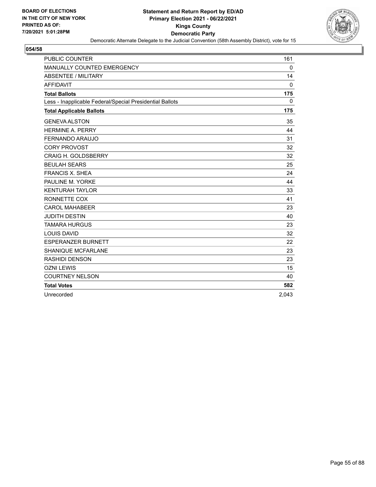

| <b>PUBLIC COUNTER</b>                                    | 161         |
|----------------------------------------------------------|-------------|
| MANUALLY COUNTED EMERGENCY                               | 0           |
| <b>ABSENTEE / MILITARY</b>                               | 14          |
| <b>AFFIDAVIT</b>                                         | $\Omega$    |
| <b>Total Ballots</b>                                     | 175         |
| Less - Inapplicable Federal/Special Presidential Ballots | $\mathbf 0$ |
| <b>Total Applicable Ballots</b>                          | 175         |
| <b>GENEVA ALSTON</b>                                     | 35          |
| <b>HERMINE A. PERRY</b>                                  | 44          |
| <b>FERNANDO ARAUJO</b>                                   | 31          |
| <b>CORY PROVOST</b>                                      | 32          |
| <b>CRAIG H. GOLDSBERRY</b>                               | 32          |
| <b>BEULAH SEARS</b>                                      | 25          |
| <b>FRANCIS X. SHEA</b>                                   | 24          |
| PAULINE M. YORKE                                         | 44          |
| <b>KENTURAH TAYLOR</b>                                   | 33          |
| RONNETTE COX                                             | 41          |
| <b>CAROL MAHABEER</b>                                    | 23          |
| <b>JUDITH DESTIN</b>                                     | 40          |
| <b>TAMARA HURGUS</b>                                     | 23          |
| <b>LOUIS DAVID</b>                                       | 32          |
| <b>ESPERANZER BURNETT</b>                                | 22          |
| <b>SHANIQUE MCFARLANE</b>                                | 23          |
| <b>RASHIDI DENSON</b>                                    | 23          |
| <b>OZNI LEWIS</b>                                        | 15          |
| <b>COURTNEY NELSON</b>                                   | 40          |
| <b>Total Votes</b>                                       | 582         |
| Unrecorded                                               | 2,043       |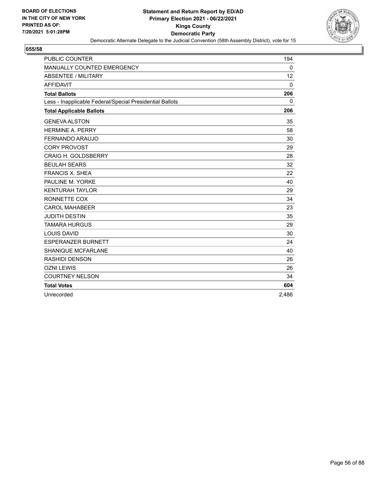

| <b>PUBLIC COUNTER</b>                                    | 194          |
|----------------------------------------------------------|--------------|
| MANUALLY COUNTED EMERGENCY                               | 0            |
| <b>ABSENTEE / MILITARY</b>                               | 12           |
| <b>AFFIDAVIT</b>                                         | $\Omega$     |
| <b>Total Ballots</b>                                     | 206          |
| Less - Inapplicable Federal/Special Presidential Ballots | $\mathbf{0}$ |
| <b>Total Applicable Ballots</b>                          | 206          |
| <b>GENEVA ALSTON</b>                                     | 35           |
| <b>HERMINE A. PERRY</b>                                  | 58           |
| FERNANDO ARAUJO                                          | 30           |
| <b>CORY PROVOST</b>                                      | 29           |
| <b>CRAIG H. GOLDSBERRY</b>                               | 28           |
| <b>BEULAH SEARS</b>                                      | 32           |
| <b>FRANCIS X. SHEA</b>                                   | 22           |
| PAULINE M. YORKE                                         | 40           |
| <b>KENTURAH TAYLOR</b>                                   | 29           |
| RONNETTE COX                                             | 34           |
| <b>CAROL MAHABEER</b>                                    | 23           |
| <b>JUDITH DESTIN</b>                                     | 35           |
| <b>TAMARA HURGUS</b>                                     | 29           |
| <b>LOUIS DAVID</b>                                       | 30           |
| <b>ESPERANZER BURNETT</b>                                | 24           |
| <b>SHANIQUE MCFARLANE</b>                                | 40           |
| <b>RASHIDI DENSON</b>                                    | 26           |
| <b>OZNI LEWIS</b>                                        | 26           |
| <b>COURTNEY NELSON</b>                                   | 34           |
| <b>Total Votes</b>                                       | 604          |
| Unrecorded                                               | 2,486        |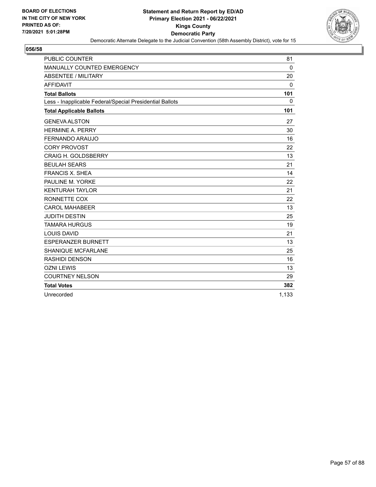

| <b>PUBLIC COUNTER</b>                                    | 81           |
|----------------------------------------------------------|--------------|
| MANUALLY COUNTED EMERGENCY                               | 0            |
| <b>ABSENTEE / MILITARY</b>                               | 20           |
| <b>AFFIDAVIT</b>                                         | $\mathbf{0}$ |
| <b>Total Ballots</b>                                     | 101          |
| Less - Inapplicable Federal/Special Presidential Ballots | $\mathbf{0}$ |
| <b>Total Applicable Ballots</b>                          | 101          |
| <b>GENEVA ALSTON</b>                                     | 27           |
| <b>HERMINE A. PERRY</b>                                  | 30           |
| FERNANDO ARAUJO                                          | 16           |
| <b>CORY PROVOST</b>                                      | 22           |
| <b>CRAIG H. GOLDSBERRY</b>                               | 13           |
| <b>BEULAH SEARS</b>                                      | 21           |
| <b>FRANCIS X. SHEA</b>                                   | 14           |
| PAULINE M. YORKE                                         | 22           |
| <b>KENTURAH TAYLOR</b>                                   | 21           |
| RONNETTE COX                                             | 22           |
| <b>CAROL MAHABEER</b>                                    | 13           |
| <b>JUDITH DESTIN</b>                                     | 25           |
| <b>TAMARA HURGUS</b>                                     | 19           |
| <b>LOUIS DAVID</b>                                       | 21           |
| <b>ESPERANZER BURNETT</b>                                | 13           |
| <b>SHANIQUE MCFARLANE</b>                                | 25           |
| <b>RASHIDI DENSON</b>                                    | 16           |
| <b>OZNI LEWIS</b>                                        | 13           |
| <b>COURTNEY NELSON</b>                                   | 29           |
| <b>Total Votes</b>                                       | 382          |
| Unrecorded                                               | 1,133        |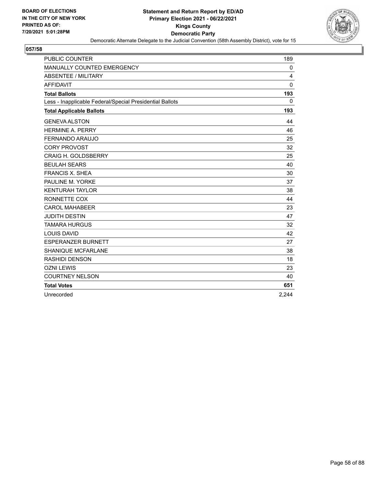

| <b>PUBLIC COUNTER</b>                                    | 189      |
|----------------------------------------------------------|----------|
| MANUALLY COUNTED EMERGENCY                               | 0        |
| <b>ABSENTEE / MILITARY</b>                               | 4        |
| <b>AFFIDAVIT</b>                                         | $\Omega$ |
| <b>Total Ballots</b>                                     | 193      |
| Less - Inapplicable Federal/Special Presidential Ballots | $\Omega$ |
| <b>Total Applicable Ballots</b>                          | 193      |
| <b>GENEVA ALSTON</b>                                     | 44       |
| <b>HERMINE A. PERRY</b>                                  | 46       |
| FERNANDO ARAUJO                                          | 25       |
| <b>CORY PROVOST</b>                                      | 32       |
| <b>CRAIG H. GOLDSBERRY</b>                               | 25       |
| <b>BEULAH SEARS</b>                                      | 40       |
| <b>FRANCIS X. SHEA</b>                                   | 30       |
| PAULINE M. YORKE                                         | 37       |
| <b>KENTURAH TAYLOR</b>                                   | 38       |
| RONNETTE COX                                             | 44       |
| <b>CAROL MAHABEER</b>                                    | 23       |
| <b>JUDITH DESTIN</b>                                     | 47       |
| <b>TAMARA HURGUS</b>                                     | 32       |
| <b>LOUIS DAVID</b>                                       | 42       |
| <b>ESPERANZER BURNETT</b>                                | 27       |
| SHANIQUE MCFARLANE                                       | 38       |
| <b>RASHIDI DENSON</b>                                    | 18       |
| <b>OZNI LEWIS</b>                                        | 23       |
| <b>COURTNEY NELSON</b>                                   | 40       |
| <b>Total Votes</b>                                       | 651      |
| Unrecorded                                               | 2,244    |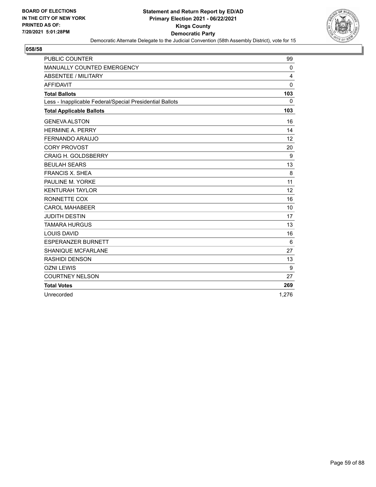

| <b>PUBLIC COUNTER</b>                                    | 99           |
|----------------------------------------------------------|--------------|
| MANUALLY COUNTED EMERGENCY                               | 0            |
| <b>ABSENTEE / MILITARY</b>                               | 4            |
| <b>AFFIDAVIT</b>                                         | $\mathbf 0$  |
| <b>Total Ballots</b>                                     | 103          |
| Less - Inapplicable Federal/Special Presidential Ballots | $\mathbf{0}$ |
| <b>Total Applicable Ballots</b>                          | 103          |
| <b>GENEVA ALSTON</b>                                     | 16           |
| <b>HERMINE A. PERRY</b>                                  | 14           |
| FERNANDO ARAUJO                                          | 12           |
| <b>CORY PROVOST</b>                                      | 20           |
| <b>CRAIG H. GOLDSBERRY</b>                               | 9            |
| <b>BEULAH SEARS</b>                                      | 13           |
| <b>FRANCIS X. SHEA</b>                                   | 8            |
| PAULINE M. YORKE                                         | 11           |
| <b>KENTURAH TAYLOR</b>                                   | 12           |
| RONNETTE COX                                             | 16           |
| <b>CAROL MAHABEER</b>                                    | 10           |
| <b>JUDITH DESTIN</b>                                     | 17           |
| <b>TAMARA HURGUS</b>                                     | 13           |
| <b>LOUIS DAVID</b>                                       | 16           |
| <b>ESPERANZER BURNETT</b>                                | 6            |
| <b>SHANIQUE MCFARLANE</b>                                | 27           |
| <b>RASHIDI DENSON</b>                                    | 13           |
| <b>OZNI LEWIS</b>                                        | 9            |
| <b>COURTNEY NELSON</b>                                   | 27           |
| <b>Total Votes</b>                                       | 269          |
| Unrecorded                                               | 1,276        |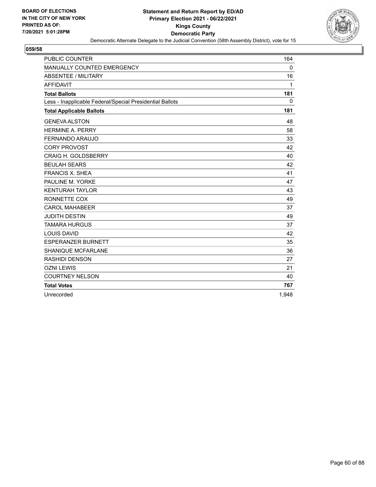

| <b>PUBLIC COUNTER</b>                                    | 164          |
|----------------------------------------------------------|--------------|
| MANUALLY COUNTED EMERGENCY                               | 0            |
| <b>ABSENTEE / MILITARY</b>                               | 16           |
| <b>AFFIDAVIT</b>                                         | $\mathbf{1}$ |
| <b>Total Ballots</b>                                     | 181          |
| Less - Inapplicable Federal/Special Presidential Ballots | $\mathbf{0}$ |
| <b>Total Applicable Ballots</b>                          | 181          |
| <b>GENEVA ALSTON</b>                                     | 48           |
| <b>HERMINE A. PERRY</b>                                  | 58           |
| FERNANDO ARAUJO                                          | 33           |
| <b>CORY PROVOST</b>                                      | 42           |
| <b>CRAIG H. GOLDSBERRY</b>                               | 40           |
| <b>BEULAH SEARS</b>                                      | 42           |
| <b>FRANCIS X. SHEA</b>                                   | 41           |
| PAULINE M. YORKE                                         | 47           |
| <b>KENTURAH TAYLOR</b>                                   | 43           |
| RONNETTE COX                                             | 49           |
| <b>CAROL MAHABEER</b>                                    | 37           |
| <b>JUDITH DESTIN</b>                                     | 49           |
| <b>TAMARA HURGUS</b>                                     | 37           |
| <b>LOUIS DAVID</b>                                       | 42           |
| <b>ESPERANZER BURNETT</b>                                | 35           |
| <b>SHANIQUE MCFARLANE</b>                                | 36           |
| <b>RASHIDI DENSON</b>                                    | 27           |
| <b>OZNI LEWIS</b>                                        | 21           |
| <b>COURTNEY NELSON</b>                                   | 40           |
| <b>Total Votes</b>                                       | 767          |
| Unrecorded                                               | 1,948        |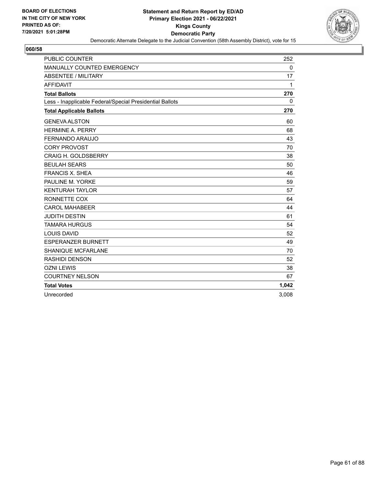

| <b>PUBLIC COUNTER</b>                                    | 252          |
|----------------------------------------------------------|--------------|
| MANUALLY COUNTED EMERGENCY                               | 0            |
| <b>ABSENTEE / MILITARY</b>                               | 17           |
| <b>AFFIDAVIT</b>                                         | $\mathbf{1}$ |
| <b>Total Ballots</b>                                     | 270          |
| Less - Inapplicable Federal/Special Presidential Ballots | $\Omega$     |
| <b>Total Applicable Ballots</b>                          | 270          |
| <b>GENEVA ALSTON</b>                                     | 60           |
| <b>HERMINE A. PERRY</b>                                  | 68           |
| FERNANDO ARAUJO                                          | 43           |
| <b>CORY PROVOST</b>                                      | 70           |
| <b>CRAIG H. GOLDSBERRY</b>                               | 38           |
| <b>BEULAH SEARS</b>                                      | 50           |
| <b>FRANCIS X. SHEA</b>                                   | 46           |
| PAULINE M. YORKE                                         | 59           |
| <b>KENTURAH TAYLOR</b>                                   | 57           |
| RONNETTE COX                                             | 64           |
| <b>CAROL MAHABEER</b>                                    | 44           |
| <b>JUDITH DESTIN</b>                                     | 61           |
| <b>TAMARA HURGUS</b>                                     | 54           |
| <b>LOUIS DAVID</b>                                       | 52           |
| <b>ESPERANZER BURNETT</b>                                | 49           |
| <b>SHANIQUE MCFARLANE</b>                                | 70           |
| <b>RASHIDI DENSON</b>                                    | 52           |
| <b>OZNI LEWIS</b>                                        | 38           |
| <b>COURTNEY NELSON</b>                                   | 67           |
| <b>Total Votes</b>                                       | 1,042        |
| Unrecorded                                               | 3,008        |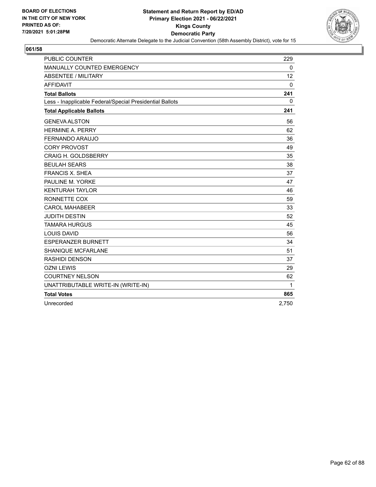

| <b>PUBLIC COUNTER</b>                                    | 229   |
|----------------------------------------------------------|-------|
| MANUALLY COUNTED EMERGENCY                               | 0     |
| <b>ABSENTEE / MILITARY</b>                               | 12    |
| <b>AFFIDAVIT</b>                                         | 0     |
| <b>Total Ballots</b>                                     | 241   |
| Less - Inapplicable Federal/Special Presidential Ballots | 0     |
| <b>Total Applicable Ballots</b>                          | 241   |
| <b>GENEVA ALSTON</b>                                     | 56    |
| <b>HERMINE A. PERRY</b>                                  | 62    |
| FERNANDO ARAUJO                                          | 36    |
| <b>CORY PROVOST</b>                                      | 49    |
| <b>CRAIG H. GOLDSBERRY</b>                               | 35    |
| <b>BEULAH SEARS</b>                                      | 38    |
| <b>FRANCIS X. SHEA</b>                                   | 37    |
| PAULINE M. YORKE                                         | 47    |
| <b>KENTURAH TAYLOR</b>                                   | 46    |
| RONNETTE COX                                             | 59    |
| <b>CAROL MAHABEER</b>                                    | 33    |
| <b>JUDITH DESTIN</b>                                     | 52    |
| <b>TAMARA HURGUS</b>                                     | 45    |
| <b>LOUIS DAVID</b>                                       | 56    |
| <b>ESPERANZER BURNETT</b>                                | 34    |
| <b>SHANIQUE MCFARLANE</b>                                | 51    |
| <b>RASHIDI DENSON</b>                                    | 37    |
| <b>OZNI LEWIS</b>                                        | 29    |
| <b>COURTNEY NELSON</b>                                   | 62    |
| UNATTRIBUTABLE WRITE-IN (WRITE-IN)                       | 1     |
| <b>Total Votes</b>                                       | 865   |
| Unrecorded                                               | 2,750 |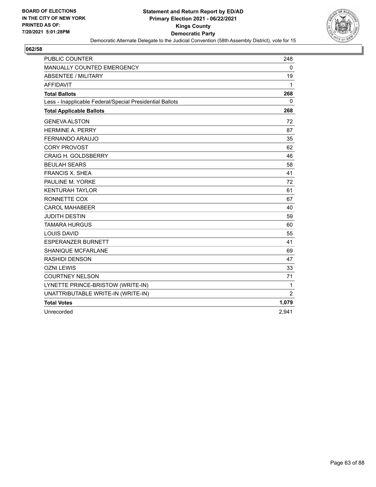

| <b>PUBLIC COUNTER</b>                                    | 248            |
|----------------------------------------------------------|----------------|
| MANUALLY COUNTED EMERGENCY                               | 0              |
| <b>ABSENTEE / MILITARY</b>                               | 19             |
| <b>AFFIDAVIT</b>                                         | 1              |
| <b>Total Ballots</b>                                     | 268            |
| Less - Inapplicable Federal/Special Presidential Ballots | $\mathbf{0}$   |
| <b>Total Applicable Ballots</b>                          | 268            |
| <b>GENEVA ALSTON</b>                                     | 72             |
| <b>HERMINE A. PERRY</b>                                  | 87             |
| FERNANDO ARAUJO                                          | 35             |
| <b>CORY PROVOST</b>                                      | 62             |
| <b>CRAIG H. GOLDSBERRY</b>                               | 46             |
| <b>BEULAH SEARS</b>                                      | 58             |
| <b>FRANCIS X. SHEA</b>                                   | 41             |
| PAULINE M. YORKE                                         | 72             |
| <b>KENTURAH TAYLOR</b>                                   | 61             |
| RONNETTE COX                                             | 67             |
| <b>CAROL MAHABEER</b>                                    | 40             |
| <b>JUDITH DESTIN</b>                                     | 59             |
| <b>TAMARA HURGUS</b>                                     | 60             |
| <b>LOUIS DAVID</b>                                       | 55             |
| <b>ESPERANZER BURNETT</b>                                | 41             |
| SHANIQUE MCFARLANE                                       | 69             |
| <b>RASHIDI DENSON</b>                                    | 47             |
| <b>OZNI LEWIS</b>                                        | 33             |
| <b>COURTNEY NELSON</b>                                   | 71             |
| LYNETTE PRINCE-BRISTOW (WRITE-IN)                        | 1              |
| UNATTRIBUTABLE WRITE-IN (WRITE-IN)                       | $\overline{2}$ |
| <b>Total Votes</b>                                       | 1,079          |
| Unrecorded                                               | 2,941          |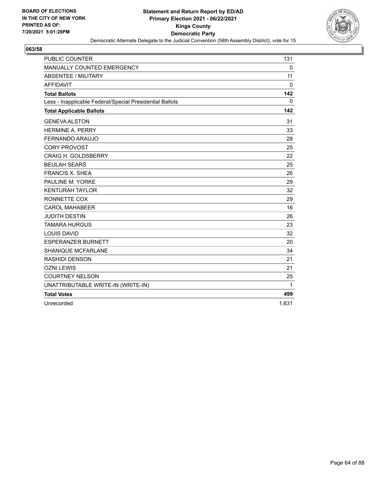

| <b>PUBLIC COUNTER</b>                                    | 131   |
|----------------------------------------------------------|-------|
| <b>MANUALLY COUNTED EMERGENCY</b>                        | 0     |
| <b>ABSENTEE / MILITARY</b>                               | 11    |
| <b>AFFIDAVIT</b>                                         | 0     |
| <b>Total Ballots</b>                                     | 142   |
| Less - Inapplicable Federal/Special Presidential Ballots | 0     |
| <b>Total Applicable Ballots</b>                          | 142   |
| <b>GENEVA ALSTON</b>                                     | 31    |
| <b>HERMINE A. PERRY</b>                                  | 33    |
| FERNANDO ARAUJO                                          | 28    |
| <b>CORY PROVOST</b>                                      | 25    |
| <b>CRAIG H. GOLDSBERRY</b>                               | 22    |
| <b>BEULAH SEARS</b>                                      | 25    |
| <b>FRANCIS X. SHEA</b>                                   | 26    |
| PAULINE M. YORKE                                         | 29    |
| <b>KENTURAH TAYLOR</b>                                   | 32    |
| RONNETTE COX                                             | 29    |
| <b>CAROL MAHABEER</b>                                    | 16    |
| <b>JUDITH DESTIN</b>                                     | 26    |
| <b>TAMARA HURGUS</b>                                     | 23    |
| <b>LOUIS DAVID</b>                                       | 32    |
| <b>ESPERANZER BURNETT</b>                                | 20    |
| <b>SHANIQUE MCFARLANE</b>                                | 34    |
| RASHIDI DENSON                                           | 21    |
| <b>OZNI LEWIS</b>                                        | 21    |
| <b>COURTNEY NELSON</b>                                   | 25    |
| UNATTRIBUTABLE WRITE-IN (WRITE-IN)                       | 1     |
| <b>Total Votes</b>                                       | 499   |
| Unrecorded                                               | 1.631 |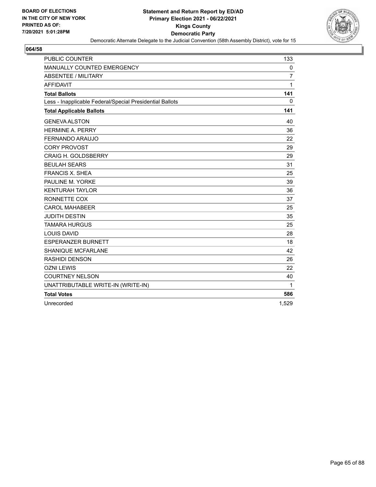

| <b>PUBLIC COUNTER</b>                                    | 133            |
|----------------------------------------------------------|----------------|
| MANUALLY COUNTED EMERGENCY                               | 0              |
| <b>ABSENTEE / MILITARY</b>                               | $\overline{7}$ |
| <b>AFFIDAVIT</b>                                         | 1              |
| <b>Total Ballots</b>                                     | 141            |
| Less - Inapplicable Federal/Special Presidential Ballots | 0              |
| <b>Total Applicable Ballots</b>                          | 141            |
| <b>GENEVA ALSTON</b>                                     | 40             |
| <b>HERMINE A. PERRY</b>                                  | 36             |
| FERNANDO ARAUJO                                          | 22             |
| <b>CORY PROVOST</b>                                      | 29             |
| <b>CRAIG H. GOLDSBERRY</b>                               | 29             |
| <b>BEULAH SEARS</b>                                      | 31             |
| <b>FRANCIS X. SHEA</b>                                   | 25             |
| PAULINE M. YORKE                                         | 39             |
| <b>KENTURAH TAYLOR</b>                                   | 36             |
| RONNETTE COX                                             | 37             |
| <b>CAROL MAHABEER</b>                                    | 25             |
| <b>JUDITH DESTIN</b>                                     | 35             |
| <b>TAMARA HURGUS</b>                                     | 25             |
| <b>LOUIS DAVID</b>                                       | 28             |
| <b>ESPERANZER BURNETT</b>                                | 18             |
| <b>SHANIQUE MCFARLANE</b>                                | 42             |
| <b>RASHIDI DENSON</b>                                    | 26             |
| <b>OZNI LEWIS</b>                                        | 22             |
| <b>COURTNEY NELSON</b>                                   | 40             |
| UNATTRIBUTABLE WRITE-IN (WRITE-IN)                       | 1              |
| <b>Total Votes</b>                                       | 586            |
| Unrecorded                                               | 1,529          |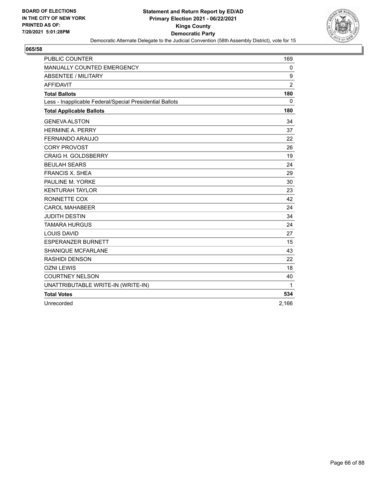

| <b>PUBLIC COUNTER</b>                                    | 169            |
|----------------------------------------------------------|----------------|
| MANUALLY COUNTED EMERGENCY                               | 0              |
| <b>ABSENTEE / MILITARY</b>                               | 9              |
| <b>AFFIDAVIT</b>                                         | $\overline{2}$ |
| <b>Total Ballots</b>                                     | 180            |
| Less - Inapplicable Federal/Special Presidential Ballots | 0              |
| <b>Total Applicable Ballots</b>                          | 180            |
| <b>GENEVA ALSTON</b>                                     | 34             |
| <b>HERMINE A. PERRY</b>                                  | 37             |
| <b>FERNANDO ARAUJO</b>                                   | 22             |
| <b>CORY PROVOST</b>                                      | 26             |
| <b>CRAIG H. GOLDSBERRY</b>                               | 19             |
| <b>BEULAH SEARS</b>                                      | 24             |
| <b>FRANCIS X. SHEA</b>                                   | 29             |
| PAULINE M. YORKE                                         | 30             |
| <b>KENTURAH TAYLOR</b>                                   | 23             |
| RONNETTE COX                                             | 42             |
| <b>CAROL MAHABEER</b>                                    | 24             |
| <b>JUDITH DESTIN</b>                                     | 34             |
| <b>TAMARA HURGUS</b>                                     | 24             |
| <b>LOUIS DAVID</b>                                       | 27             |
| <b>ESPERANZER BURNETT</b>                                | 15             |
| <b>SHANIQUE MCFARLANE</b>                                | 43             |
| <b>RASHIDI DENSON</b>                                    | 22             |
| <b>OZNI LEWIS</b>                                        | 18             |
| <b>COURTNEY NELSON</b>                                   | 40             |
| UNATTRIBUTABLE WRITE-IN (WRITE-IN)                       | 1              |
| <b>Total Votes</b>                                       | 534            |
| Unrecorded                                               | 2,166          |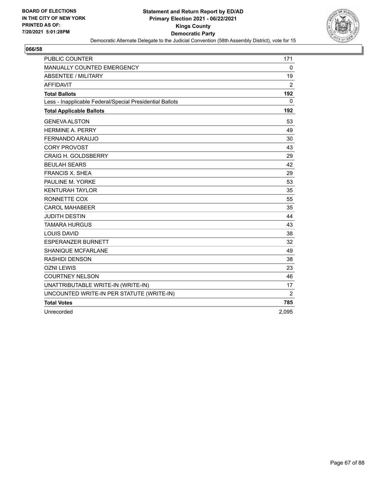

| <b>PUBLIC COUNTER</b>                                    | 171            |
|----------------------------------------------------------|----------------|
| MANUALLY COUNTED EMERGENCY                               | 0              |
| <b>ABSENTEE / MILITARY</b>                               | 19             |
| <b>AFFIDAVIT</b>                                         | $\overline{2}$ |
| <b>Total Ballots</b>                                     | 192            |
| Less - Inapplicable Federal/Special Presidential Ballots | 0              |
| <b>Total Applicable Ballots</b>                          | 192            |
| <b>GENEVA ALSTON</b>                                     | 53             |
| <b>HERMINE A. PERRY</b>                                  | 49             |
| FERNANDO ARAUJO                                          | 30             |
| <b>CORY PROVOST</b>                                      | 43             |
| <b>CRAIG H. GOLDSBERRY</b>                               | 29             |
| <b>BEULAH SEARS</b>                                      | 42             |
| <b>FRANCIS X. SHEA</b>                                   | 29             |
| PAULINE M. YORKE                                         | 53             |
| <b>KENTURAH TAYLOR</b>                                   | 35             |
| RONNETTE COX                                             | 55             |
| <b>CAROL MAHABEER</b>                                    | 35             |
| <b>JUDITH DESTIN</b>                                     | 44             |
| <b>TAMARA HURGUS</b>                                     | 43             |
| <b>LOUIS DAVID</b>                                       | 38             |
| <b>ESPERANZER BURNETT</b>                                | 32             |
| SHANIQUE MCFARLANE                                       | 49             |
| <b>RASHIDI DENSON</b>                                    | 38             |
| <b>OZNI LEWIS</b>                                        | 23             |
| <b>COURTNEY NELSON</b>                                   | 46             |
| UNATTRIBUTABLE WRITE-IN (WRITE-IN)                       | 17             |
| UNCOUNTED WRITE-IN PER STATUTE (WRITE-IN)                | $\overline{2}$ |
| <b>Total Votes</b>                                       | 785            |
| Unrecorded                                               | 2,095          |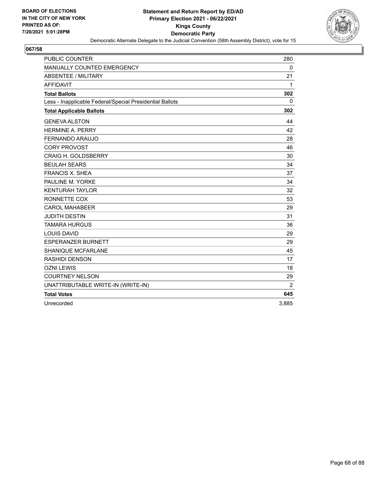

| <b>PUBLIC COUNTER</b>                                    | 280            |
|----------------------------------------------------------|----------------|
| <b>MANUALLY COUNTED EMERGENCY</b>                        | 0              |
| ABSENTEE / MILITARY                                      | 21             |
| <b>AFFIDAVIT</b>                                         | 1              |
| <b>Total Ballots</b>                                     | 302            |
| Less - Inapplicable Federal/Special Presidential Ballots | 0              |
| <b>Total Applicable Ballots</b>                          | 302            |
| <b>GENEVA ALSTON</b>                                     | 44             |
| <b>HERMINE A. PERRY</b>                                  | 42             |
| FERNANDO ARAUJO                                          | 28             |
| <b>CORY PROVOST</b>                                      | 46             |
| <b>CRAIG H. GOLDSBERRY</b>                               | 30             |
| <b>BEULAH SEARS</b>                                      | 34             |
| <b>FRANCIS X. SHEA</b>                                   | 37             |
| PAULINE M. YORKE                                         | 34             |
| <b>KENTURAH TAYLOR</b>                                   | 32             |
| RONNETTE COX                                             | 53             |
| <b>CAROL MAHABEER</b>                                    | 29             |
| <b>JUDITH DESTIN</b>                                     | 31             |
| <b>TAMARA HURGUS</b>                                     | 36             |
| <b>LOUIS DAVID</b>                                       | 29             |
| <b>ESPERANZER BURNETT</b>                                | 29             |
| <b>SHANIQUE MCFARLANE</b>                                | 45             |
| RASHIDI DENSON                                           | 17             |
| <b>OZNI LEWIS</b>                                        | 18             |
| <b>COURTNEY NELSON</b>                                   | 29             |
| UNATTRIBUTABLE WRITE-IN (WRITE-IN)                       | $\overline{2}$ |
| <b>Total Votes</b>                                       | 645            |
| Unrecorded                                               | 3,885          |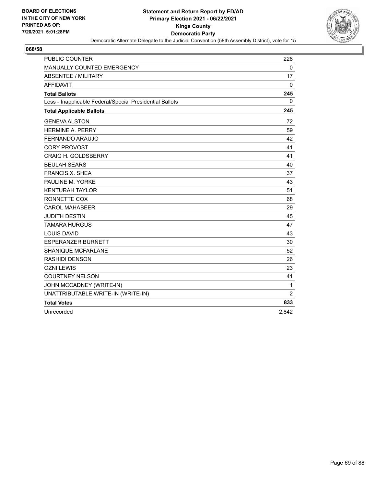

| <b>PUBLIC COUNTER</b>                                    | 228            |
|----------------------------------------------------------|----------------|
| MANUALLY COUNTED EMERGENCY                               | $\mathbf 0$    |
| <b>ABSENTEE / MILITARY</b>                               | 17             |
| <b>AFFIDAVIT</b>                                         | 0              |
| <b>Total Ballots</b>                                     | 245            |
| Less - Inapplicable Federal/Special Presidential Ballots | 0              |
| <b>Total Applicable Ballots</b>                          | 245            |
| <b>GENEVA ALSTON</b>                                     | 72             |
| <b>HERMINE A. PERRY</b>                                  | 59             |
| FERNANDO ARAUJO                                          | 42             |
| <b>CORY PROVOST</b>                                      | 41             |
| <b>CRAIG H. GOLDSBERRY</b>                               | 41             |
| <b>BEULAH SEARS</b>                                      | 40             |
| <b>FRANCIS X. SHEA</b>                                   | 37             |
| PAULINE M. YORKE                                         | 43             |
| <b>KENTURAH TAYLOR</b>                                   | 51             |
| RONNETTE COX                                             | 68             |
| <b>CAROL MAHABEER</b>                                    | 29             |
| <b>JUDITH DESTIN</b>                                     | 45             |
| <b>TAMARA HURGUS</b>                                     | 47             |
| <b>LOUIS DAVID</b>                                       | 43             |
| <b>ESPERANZER BURNETT</b>                                | 30             |
| SHANIQUE MCFARLANE                                       | 52             |
| <b>RASHIDI DENSON</b>                                    | 26             |
| <b>OZNI LEWIS</b>                                        | 23             |
| <b>COURTNEY NELSON</b>                                   | 41             |
| JOHN MCCADNEY (WRITE-IN)                                 | $\mathbf{1}$   |
| UNATTRIBUTABLE WRITE-IN (WRITE-IN)                       | $\overline{2}$ |
| <b>Total Votes</b>                                       | 833            |
| Unrecorded                                               | 2,842          |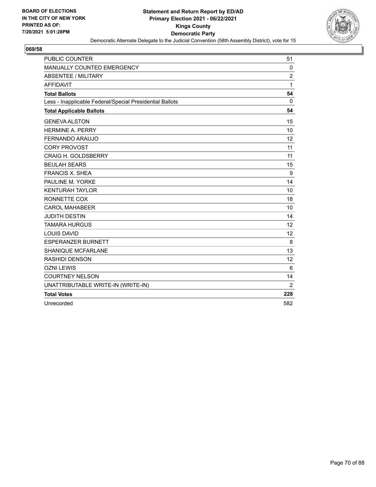

| PUBLIC COUNTER                                           | 51             |
|----------------------------------------------------------|----------------|
| MANUALLY COUNTED EMERGENCY                               | $\mathbf{0}$   |
| <b>ABSENTEE / MILITARY</b>                               | $\overline{c}$ |
| <b>AFFIDAVIT</b>                                         | 1              |
| <b>Total Ballots</b>                                     | 54             |
| Less - Inapplicable Federal/Special Presidential Ballots | 0              |
| <b>Total Applicable Ballots</b>                          | 54             |
| <b>GENEVA ALSTON</b>                                     | 15             |
| HERMINE A. PERRY                                         | 10             |
| FERNANDO ARAUJO                                          | 12             |
| <b>CORY PROVOST</b>                                      | 11             |
| <b>CRAIG H. GOLDSBERRY</b>                               | 11             |
| <b>BEULAH SEARS</b>                                      | 15             |
| <b>FRANCIS X. SHEA</b>                                   | 9              |
| PAULINE M. YORKE                                         | 14             |
| <b>KENTURAH TAYLOR</b>                                   | 10             |
| RONNETTE COX                                             | 18             |
| <b>CAROL MAHABEER</b>                                    | 10             |
| <b>JUDITH DESTIN</b>                                     | 14             |
| <b>TAMARA HURGUS</b>                                     | 12             |
| <b>LOUIS DAVID</b>                                       | 12             |
| <b>ESPERANZER BURNETT</b>                                | 8              |
| <b>SHANIQUE MCFARLANE</b>                                | 13             |
| <b>RASHIDI DENSON</b>                                    | 12             |
| <b>OZNI LEWIS</b>                                        | 6              |
| <b>COURTNEY NELSON</b>                                   | 14             |
| UNATTRIBUTABLE WRITE-IN (WRITE-IN)                       | $\overline{2}$ |
| <b>Total Votes</b>                                       | 228            |
| Unrecorded                                               | 582            |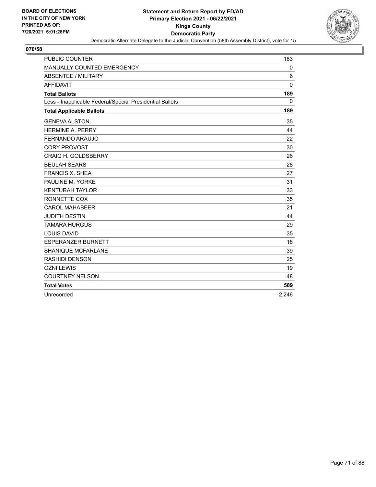

| <b>PUBLIC COUNTER</b>                                    | 183          |
|----------------------------------------------------------|--------------|
| MANUALLY COUNTED EMERGENCY                               | 0            |
| <b>ABSENTEE / MILITARY</b>                               | 6            |
| <b>AFFIDAVIT</b>                                         | $\Omega$     |
| <b>Total Ballots</b>                                     | 189          |
| Less - Inapplicable Federal/Special Presidential Ballots | $\mathbf{0}$ |
| <b>Total Applicable Ballots</b>                          | 189          |
| <b>GENEVA ALSTON</b>                                     | 35           |
| <b>HERMINE A. PERRY</b>                                  | 44           |
| <b>FERNANDO ARAUJO</b>                                   | 22           |
| <b>CORY PROVOST</b>                                      | 30           |
| <b>CRAIG H. GOLDSBERRY</b>                               | 26           |
| <b>BEULAH SEARS</b>                                      | 28           |
| <b>FRANCIS X. SHEA</b>                                   | 27           |
| PAULINE M. YORKE                                         | 31           |
| <b>KENTURAH TAYLOR</b>                                   | 33           |
| RONNETTE COX                                             | 35           |
| <b>CAROL MAHABEER</b>                                    | 21           |
| <b>JUDITH DESTIN</b>                                     | 44           |
| <b>TAMARA HURGUS</b>                                     | 29           |
| <b>LOUIS DAVID</b>                                       | 35           |
| <b>ESPERANZER BURNETT</b>                                | 18           |
| <b>SHANIQUE MCFARLANE</b>                                | 39           |
| <b>RASHIDI DENSON</b>                                    | 25           |
| <b>OZNI LEWIS</b>                                        | 19           |
| <b>COURTNEY NELSON</b>                                   | 48           |
| <b>Total Votes</b>                                       | 589          |
| Unrecorded                                               | 2,246        |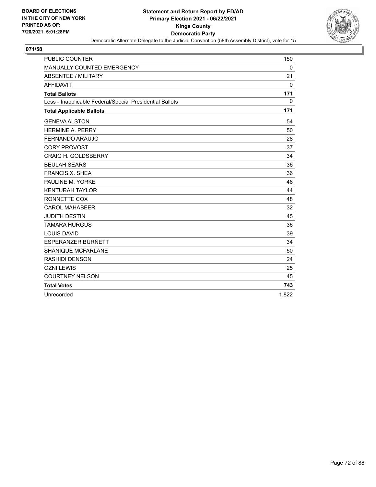

| <b>PUBLIC COUNTER</b>                                    | 150      |
|----------------------------------------------------------|----------|
| MANUALLY COUNTED EMERGENCY                               | 0        |
| <b>ABSENTEE / MILITARY</b>                               | 21       |
| <b>AFFIDAVIT</b>                                         | $\Omega$ |
| <b>Total Ballots</b>                                     | 171      |
| Less - Inapplicable Federal/Special Presidential Ballots | 0        |
| <b>Total Applicable Ballots</b>                          | 171      |
| <b>GENEVA ALSTON</b>                                     | 54       |
| <b>HERMINE A. PERRY</b>                                  | 50       |
| FERNANDO ARAUJO                                          | 28       |
| <b>CORY PROVOST</b>                                      | 37       |
| <b>CRAIG H. GOLDSBERRY</b>                               | 34       |
| <b>BEULAH SEARS</b>                                      | 36       |
| <b>FRANCIS X. SHEA</b>                                   | 36       |
| PAULINE M. YORKE                                         | 46       |
| <b>KENTURAH TAYLOR</b>                                   | 44       |
| RONNETTE COX                                             | 48       |
| <b>CAROL MAHABEER</b>                                    | 32       |
| <b>JUDITH DESTIN</b>                                     | 45       |
| <b>TAMARA HURGUS</b>                                     | 36       |
| <b>LOUIS DAVID</b>                                       | 39       |
| <b>ESPERANZER BURNETT</b>                                | 34       |
| <b>SHANIQUE MCFARLANE</b>                                | 50       |
| <b>RASHIDI DENSON</b>                                    | 24       |
| <b>OZNI LEWIS</b>                                        | 25       |
| <b>COURTNEY NELSON</b>                                   | 45       |
| <b>Total Votes</b>                                       | 743      |
| Unrecorded                                               | 1,822    |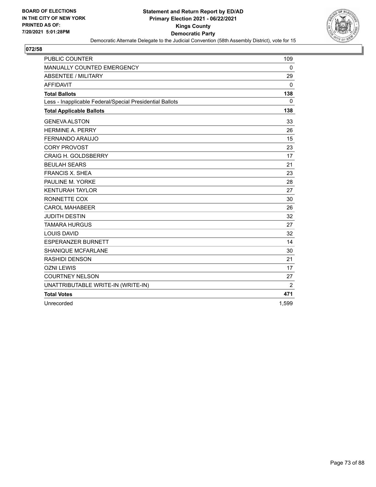

| PUBLIC COUNTER                                           | 109            |
|----------------------------------------------------------|----------------|
| <b>MANUALLY COUNTED EMERGENCY</b>                        | $\mathbf{0}$   |
| <b>ABSENTEE / MILITARY</b>                               | 29             |
| <b>AFFIDAVIT</b>                                         | 0              |
| <b>Total Ballots</b>                                     | 138            |
| Less - Inapplicable Federal/Special Presidential Ballots | $\mathbf{0}$   |
| <b>Total Applicable Ballots</b>                          | 138            |
| <b>GENEVA ALSTON</b>                                     | 33             |
| <b>HERMINE A. PERRY</b>                                  | 26             |
| FERNANDO ARAUJO                                          | 15             |
| <b>CORY PROVOST</b>                                      | 23             |
| <b>CRAIG H. GOLDSBERRY</b>                               | 17             |
| <b>BEULAH SEARS</b>                                      | 21             |
| <b>FRANCIS X. SHEA</b>                                   | 23             |
| PAULINE M. YORKE                                         | 28             |
| <b>KENTURAH TAYLOR</b>                                   | 27             |
| RONNETTE COX                                             | 30             |
| <b>CAROL MAHABEER</b>                                    | 26             |
| <b>JUDITH DESTIN</b>                                     | 32             |
| <b>TAMARA HURGUS</b>                                     | 27             |
| <b>LOUIS DAVID</b>                                       | 32             |
| <b>ESPERANZER BURNETT</b>                                | 14             |
| SHANIQUE MCFARLANE                                       | 30             |
| <b>RASHIDI DENSON</b>                                    | 21             |
| <b>OZNI LEWIS</b>                                        | 17             |
| <b>COURTNEY NELSON</b>                                   | 27             |
| UNATTRIBUTABLE WRITE-IN (WRITE-IN)                       | $\overline{2}$ |
| <b>Total Votes</b>                                       | 471            |
| Unrecorded                                               | 1,599          |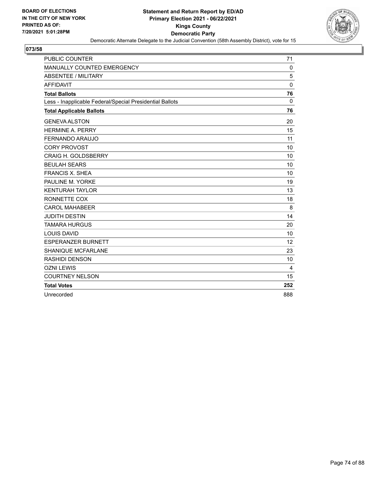

| <b>PUBLIC COUNTER</b>                                    | 71       |
|----------------------------------------------------------|----------|
| MANUALLY COUNTED EMERGENCY                               | 0        |
| <b>ABSENTEE / MILITARY</b>                               | 5        |
| <b>AFFIDAVIT</b>                                         | $\Omega$ |
| <b>Total Ballots</b>                                     | 76       |
| Less - Inapplicable Federal/Special Presidential Ballots | $\Omega$ |
| <b>Total Applicable Ballots</b>                          | 76       |
| <b>GENEVA ALSTON</b>                                     | 20       |
| <b>HERMINE A. PERRY</b>                                  | 15       |
| FERNANDO ARAUJO                                          | 11       |
| <b>CORY PROVOST</b>                                      | 10       |
| <b>CRAIG H. GOLDSBERRY</b>                               | 10       |
| <b>BEULAH SEARS</b>                                      | 10       |
| <b>FRANCIS X. SHEA</b>                                   | 10       |
| PAULINE M. YORKE                                         | 19       |
| <b>KENTURAH TAYLOR</b>                                   | 13       |
| RONNETTE COX                                             | 18       |
| <b>CAROL MAHABEER</b>                                    | 8        |
| <b>JUDITH DESTIN</b>                                     | 14       |
| <b>TAMARA HURGUS</b>                                     | 20       |
| <b>LOUIS DAVID</b>                                       | 10       |
| <b>ESPERANZER BURNETT</b>                                | 12       |
| <b>SHANIQUE MCFARLANE</b>                                | 23       |
| <b>RASHIDI DENSON</b>                                    | 10       |
| <b>OZNI LEWIS</b>                                        | 4        |
| <b>COURTNEY NELSON</b>                                   | 15       |
| <b>Total Votes</b>                                       | 252      |
| Unrecorded                                               | 888      |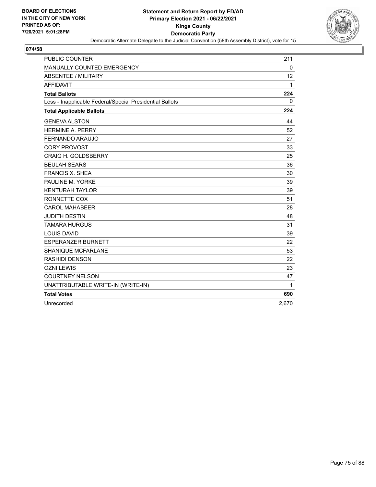

| <b>PUBLIC COUNTER</b>                                    | 211          |
|----------------------------------------------------------|--------------|
| MANUALLY COUNTED EMERGENCY                               | $\mathbf 0$  |
| <b>ABSENTEE / MILITARY</b>                               | 12           |
| <b>AFFIDAVIT</b>                                         | 1            |
| <b>Total Ballots</b>                                     | 224          |
| Less - Inapplicable Federal/Special Presidential Ballots | $\mathbf{0}$ |
| <b>Total Applicable Ballots</b>                          | 224          |
| <b>GENEVA ALSTON</b>                                     | 44           |
| <b>HERMINE A. PERRY</b>                                  | 52           |
| FERNANDO ARAUJO                                          | 27           |
| <b>CORY PROVOST</b>                                      | 33           |
| <b>CRAIG H. GOLDSBERRY</b>                               | 25           |
| <b>BEULAH SEARS</b>                                      | 36           |
| <b>FRANCIS X. SHEA</b>                                   | 30           |
| PAULINE M. YORKE                                         | 39           |
| <b>KENTURAH TAYLOR</b>                                   | 39           |
| RONNETTE COX                                             | 51           |
| <b>CAROL MAHABEER</b>                                    | 28           |
| <b>JUDITH DESTIN</b>                                     | 48           |
| <b>TAMARA HURGUS</b>                                     | 31           |
| <b>LOUIS DAVID</b>                                       | 39           |
| <b>ESPERANZER BURNETT</b>                                | 22           |
| <b>SHANIQUE MCFARLANE</b>                                | 53           |
| <b>RASHIDI DENSON</b>                                    | 22           |
| <b>OZNI LEWIS</b>                                        | 23           |
| <b>COURTNEY NELSON</b>                                   | 47           |
| UNATTRIBUTABLE WRITE-IN (WRITE-IN)                       | 1            |
| <b>Total Votes</b>                                       | 690          |
| Unrecorded                                               | 2,670        |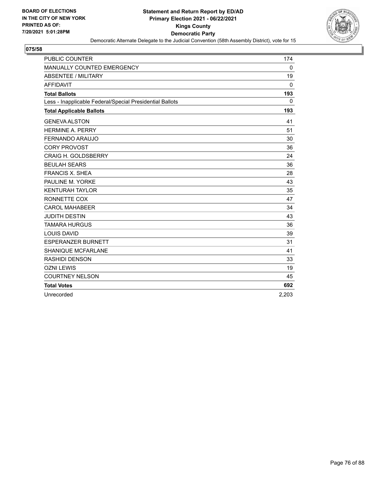

| <b>PUBLIC COUNTER</b>                                    | 174          |
|----------------------------------------------------------|--------------|
| MANUALLY COUNTED EMERGENCY                               | 0            |
| <b>ABSENTEE / MILITARY</b>                               | 19           |
| <b>AFFIDAVIT</b>                                         | $\mathbf{0}$ |
| <b>Total Ballots</b>                                     | 193          |
| Less - Inapplicable Federal/Special Presidential Ballots | $\Omega$     |
| <b>Total Applicable Ballots</b>                          | 193          |
| <b>GENEVA ALSTON</b>                                     | 41           |
| <b>HERMINE A. PERRY</b>                                  | 51           |
| FERNANDO ARAUJO                                          | 30           |
| <b>CORY PROVOST</b>                                      | 36           |
| <b>CRAIG H. GOLDSBERRY</b>                               | 24           |
| <b>BEULAH SEARS</b>                                      | 36           |
| <b>FRANCIS X. SHEA</b>                                   | 28           |
| PAULINE M. YORKE                                         | 43           |
| <b>KENTURAH TAYLOR</b>                                   | 35           |
| RONNETTE COX                                             | 47           |
| <b>CAROL MAHABEER</b>                                    | 34           |
| <b>JUDITH DESTIN</b>                                     | 43           |
| <b>TAMARA HURGUS</b>                                     | 36           |
| <b>LOUIS DAVID</b>                                       | 39           |
| <b>ESPERANZER BURNETT</b>                                | 31           |
| <b>SHANIQUE MCFARLANE</b>                                | 41           |
| <b>RASHIDI DENSON</b>                                    | 33           |
| <b>OZNI LEWIS</b>                                        | 19           |
| <b>COURTNEY NELSON</b>                                   | 45           |
| <b>Total Votes</b>                                       | 692          |
| Unrecorded                                               | 2,203        |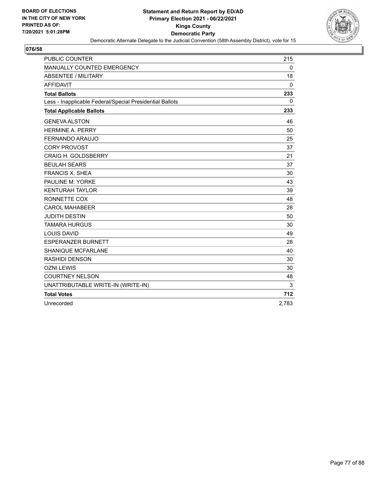

| PUBLIC COUNTER                                           | 215         |
|----------------------------------------------------------|-------------|
| MANUALLY COUNTED EMERGENCY                               | $\mathbf 0$ |
| <b>ABSENTEE / MILITARY</b>                               | 18          |
| <b>AFFIDAVIT</b>                                         | 0           |
| <b>Total Ballots</b>                                     | 233         |
| Less - Inapplicable Federal/Special Presidential Ballots | $\mathbf 0$ |
| <b>Total Applicable Ballots</b>                          | 233         |
| <b>GENEVA ALSTON</b>                                     | 46          |
| <b>HERMINE A. PERRY</b>                                  | 50          |
| FERNANDO ARAUJO                                          | 25          |
| <b>CORY PROVOST</b>                                      | 37          |
| <b>CRAIG H. GOLDSBERRY</b>                               | 21          |
| <b>BEULAH SEARS</b>                                      | 37          |
| <b>FRANCIS X. SHEA</b>                                   | 30          |
| PAULINE M. YORKE                                         | 43          |
| <b>KENTURAH TAYLOR</b>                                   | 39          |
| RONNETTE COX                                             | 48          |
| <b>CAROL MAHABEER</b>                                    | 28          |
| <b>JUDITH DESTIN</b>                                     | 50          |
| <b>TAMARA HURGUS</b>                                     | 30          |
| <b>LOUIS DAVID</b>                                       | 49          |
| <b>ESPERANZER BURNETT</b>                                | 28          |
| <b>SHANIQUE MCFARLANE</b>                                | 40          |
| <b>RASHIDI DENSON</b>                                    | 30          |
| <b>OZNI LEWIS</b>                                        | 30          |
| <b>COURTNEY NELSON</b>                                   | 48          |
| UNATTRIBUTABLE WRITE-IN (WRITE-IN)                       | 3           |
| <b>Total Votes</b>                                       | 712         |
| Unrecorded                                               | 2,783       |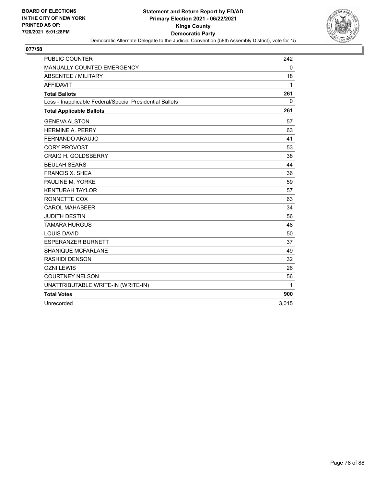

| PUBLIC COUNTER                                           | 242         |
|----------------------------------------------------------|-------------|
| MANUALLY COUNTED EMERGENCY                               | $\mathbf 0$ |
| <b>ABSENTEE / MILITARY</b>                               | 18          |
| <b>AFFIDAVIT</b>                                         | 1           |
| <b>Total Ballots</b>                                     | 261         |
| Less - Inapplicable Federal/Special Presidential Ballots | $\mathbf 0$ |
| <b>Total Applicable Ballots</b>                          | 261         |
| <b>GENEVA ALSTON</b>                                     | 57          |
| <b>HERMINE A. PERRY</b>                                  | 63          |
| FERNANDO ARAUJO                                          | 41          |
| <b>CORY PROVOST</b>                                      | 53          |
| <b>CRAIG H. GOLDSBERRY</b>                               | 38          |
| <b>BEULAH SEARS</b>                                      | 44          |
| <b>FRANCIS X. SHEA</b>                                   | 36          |
| PAULINE M. YORKE                                         | 59          |
| <b>KENTURAH TAYLOR</b>                                   | 57          |
| RONNETTE COX                                             | 63          |
| <b>CAROL MAHABEER</b>                                    | 34          |
| <b>JUDITH DESTIN</b>                                     | 56          |
| <b>TAMARA HURGUS</b>                                     | 48          |
| <b>LOUIS DAVID</b>                                       | 50          |
| <b>ESPERANZER BURNETT</b>                                | 37          |
| <b>SHANIQUE MCFARLANE</b>                                | 49          |
| <b>RASHIDI DENSON</b>                                    | 32          |
| <b>OZNI LEWIS</b>                                        | 26          |
| <b>COURTNEY NELSON</b>                                   | 56          |
| UNATTRIBUTABLE WRITE-IN (WRITE-IN)                       | 1           |
| <b>Total Votes</b>                                       | 900         |
| Unrecorded                                               | 3,015       |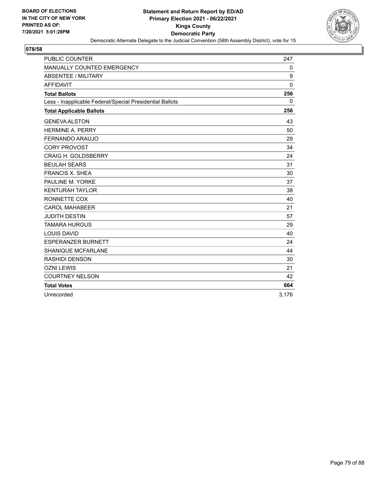

| <b>PUBLIC COUNTER</b>                                    | 247         |
|----------------------------------------------------------|-------------|
| MANUALLY COUNTED EMERGENCY                               | 0           |
| <b>ABSENTEE / MILITARY</b>                               | 9           |
| <b>AFFIDAVIT</b>                                         | $\mathbf 0$ |
| <b>Total Ballots</b>                                     | 256         |
| Less - Inapplicable Federal/Special Presidential Ballots | $\Omega$    |
| <b>Total Applicable Ballots</b>                          | 256         |
| <b>GENEVA ALSTON</b>                                     | 43          |
| <b>HERMINE A. PERRY</b>                                  | 50          |
| FERNANDO ARAUJO                                          | 29          |
| <b>CORY PROVOST</b>                                      | 34          |
| <b>CRAIG H. GOLDSBERRY</b>                               | 24          |
| <b>BEULAH SEARS</b>                                      | 31          |
| <b>FRANCIS X. SHEA</b>                                   | 30          |
| PAULINE M. YORKE                                         | 37          |
| <b>KENTURAH TAYLOR</b>                                   | 38          |
| RONNETTE COX                                             | 40          |
| <b>CAROL MAHABEER</b>                                    | 21          |
| <b>JUDITH DESTIN</b>                                     | 57          |
| <b>TAMARA HURGUS</b>                                     | 29          |
| LOUIS DAVID                                              | 40          |
| <b>ESPERANZER BURNETT</b>                                | 24          |
| SHANIQUE MCFARLANE                                       | 44          |
| <b>RASHIDI DENSON</b>                                    | 30          |
| <b>OZNI LEWIS</b>                                        | 21          |
| <b>COURTNEY NELSON</b>                                   | 42          |
| <b>Total Votes</b>                                       | 664         |
| Unrecorded                                               | 3,176       |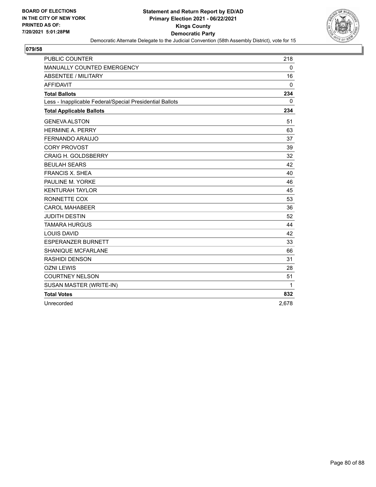

| PUBLIC COUNTER                                           | 218         |
|----------------------------------------------------------|-------------|
| MANUALLY COUNTED EMERGENCY                               | $\mathbf 0$ |
| <b>ABSENTEE / MILITARY</b>                               | 16          |
| <b>AFFIDAVIT</b>                                         | 0           |
| <b>Total Ballots</b>                                     | 234         |
| Less - Inapplicable Federal/Special Presidential Ballots | $\mathbf 0$ |
| <b>Total Applicable Ballots</b>                          | 234         |
| <b>GENEVA ALSTON</b>                                     | 51          |
| <b>HERMINE A. PERRY</b>                                  | 63          |
| FERNANDO ARAUJO                                          | 37          |
| <b>CORY PROVOST</b>                                      | 39          |
| <b>CRAIG H. GOLDSBERRY</b>                               | 32          |
| <b>BEULAH SEARS</b>                                      | 42          |
| <b>FRANCIS X. SHEA</b>                                   | 40          |
| PAULINE M. YORKE                                         | 46          |
| <b>KENTURAH TAYLOR</b>                                   | 45          |
| RONNETTE COX                                             | 53          |
| <b>CAROL MAHABEER</b>                                    | 36          |
| <b>JUDITH DESTIN</b>                                     | 52          |
| <b>TAMARA HURGUS</b>                                     | 44          |
| <b>LOUIS DAVID</b>                                       | 42          |
| <b>ESPERANZER BURNETT</b>                                | 33          |
| <b>SHANIQUE MCFARLANE</b>                                | 66          |
| <b>RASHIDI DENSON</b>                                    | 31          |
| <b>OZNI LEWIS</b>                                        | 28          |
| <b>COURTNEY NELSON</b>                                   | 51          |
| SUSAN MASTER (WRITE-IN)                                  | 1           |
| <b>Total Votes</b>                                       | 832         |
| Unrecorded                                               | 2,678       |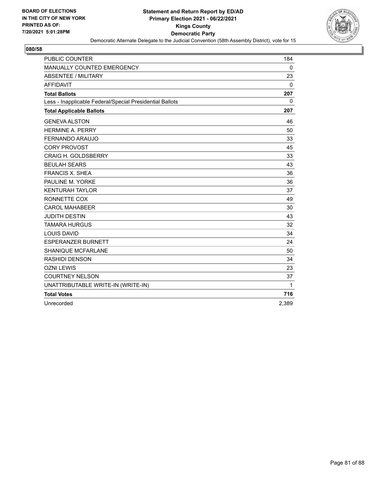

| <b>PUBLIC COUNTER</b>                                    | 184   |
|----------------------------------------------------------|-------|
| MANUALLY COUNTED EMERGENCY                               | 0     |
| <b>ABSENTEE / MILITARY</b>                               | 23    |
| <b>AFFIDAVIT</b>                                         | 0     |
| <b>Total Ballots</b>                                     | 207   |
| Less - Inapplicable Federal/Special Presidential Ballots | 0     |
| <b>Total Applicable Ballots</b>                          | 207   |
| <b>GENEVA ALSTON</b>                                     | 46    |
| <b>HERMINE A. PERRY</b>                                  | 50    |
| FERNANDO ARAUJO                                          | 33    |
| <b>CORY PROVOST</b>                                      | 45    |
| <b>CRAIG H. GOLDSBERRY</b>                               | 33    |
| <b>BEULAH SEARS</b>                                      | 43    |
| <b>FRANCIS X. SHEA</b>                                   | 36    |
| PAULINE M. YORKE                                         | 36    |
| <b>KENTURAH TAYLOR</b>                                   | 37    |
| RONNETTE COX                                             | 49    |
| <b>CAROL MAHABEER</b>                                    | 30    |
| <b>JUDITH DESTIN</b>                                     | 43    |
| <b>TAMARA HURGUS</b>                                     | 32    |
| <b>LOUIS DAVID</b>                                       | 34    |
| <b>ESPERANZER BURNETT</b>                                | 24    |
| <b>SHANIQUE MCFARLANE</b>                                | 50    |
| <b>RASHIDI DENSON</b>                                    | 34    |
| <b>OZNI LEWIS</b>                                        | 23    |
| <b>COURTNEY NELSON</b>                                   | 37    |
| UNATTRIBUTABLE WRITE-IN (WRITE-IN)                       | 1     |
| <b>Total Votes</b>                                       | 716   |
| Unrecorded                                               | 2,389 |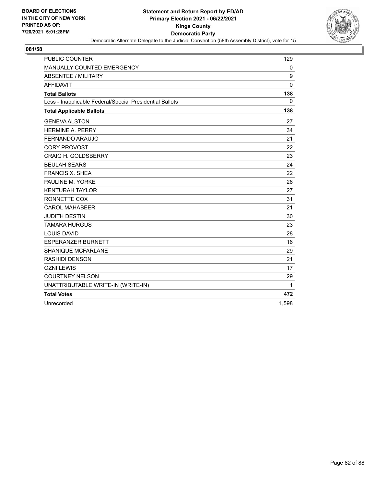

| PUBLIC COUNTER                                           | 129          |
|----------------------------------------------------------|--------------|
| <b>MANUALLY COUNTED EMERGENCY</b>                        | $\mathbf{0}$ |
| <b>ABSENTEE / MILITARY</b>                               | 9            |
| <b>AFFIDAVIT</b>                                         | $\mathbf{0}$ |
| <b>Total Ballots</b>                                     | 138          |
| Less - Inapplicable Federal/Special Presidential Ballots | $\mathbf{0}$ |
| <b>Total Applicable Ballots</b>                          | 138          |
| <b>GENEVA ALSTON</b>                                     | 27           |
| <b>HERMINE A. PERRY</b>                                  | 34           |
| FERNANDO ARAUJO                                          | 21           |
| <b>CORY PROVOST</b>                                      | 22           |
| <b>CRAIG H. GOLDSBERRY</b>                               | 23           |
| <b>BEULAH SEARS</b>                                      | 24           |
| <b>FRANCIS X. SHEA</b>                                   | 22           |
| PAULINE M. YORKE                                         | 26           |
| <b>KENTURAH TAYLOR</b>                                   | 27           |
| RONNETTE COX                                             | 31           |
| <b>CAROL MAHABEER</b>                                    | 21           |
| <b>JUDITH DESTIN</b>                                     | 30           |
| <b>TAMARA HURGUS</b>                                     | 23           |
| <b>LOUIS DAVID</b>                                       | 28           |
| <b>ESPERANZER BURNETT</b>                                | 16           |
| SHANIQUE MCFARLANE                                       | 29           |
| RASHIDI DENSON                                           | 21           |
| <b>OZNI LEWIS</b>                                        | 17           |
| <b>COURTNEY NELSON</b>                                   | 29           |
| UNATTRIBUTABLE WRITE-IN (WRITE-IN)                       | 1            |
| <b>Total Votes</b>                                       | 472          |
| Unrecorded                                               | 1,598        |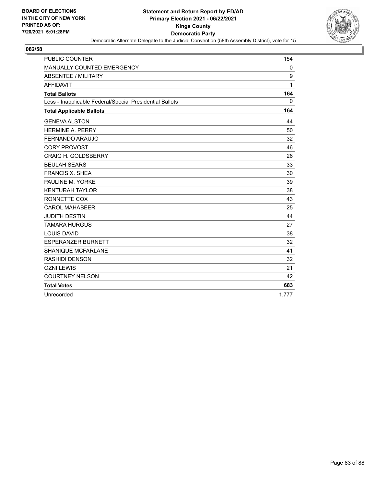

| <b>PUBLIC COUNTER</b>                                    | 154          |
|----------------------------------------------------------|--------------|
| MANUALLY COUNTED EMERGENCY                               | 0            |
| <b>ABSENTEE / MILITARY</b>                               | 9            |
| <b>AFFIDAVIT</b>                                         | 1            |
| <b>Total Ballots</b>                                     | 164          |
| Less - Inapplicable Federal/Special Presidential Ballots | $\mathbf{0}$ |
| <b>Total Applicable Ballots</b>                          | 164          |
| <b>GENEVA ALSTON</b>                                     | 44           |
| <b>HERMINE A. PERRY</b>                                  | 50           |
| FERNANDO ARAUJO                                          | 32           |
| <b>CORY PROVOST</b>                                      | 46           |
| <b>CRAIG H. GOLDSBERRY</b>                               | 26           |
| <b>BEULAH SEARS</b>                                      | 33           |
| <b>FRANCIS X. SHEA</b>                                   | 30           |
| PAULINE M. YORKE                                         | 39           |
| <b>KENTURAH TAYLOR</b>                                   | 38           |
| RONNETTE COX                                             | 43           |
| <b>CAROL MAHABEER</b>                                    | 25           |
| <b>JUDITH DESTIN</b>                                     | 44           |
| <b>TAMARA HURGUS</b>                                     | 27           |
| LOUIS DAVID                                              | 38           |
| <b>ESPERANZER BURNETT</b>                                | 32           |
| SHANIQUE MCFARLANE                                       | 41           |
| RASHIDI DENSON                                           | 32           |
| <b>OZNI LEWIS</b>                                        | 21           |
| <b>COURTNEY NELSON</b>                                   | 42           |
| <b>Total Votes</b>                                       | 683          |
| Unrecorded                                               | 1,777        |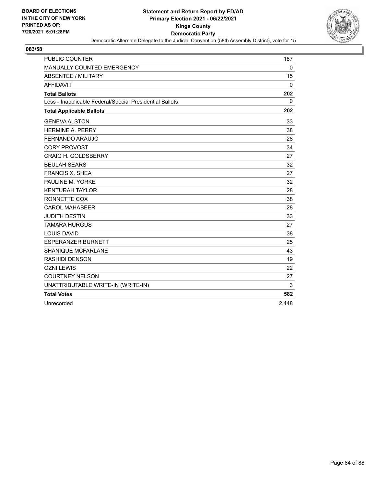

| <b>PUBLIC COUNTER</b>                                    | 187         |
|----------------------------------------------------------|-------------|
| MANUALLY COUNTED EMERGENCY                               | $\mathbf 0$ |
| <b>ABSENTEE / MILITARY</b>                               | 15          |
| <b>AFFIDAVIT</b>                                         | 0           |
| <b>Total Ballots</b>                                     | 202         |
| Less - Inapplicable Federal/Special Presidential Ballots | 0           |
| <b>Total Applicable Ballots</b>                          | 202         |
| <b>GENEVA ALSTON</b>                                     | 33          |
| <b>HFRMINF A. PFRRY</b>                                  | 38          |
| <b>FERNANDO ARAUJO</b>                                   | 28          |
| <b>CORY PROVOST</b>                                      | 34          |
| <b>CRAIG H. GOLDSBERRY</b>                               | 27          |
| <b>BEULAH SEARS</b>                                      | 32          |
| <b>FRANCIS X. SHEA</b>                                   | 27          |
| PAULINE M. YORKE                                         | 32          |
| <b>KENTURAH TAYLOR</b>                                   | 28          |
| RONNETTE COX                                             | 38          |
| <b>CAROL MAHABEER</b>                                    | 28          |
| <b>JUDITH DESTIN</b>                                     | 33          |
| <b>TAMARA HURGUS</b>                                     | 27          |
| <b>LOUIS DAVID</b>                                       | 38          |
| <b>ESPERANZER BURNETT</b>                                | 25          |
| <b>SHANIQUE MCFARLANE</b>                                | 43          |
| <b>RASHIDI DENSON</b>                                    | 19          |
| <b>OZNI LEWIS</b>                                        | 22          |
| <b>COURTNEY NELSON</b>                                   | 27          |
| UNATTRIBUTABLE WRITE-IN (WRITE-IN)                       | 3           |
| <b>Total Votes</b>                                       | 582         |
| Unrecorded                                               | 2,448       |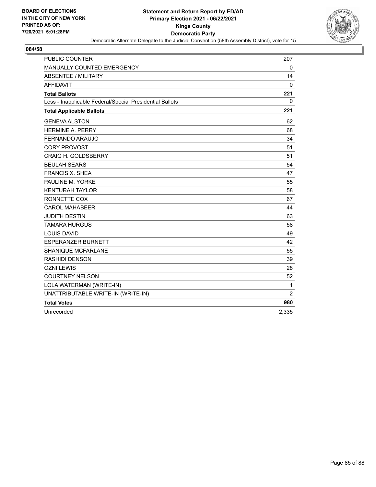

| <b>PUBLIC COUNTER</b>                                    | 207            |
|----------------------------------------------------------|----------------|
| MANUALLY COUNTED EMERGENCY                               | $\mathbf 0$    |
| <b>ABSENTEE / MILITARY</b>                               | 14             |
| <b>AFFIDAVIT</b>                                         | 0              |
| <b>Total Ballots</b>                                     | 221            |
| Less - Inapplicable Federal/Special Presidential Ballots | 0              |
| <b>Total Applicable Ballots</b>                          | 221            |
| <b>GENEVA ALSTON</b>                                     | 62             |
| <b>HERMINE A. PERRY</b>                                  | 68             |
| FERNANDO ARAUJO                                          | 34             |
| <b>CORY PROVOST</b>                                      | 51             |
| <b>CRAIG H. GOLDSBERRY</b>                               | 51             |
| <b>BEULAH SEARS</b>                                      | 54             |
| <b>FRANCIS X. SHEA</b>                                   | 47             |
| PAULINE M. YORKE                                         | 55             |
| <b>KENTURAH TAYLOR</b>                                   | 58             |
| RONNETTE COX                                             | 67             |
| <b>CAROL MAHABEER</b>                                    | 44             |
| <b>JUDITH DESTIN</b>                                     | 63             |
| <b>TAMARA HURGUS</b>                                     | 58             |
| <b>LOUIS DAVID</b>                                       | 49             |
| <b>ESPERANZER BURNETT</b>                                | 42             |
| SHANIQUE MCFARLANE                                       | 55             |
| <b>RASHIDI DENSON</b>                                    | 39             |
| <b>OZNI LEWIS</b>                                        | 28             |
| <b>COURTNEY NELSON</b>                                   | 52             |
| LOLA WATERMAN (WRITE-IN)                                 | $\mathbf{1}$   |
| UNATTRIBUTABLE WRITE-IN (WRITE-IN)                       | $\overline{2}$ |
| <b>Total Votes</b>                                       | 980            |
| Unrecorded                                               | 2,335          |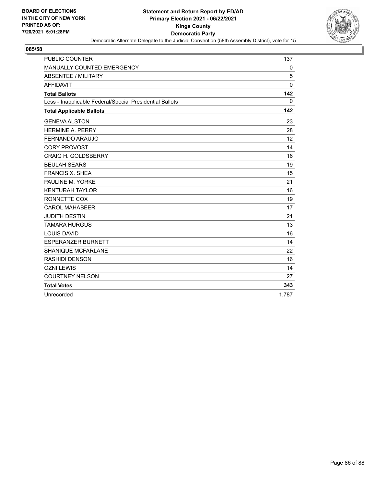

| <b>PUBLIC COUNTER</b>                                    | 137         |
|----------------------------------------------------------|-------------|
| MANUALLY COUNTED EMERGENCY                               | 0           |
| <b>ABSENTEE / MILITARY</b>                               | 5           |
| <b>AFFIDAVIT</b>                                         | $\Omega$    |
| <b>Total Ballots</b>                                     | 142         |
| Less - Inapplicable Federal/Special Presidential Ballots | $\mathbf 0$ |
| <b>Total Applicable Ballots</b>                          | 142         |
| <b>GENEVA ALSTON</b>                                     | 23          |
| <b>HERMINE A. PERRY</b>                                  | 28          |
| <b>FERNANDO ARAUJO</b>                                   | 12          |
| <b>CORY PROVOST</b>                                      | 14          |
| <b>CRAIG H. GOLDSBERRY</b>                               | 16          |
| <b>BEULAH SEARS</b>                                      | 19          |
| <b>FRANCIS X. SHEA</b>                                   | 15          |
| PAULINE M. YORKE                                         | 21          |
| <b>KENTURAH TAYLOR</b>                                   | 16          |
| RONNETTE COX                                             | 19          |
| <b>CAROL MAHABEER</b>                                    | 17          |
| <b>JUDITH DESTIN</b>                                     | 21          |
| <b>TAMARA HURGUS</b>                                     | 13          |
| <b>LOUIS DAVID</b>                                       | 16          |
| <b>ESPERANZER BURNETT</b>                                | 14          |
| SHANIQUE MCFARLANE                                       | 22          |
| RASHIDI DENSON                                           | 16          |
| <b>OZNI LEWIS</b>                                        | 14          |
| <b>COURTNEY NELSON</b>                                   | 27          |
| <b>Total Votes</b>                                       | 343         |
| Unrecorded                                               | 1,787       |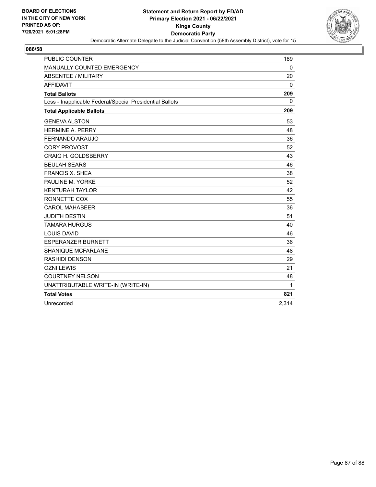

| <b>PUBLIC COUNTER</b>                                    | 189   |
|----------------------------------------------------------|-------|
| MANUALLY COUNTED EMERGENCY                               | 0     |
| <b>ABSENTEE / MILITARY</b>                               | 20    |
| <b>AFFIDAVIT</b>                                         | 0     |
| <b>Total Ballots</b>                                     | 209   |
| Less - Inapplicable Federal/Special Presidential Ballots | 0     |
| <b>Total Applicable Ballots</b>                          | 209   |
| <b>GENEVA ALSTON</b>                                     | 53    |
| <b>HFRMINF A. PFRRY</b>                                  | 48    |
| <b>FERNANDO ARAUJO</b>                                   | 36    |
| <b>CORY PROVOST</b>                                      | 52    |
| <b>CRAIG H. GOLDSBERRY</b>                               | 43    |
| <b>BEULAH SEARS</b>                                      | 46    |
| <b>FRANCIS X. SHEA</b>                                   | 38    |
| PAULINE M. YORKE                                         | 52    |
| <b>KENTURAH TAYLOR</b>                                   | 42    |
| RONNETTE COX                                             | 55    |
| <b>CAROL MAHABEER</b>                                    | 36    |
| <b>JUDITH DESTIN</b>                                     | 51    |
| <b>TAMARA HURGUS</b>                                     | 40    |
| <b>LOUIS DAVID</b>                                       | 46    |
| <b>ESPERANZER BURNETT</b>                                | 36    |
| <b>SHANIQUE MCFARLANE</b>                                | 48    |
| <b>RASHIDI DENSON</b>                                    | 29    |
| <b>OZNI LEWIS</b>                                        | 21    |
| <b>COURTNEY NELSON</b>                                   | 48    |
| UNATTRIBUTABLE WRITE-IN (WRITE-IN)                       | 1     |
| <b>Total Votes</b>                                       | 821   |
| Unrecorded                                               | 2,314 |